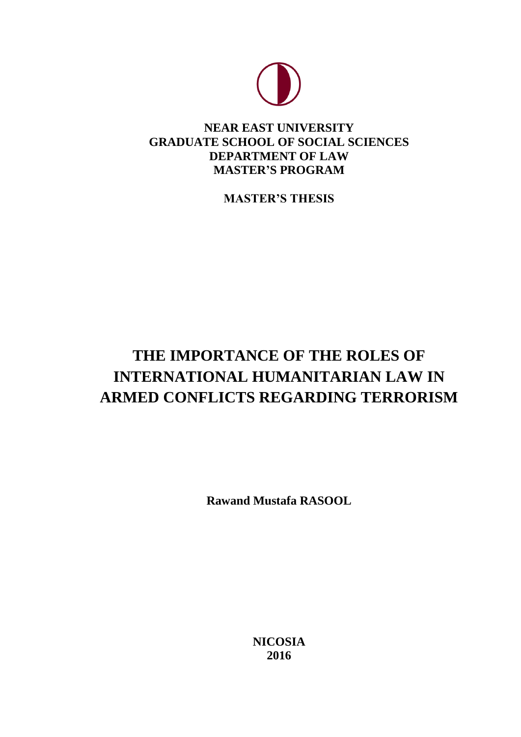

# **NEAR EAST UNIVERSITY GRADUATE SCHOOL OF SOCIAL SCIENCES DEPARTMENT OF LAW MASTER'S PROGRAM**

**MASTER'S THESIS**

# **THE IMPORTANCE OF THE ROLES OF INTERNATIONAL HUMANITARIAN LAW IN ARMED CONFLICTS REGARDING TERRORISM**

**Rawand Mustafa RASOOL**

**NICOSIA 2016**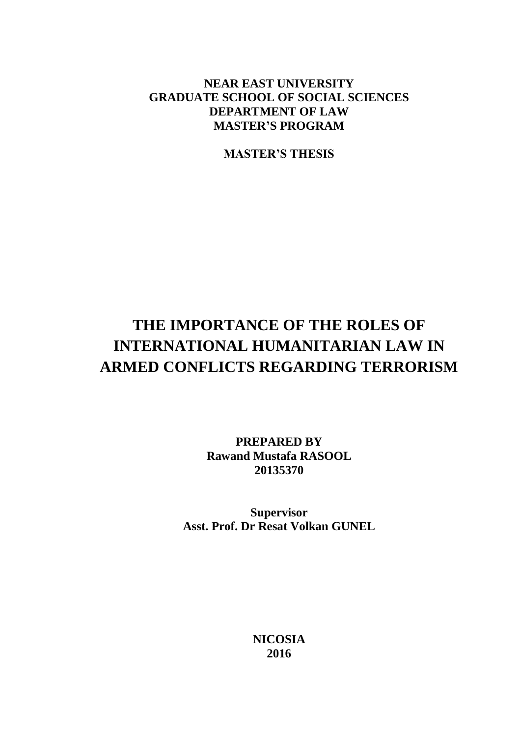## **NEAR EAST UNIVERSITY GRADUATE SCHOOL OF SOCIAL SCIENCES DEPARTMENT OF LAW MASTER'S PROGRAM**

**MASTER'S THESIS**

# **THE IMPORTANCE OF THE ROLES OF INTERNATIONAL HUMANITARIAN LAW IN ARMED CONFLICTS REGARDING TERRORISM**

**PREPARED BY Rawand Mustafa RASOOL 20135370**

**Supervisor Asst. Prof. Dr Resat Volkan GUNEL**

> **NICOSIA 2016**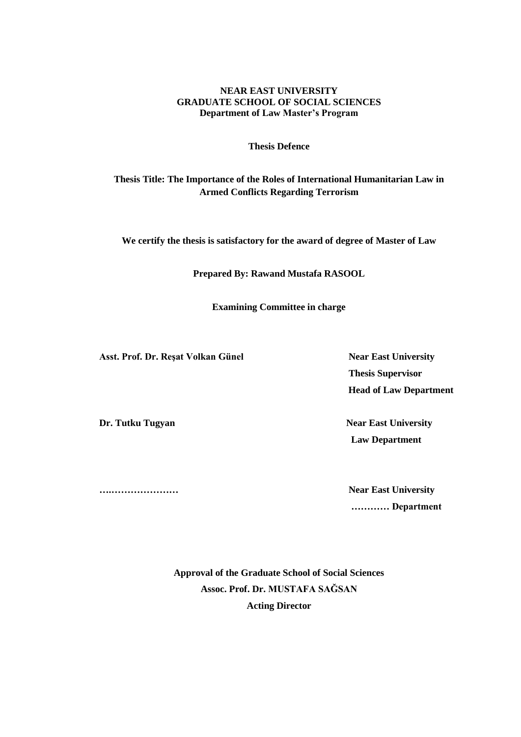#### **NEAR EAST UNIVERSITY GRADUATE SCHOOL OF SOCIAL SCIENCES Department of Law Master's Program**

**Thesis Defence**

## **Thesis Title: The Importance of the Roles of International Humanitarian Law in Armed Conflicts Regarding Terrorism**

**We certify the thesis is satisfactory for the award of degree of Master of Law**

**Prepared By: Rawand Mustafa RASOOL**

**Examining Committee in charge** 

Asst. Prof. Dr. Reşat Volkan Günel Near East University

 **Thesis Supervisor Head of Law Department**

**Dr. Tutku Tugyan Near East University Law Department** 

**….………………… Near East University ………… Department**

> **Approval of the Graduate School of Social Sciences Assoc. Prof. Dr. MUSTAFA SAĞSAN Acting Director**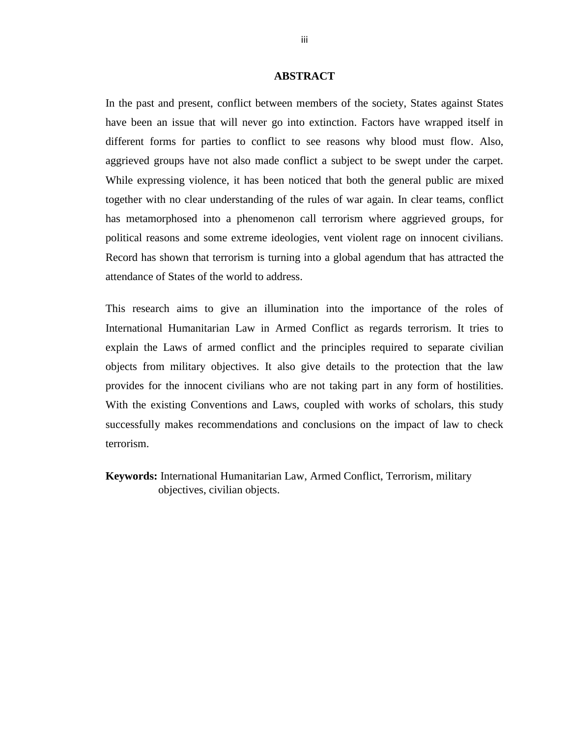#### **ABSTRACT**

<span id="page-3-0"></span>In the past and present, conflict between members of the society, States against States have been an issue that will never go into extinction. Factors have wrapped itself in different forms for parties to conflict to see reasons why blood must flow. Also, aggrieved groups have not also made conflict a subject to be swept under the carpet. While expressing violence, it has been noticed that both the general public are mixed together with no clear understanding of the rules of war again. In clear teams, conflict has metamorphosed into a phenomenon call terrorism where aggrieved groups, for political reasons and some extreme ideologies, vent violent rage on innocent civilians. Record has shown that terrorism is turning into a global agendum that has attracted the attendance of States of the world to address.

This research aims to give an illumination into the importance of the roles of International Humanitarian Law in Armed Conflict as regards terrorism. It tries to explain the Laws of armed conflict and the principles required to separate civilian objects from military objectives. It also give details to the protection that the law provides for the innocent civilians who are not taking part in any form of hostilities. With the existing Conventions and Laws, coupled with works of scholars, this study successfully makes recommendations and conclusions on the impact of law to check terrorism.

**Keywords:** International Humanitarian Law, Armed Conflict, Terrorism, military objectives, civilian objects.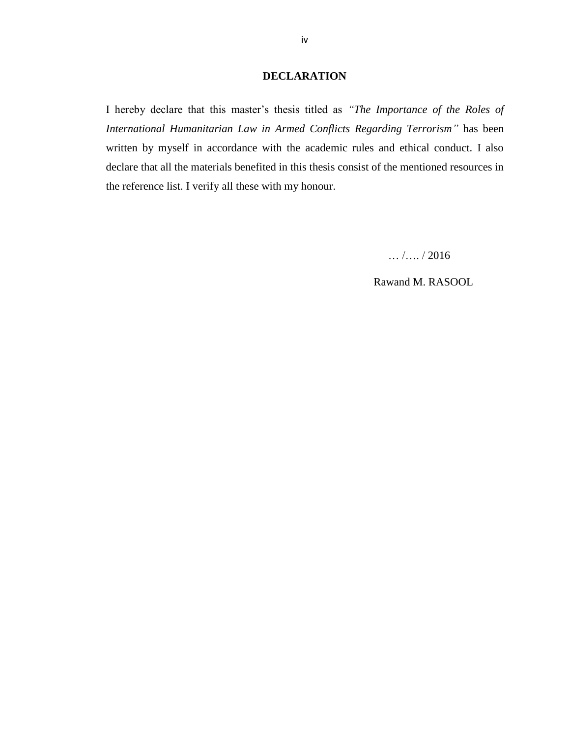### **DECLARATION**

<span id="page-4-0"></span>I hereby declare that this master's thesis titled as *"The Importance of the Roles of International Humanitarian Law in Armed Conflicts Regarding Terrorism*<sup>"</sup> has been written by myself in accordance with the academic rules and ethical conduct. I also declare that all the materials benefited in this thesis consist of the mentioned resources in the reference list. I verify all these with my honour.

… /…. / 2016

Rawand M. RASOOL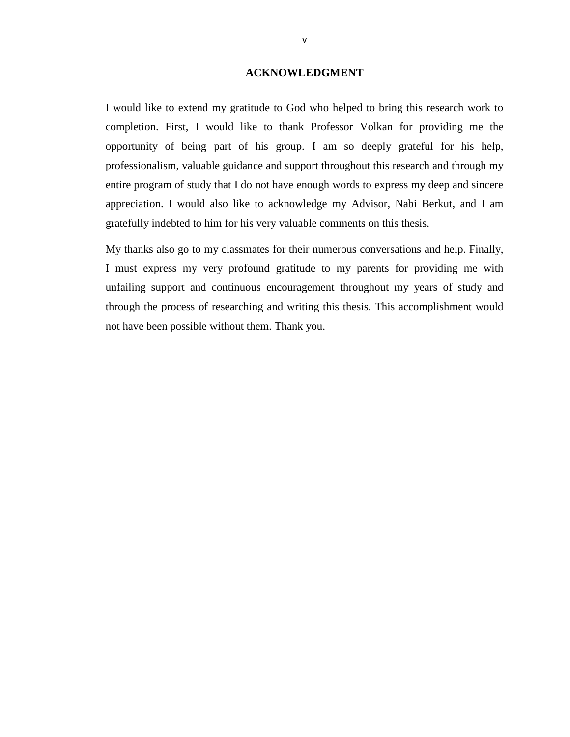#### **ACKNOWLEDGMENT**

<span id="page-5-0"></span>I would like to extend my gratitude to God who helped to bring this research work to completion. First, I would like to thank Professor Volkan for providing me the opportunity of being part of his group. I am so deeply grateful for his help, professionalism, valuable guidance and support throughout this research and through my entire program of study that I do not have enough words to express my deep and sincere appreciation. I would also like to acknowledge my Advisor, Nabi Berkut, and I am gratefully indebted to him for his very valuable comments on this thesis.

My thanks also go to my classmates for their numerous conversations and help. Finally, I must express my very profound gratitude to my parents for providing me with unfailing support and continuous encouragement throughout my years of study and through the process of researching and writing this thesis. This accomplishment would not have been possible without them. Thank you.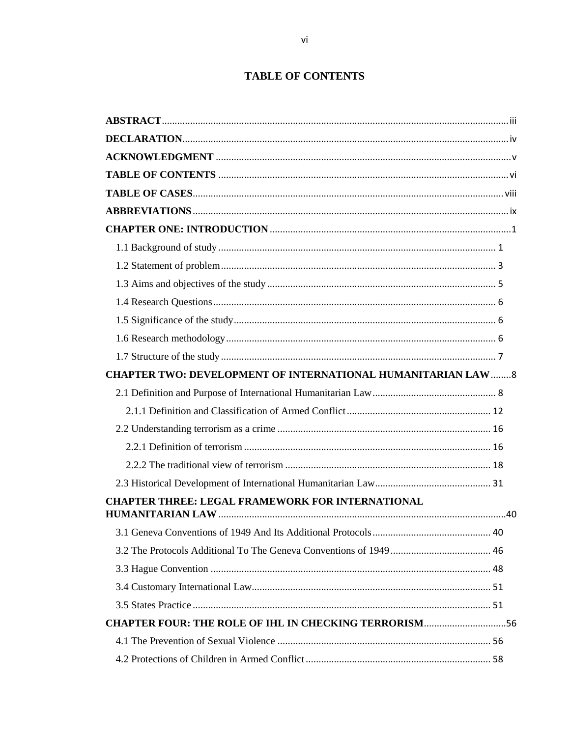## **TABLE OF CONTENTS**

<span id="page-6-0"></span>

| <b>CHAPTER TWO: DEVELOPMENT OF INTERNATIONAL HUMANITARIAN LAW  8</b> |  |
|----------------------------------------------------------------------|--|
|                                                                      |  |
|                                                                      |  |
|                                                                      |  |
|                                                                      |  |
|                                                                      |  |
|                                                                      |  |
| <b>CHAPTER THREE: LEGAL FRAMEWORK FOR INTERNATIONAL</b>              |  |
|                                                                      |  |
|                                                                      |  |
|                                                                      |  |
|                                                                      |  |
|                                                                      |  |
| <b>CHAPTER FOUR: THE ROLE OF IHL IN CHECKING TERRORISM56</b>         |  |
|                                                                      |  |
|                                                                      |  |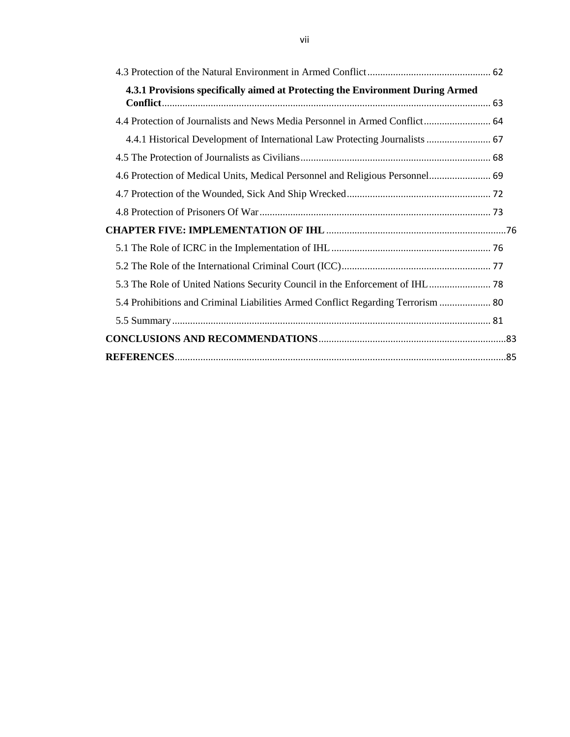| 4.3.1 Provisions specifically aimed at Protecting the Environment During Armed   |  |
|----------------------------------------------------------------------------------|--|
|                                                                                  |  |
| 4.4 Protection of Journalists and News Media Personnel in Armed Conflict 64      |  |
| 4.4.1 Historical Development of International Law Protecting Journalists  67     |  |
|                                                                                  |  |
| 4.6 Protection of Medical Units, Medical Personnel and Religious Personnel 69    |  |
|                                                                                  |  |
|                                                                                  |  |
|                                                                                  |  |
|                                                                                  |  |
|                                                                                  |  |
|                                                                                  |  |
| 5.4 Prohibitions and Criminal Liabilities Armed Conflict Regarding Terrorism  80 |  |
|                                                                                  |  |
|                                                                                  |  |
|                                                                                  |  |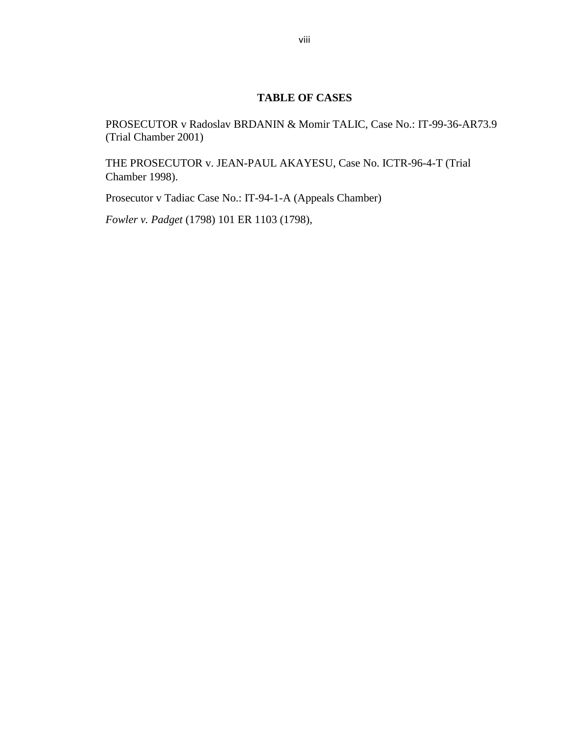### **TABLE OF CASES**

<span id="page-8-0"></span>PROSECUTOR v Radoslav BRDANIN & Momir TALIC, Case No.: IT-99-36-AR73.9 (Trial Chamber 2001)

THE PROSECUTOR v. JEAN-PAUL AKAYESU, Case No. ICTR-96-4-T (Trial Chamber 1998).

Prosecutor v Tadiac Case No.: IT-94-1-A (Appeals Chamber)

*Fowler v. Padget* (1798) 101 ER 1103 (1798),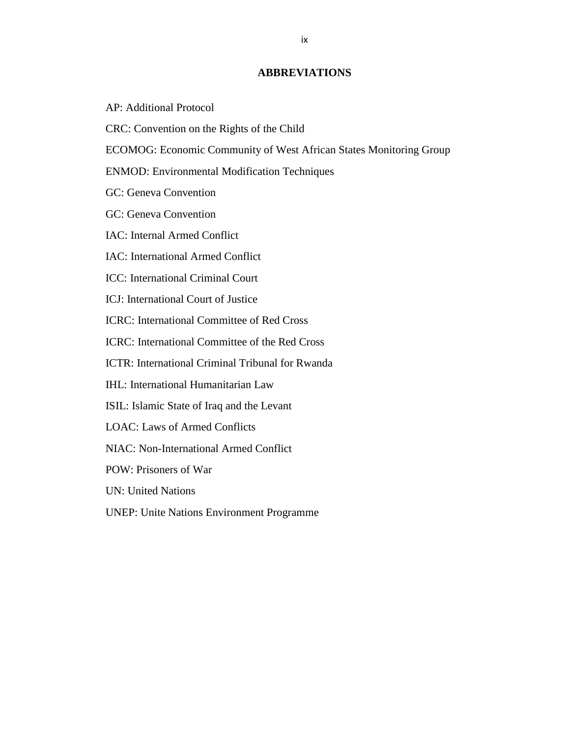#### **ABBREVIATIONS**

- <span id="page-9-0"></span>AP: Additional Protocol
- CRC: [Convention](http://www.ohchr.org/en/professionalinterest/pages/crc.aspx) on the Rights of the Child
- ECOMOG: Economic Community of West African States Monitoring Group
- ENMOD: Environmental Modification Techniques
- GC: Geneva Convention
- GC: Geneva Convention
- IAC: Internal Armed Conflict
- IAC: International Armed Conflict
- ICC: International Criminal Court
- ICJ: International Court of Justice
- ICRC: International Committee of Red Cross
- ICRC: International Committee of the Red Cross
- ICTR: International Criminal Tribunal for Rwanda
- IHL: International Humanitarian Law
- ISIL: Islamic State of Iraq and the Levant
- LOAC: Laws of Armed Conflicts
- NIAC: Non-International Armed Conflict
- POW: Prisoners of War
- UN: United Nations
- UNEP: Unite Nations Environment Programme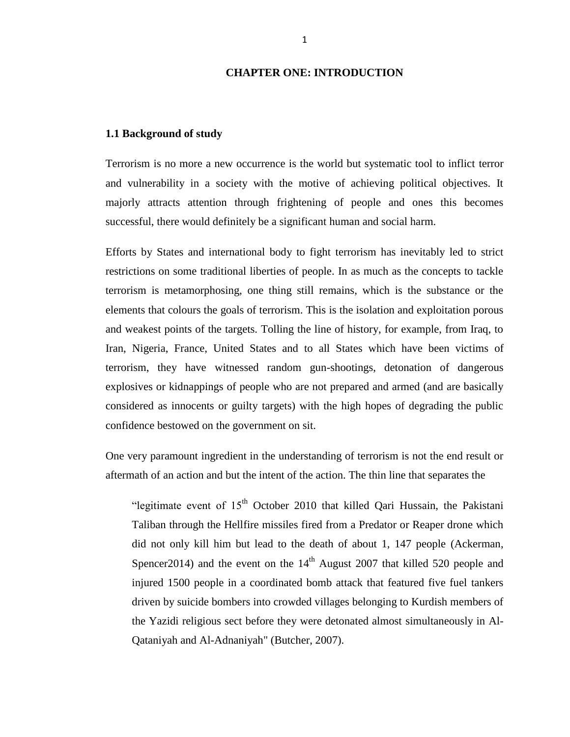#### **CHAPTER ONE: INTRODUCTION**

#### <span id="page-10-1"></span><span id="page-10-0"></span>**1.1 Background of study**

Terrorism is no more a new occurrence is the world but systematic tool to inflict terror and vulnerability in a society with the motive of achieving political objectives. It majorly attracts attention through frightening of people and ones this becomes successful, there would definitely be a significant human and social harm.

Efforts by States and international body to fight terrorism has inevitably led to strict restrictions on some traditional liberties of people. In as much as the concepts to tackle terrorism is metamorphosing, one thing still remains, which is the substance or the elements that colours the goals of terrorism. This is the isolation and exploitation porous and weakest points of the targets. Tolling the line of history, for example, from Iraq, to Iran, Nigeria, France, United States and to all States which have been victims of terrorism, they have witnessed random gun-shootings, detonation of dangerous explosives or kidnappings of people who are not prepared and armed (and are basically considered as innocents or guilty targets) with the high hopes of degrading the public confidence bestowed on the government on sit.

One very paramount ingredient in the understanding of terrorism is not the end result or aftermath of an action and but the intent of the action. The thin line that separates the

"legitimate event of  $15<sup>th</sup>$  October 2010 that killed Qari Hussain, the Pakistani Taliban through the Hellfire missiles fired from a Predator or Reaper drone which did not only kill him but lead to the death of about 1, 147 people (Ackerman, Spencer 2014) and the event on the  $14<sup>th</sup>$  August 2007 that killed 520 people and injured 1500 people in a coordinated bomb attack that featured five fuel tankers driven by suicide bombers into crowded villages belonging to Kurdish members of the Yazidi religious sect before they were detonated almost simultaneously in Al-Qataniyah and Al-Adnaniyah" (Butcher, 2007).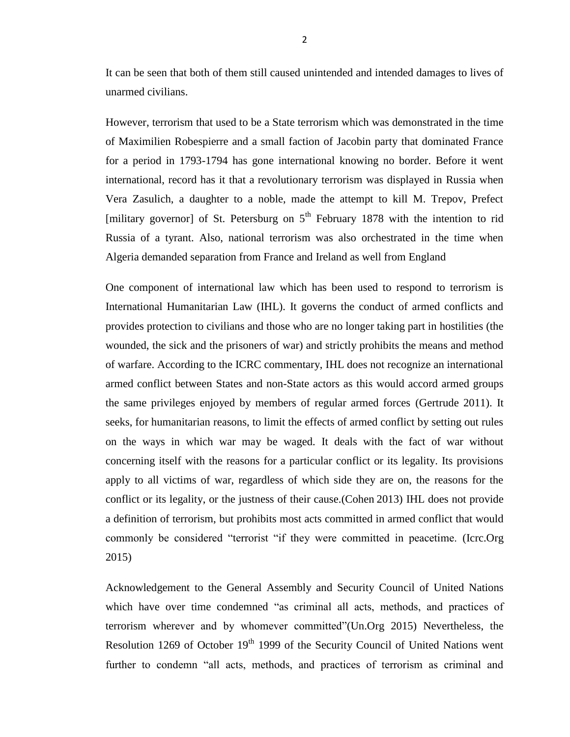It can be seen that both of them still caused unintended and intended damages to lives of unarmed civilians.

However, terrorism that used to be a State terrorism which was demonstrated in the time of Maximilien Robespierre and a small faction of Jacobin party that dominated France for a period in 1793-1794 has gone international knowing no border. Before it went international, record has it that a revolutionary terrorism was displayed in Russia when Vera Zasulich, a daughter to a noble, made the attempt to kill M. Trepov, Prefect [military governor] of St. Petersburg on  $5<sup>th</sup>$  February 1878 with the intention to rid Russia of a tyrant. Also, national terrorism was also orchestrated in the time when Algeria demanded separation from France and Ireland as well from England

One component of international law which has been used to respond to terrorism is International Humanitarian Law (IHL). It governs the conduct of armed conflicts and provides protection to civilians and those who are no longer taking part in hostilities (the wounded, the sick and the prisoners of war) and strictly prohibits the means and method of warfare. According to the ICRC commentary, IHL does not recognize an international armed conflict between States and non-State actors as this would accord armed groups the same privileges enjoyed by members of regular armed forces (Gertrude 2011). It seeks, for humanitarian reasons, to limit the effects of armed conflict by setting out rules on the ways in which war may be waged. It deals with the fact of war without concerning itself with the reasons for a particular conflict or its legality. Its provisions apply to all victims of war, regardless of which side they are on, the reasons for the conflict or its legality, or the justness of their cause.(Cohen 2013) IHL does not provide a definition of terrorism, but prohibits most acts committed in armed conflict that would commonly be considered "terrorist "if they were committed in peacetime. (Icrc.Org) 2015)

Acknowledgement to the General Assembly and Security Council of United Nations which have over time condemned "as criminal all acts, methods, and practices of terrorism wherever and by whomever committed"(Un.Org 2015) Nevertheless, the Resolution 1269 of October 19<sup>th</sup> 1999 of the Security Council of United Nations went further to condemn "all acts, methods, and practices of terrorism as criminal and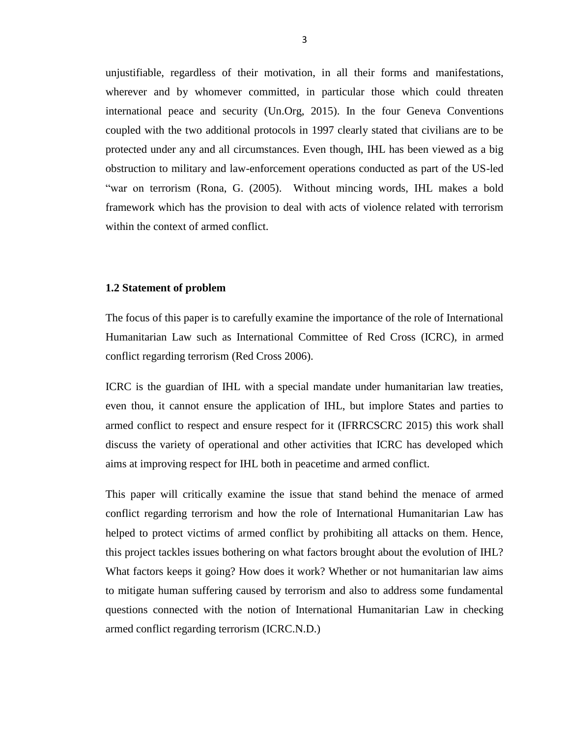unjustifiable, regardless of their motivation, in all their forms and manifestations, wherever and by whomever committed, in particular those which could threaten international peace and security (Un.Org, 2015). In the four Geneva Conventions coupled with the two additional protocols in 1997 clearly stated that civilians are to be protected under any and all circumstances. Even though, IHL has been viewed as a big obstruction to military and law-enforcement operations conducted as part of the US-led "war on terrorism (Rona, G. (2005). Without mincing words, IHL makes a bold framework which has the provision to deal with acts of violence related with terrorism within the context of armed conflict.

#### <span id="page-12-0"></span>**1.2 Statement of problem**

The focus of this paper is to carefully examine the importance of the role of International Humanitarian Law such as International Committee of Red Cross (ICRC), in armed conflict regarding terrorism (Red Cross 2006).

ICRC is the guardian of IHL with a special mandate under humanitarian law treaties, even thou, it cannot ensure the application of IHL, but implore States and parties to armed conflict to respect and ensure respect for it (IFRRCSCRC 2015) this work shall discuss the variety of operational and other activities that ICRC has developed which aims at improving respect for IHL both in peacetime and armed conflict.

This paper will critically examine the issue that stand behind the menace of armed conflict regarding terrorism and how the role of International Humanitarian Law has helped to protect victims of armed conflict by prohibiting all attacks on them. Hence, this project tackles issues bothering on what factors brought about the evolution of IHL? What factors keeps it going? How does it work? Whether or not humanitarian law aims to mitigate human suffering caused by terrorism and also to address some fundamental questions connected with the notion of International Humanitarian Law in checking armed conflict regarding terrorism (ICRC.N.D.)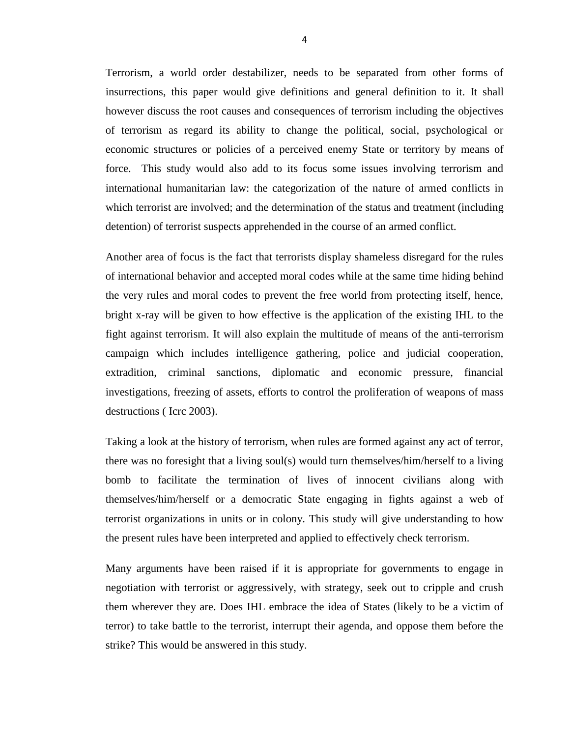Terrorism, a world order destabilizer, needs to be separated from other forms of insurrections, this paper would give definitions and general definition to it. It shall however discuss the root causes and consequences of terrorism including the objectives of terrorism as regard its ability to change the political, social, psychological or economic structures or policies of a perceived enemy State or territory by means of force. This study would also add to its focus some issues involving terrorism and international humanitarian law: the categorization of the nature of armed conflicts in which terrorist are involved; and the determination of the status and treatment (including detention) of terrorist suspects apprehended in the course of an armed conflict.

Another area of focus is the fact that terrorists display shameless disregard for the rules of international behavior and accepted moral codes while at the same time hiding behind the very rules and moral codes to prevent the free world from protecting itself, hence, bright x-ray will be given to how effective is the application of the existing IHL to the fight against terrorism. It will also explain the multitude of means of the anti-terrorism campaign which includes intelligence gathering, police and judicial cooperation, extradition, criminal sanctions, diplomatic and economic pressure, financial investigations, freezing of assets, efforts to control the proliferation of weapons of mass destructions ( Icrc 2003).

Taking a look at the history of terrorism, when rules are formed against any act of terror, there was no foresight that a living soul(s) would turn themselves/him/herself to a living bomb to facilitate the termination of lives of innocent civilians along with themselves/him/herself or a democratic State engaging in fights against a web of terrorist organizations in units or in colony. This study will give understanding to how the present rules have been interpreted and applied to effectively check terrorism.

Many arguments have been raised if it is appropriate for governments to engage in negotiation with terrorist or aggressively, with strategy, seek out to cripple and crush them wherever they are. Does IHL embrace the idea of States (likely to be a victim of terror) to take battle to the terrorist, interrupt their agenda, and oppose them before the strike? This would be answered in this study.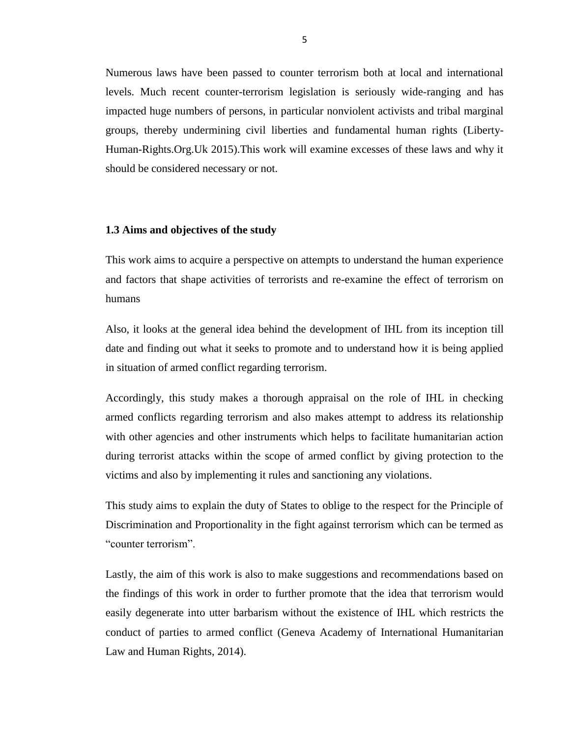Numerous laws have been passed to counter terrorism both at local and international levels. Much recent counter-terrorism legislation is seriously wide-ranging and has impacted huge numbers of persons, in particular nonviolent activists and tribal marginal groups, thereby undermining civil liberties and fundamental human rights (Liberty-Human-Rights.Org.Uk 2015).This work will examine excesses of these laws and why it should be considered necessary or not.

#### <span id="page-14-0"></span>**1.3 Aims and objectives of the study**

This work aims to acquire a perspective on attempts to understand the human experience and factors that shape activities of terrorists and re-examine the effect of terrorism on humans

Also, it looks at the general idea behind the development of IHL from its inception till date and finding out what it seeks to promote and to understand how it is being applied in situation of armed conflict regarding terrorism.

Accordingly, this study makes a thorough appraisal on the role of IHL in checking armed conflicts regarding terrorism and also makes attempt to address its relationship with other agencies and other instruments which helps to facilitate humanitarian action during terrorist attacks within the scope of armed conflict by giving protection to the victims and also by implementing it rules and sanctioning any violations.

This study aims to explain the duty of States to oblige to the respect for the Principle of Discrimination and Proportionality in the fight against terrorism which can be termed as "counter terrorism".

Lastly, the aim of this work is also to make suggestions and recommendations based on the findings of this work in order to further promote that the idea that terrorism would easily degenerate into utter barbarism without the existence of IHL which restricts the conduct of parties to armed conflict (Geneva Academy of International Humanitarian Law and Human Rights, 2014).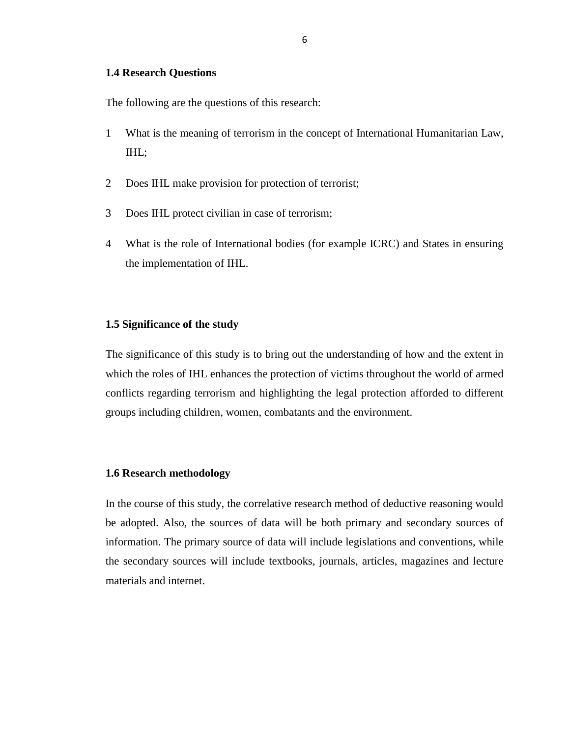#### <span id="page-15-0"></span>**1.4 Research Questions**

The following are the questions of this research:

- 1 What is the meaning of terrorism in the concept of International Humanitarian Law, IHL;
- 2 Does IHL make provision for protection of terrorist;
- 3 Does IHL protect civilian in case of terrorism;
- 4 What is the role of International bodies (for example ICRC) and States in ensuring the implementation of IHL.

#### <span id="page-15-1"></span>**1.5 Significance of the study**

The significance of this study is to bring out the understanding of how and the extent in which the roles of IHL enhances the protection of victims throughout the world of armed conflicts regarding terrorism and highlighting the legal protection afforded to different groups including children, women, combatants and the environment.

#### <span id="page-15-2"></span>**1.6 Research methodology**

In the course of this study, the correlative research method of deductive reasoning would be adopted. Also, the sources of data will be both primary and secondary sources of information. The primary source of data will include legislations and conventions, while the secondary sources will include textbooks, journals, articles, magazines and lecture materials and internet.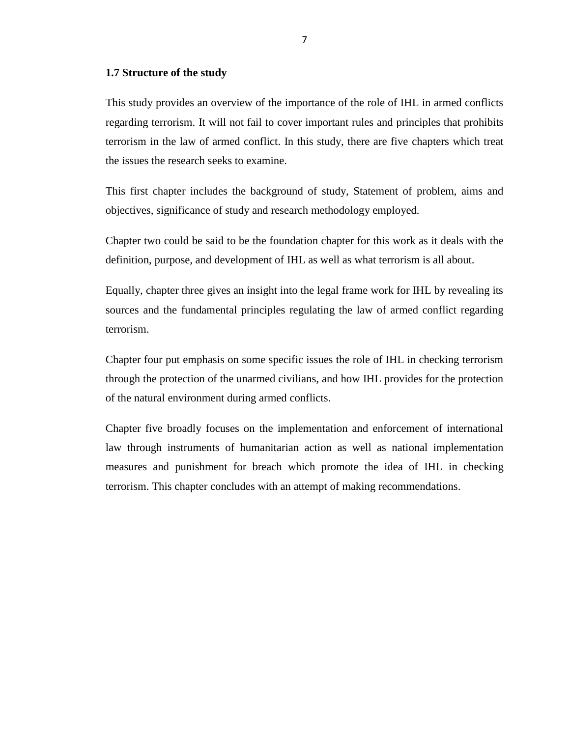#### <span id="page-16-0"></span>**1.7 Structure of the study**

This study provides an overview of the importance of the role of IHL in armed conflicts regarding terrorism. It will not fail to cover important rules and principles that prohibits terrorism in the law of armed conflict. In this study, there are five chapters which treat the issues the research seeks to examine.

This first chapter includes the background of study, Statement of problem, aims and objectives, significance of study and research methodology employed.

Chapter two could be said to be the foundation chapter for this work as it deals with the definition, purpose, and development of IHL as well as what terrorism is all about.

Equally, chapter three gives an insight into the legal frame work for IHL by revealing its sources and the fundamental principles regulating the law of armed conflict regarding terrorism.

Chapter four put emphasis on some specific issues the role of IHL in checking terrorism through the protection of the unarmed civilians, and how IHL provides for the protection of the natural environment during armed conflicts.

Chapter five broadly focuses on the implementation and enforcement of international law through instruments of humanitarian action as well as national implementation measures and punishment for breach which promote the idea of IHL in checking terrorism. This chapter concludes with an attempt of making recommendations.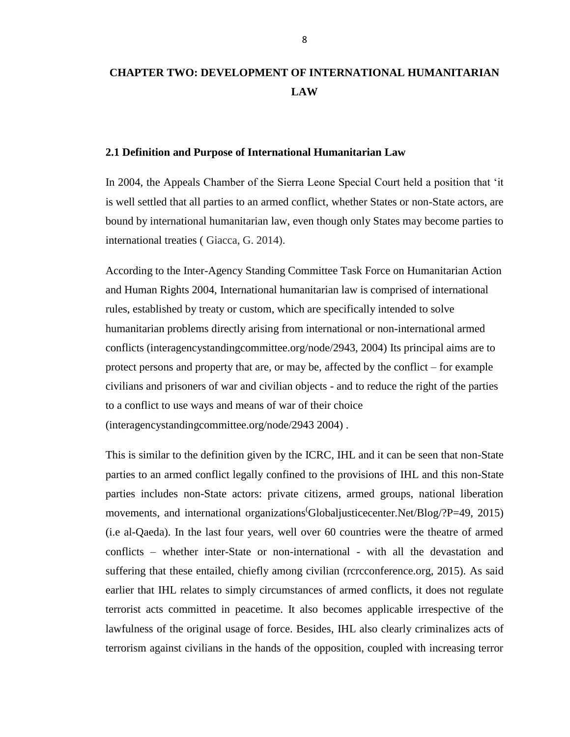# <span id="page-17-0"></span>**CHAPTER TWO: DEVELOPMENT OF INTERNATIONAL HUMANITARIAN LAW**

#### <span id="page-17-1"></span>**2.1 Definition and Purpose of International Humanitarian Law**

In 2004, the Appeals Chamber of the Sierra Leone Special Court held a position that 'it is well settled that all parties to an armed conflict, whether States or non-State actors, are bound by international humanitarian law, even though only States may become parties to international treaties ( Giacca, G. 2014).

According to the Inter-Agency Standing Committee Task Force on Humanitarian Action and Human Rights 2004, International humanitarian law is comprised of international rules, established by treaty or custom, which are specifically intended to solve humanitarian problems directly arising from international or non-international armed conflicts (interagencystandingcommittee.org/node/2943, 2004) Its principal aims are to protect persons and property that are, or may be, affected by the conflict – for example civilians and prisoners of war and civilian objects - and to reduce the right of the parties to a conflict to use ways and means of war of their choice (interagencystandingcommittee.org/node/2943 2004) .

This is similar to the definition given by the ICRC, IHL and it can be seen that non-State parties to an armed conflict legally confined to the provisions of IHL and this non-State parties includes non-State actors: private citizens, armed groups, national liberation movements, and international organizations Global ustice center. Net/Blog/?P=49, 2015) (i.e al-Qaeda). In the last four years, well over 60 countries were the theatre of armed conflicts – whether inter-State or non-international - with all the devastation and suffering that these entailed, chiefly among civilian (rcrcconference.org, 2015). As said earlier that IHL relates to simply circumstances of armed conflicts, it does not regulate terrorist acts committed in peacetime. It also becomes applicable irrespective of the lawfulness of the original usage of force. Besides, IHL also clearly criminalizes acts of terrorism against civilians in the hands of the opposition, coupled with increasing terror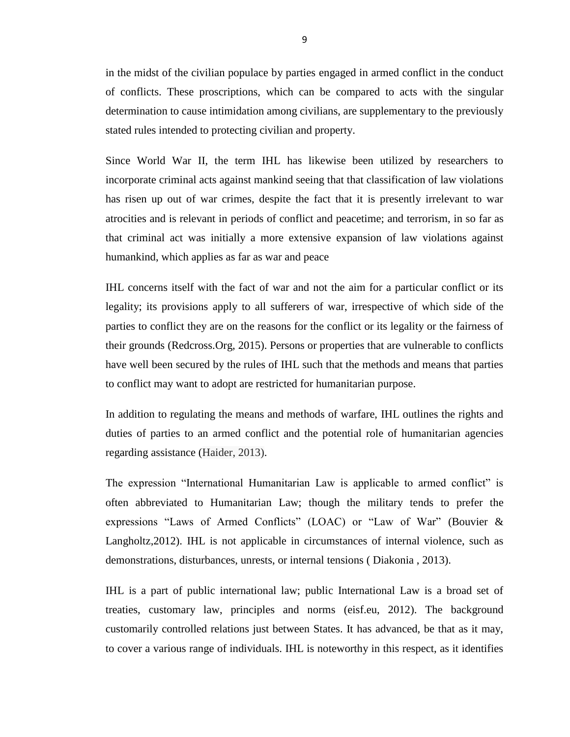in the midst of the civilian populace by parties engaged in armed conflict in the conduct of conflicts. These proscriptions, which can be compared to acts with the singular determination to cause intimidation among civilians, are supplementary to the previously stated rules intended to protecting civilian and property.

Since World War II, the term IHL has likewise been utilized by researchers to incorporate criminal acts against mankind seeing that that classification of law violations has risen up out of war crimes, despite the fact that it is presently irrelevant to war atrocities and is relevant in periods of conflict and peacetime; and terrorism, in so far as that criminal act was initially a more extensive expansion of law violations against humankind, which applies as far as war and peace

IHL concerns itself with the fact of war and not the aim for a particular conflict or its legality; its provisions apply to all sufferers of war, irrespective of which side of the parties to conflict they are on the reasons for the conflict or its legality or the fairness of their grounds (Redcross.Org, 2015). Persons or properties that are vulnerable to conflicts have well been secured by the rules of IHL such that the methods and means that parties to conflict may want to adopt are restricted for humanitarian purpose.

In addition to regulating the means and methods of warfare, IHL outlines the rights and duties of parties to an armed conflict and the potential role of humanitarian agencies regarding assistance (Haider, 2013).

The expression "International Humanitarian Law is applicable to armed conflict" is often abbreviated to Humanitarian Law; though the military tends to prefer the expressions "Laws of Armed Conflicts" (LOAC) or "Law of War" (Bouvier  $\&$ Langholtz,2012). IHL is not applicable in circumstances of internal violence, such as demonstrations, disturbances, unrests, or internal tensions ( Diakonia , 2013).

IHL is a part of public international law; public International Law is a broad set of treaties, customary law, principles and norms (eisf.eu, 2012). The background customarily controlled relations just between States. It has advanced, be that as it may, to cover a various range of individuals. IHL is noteworthy in this respect, as it identifies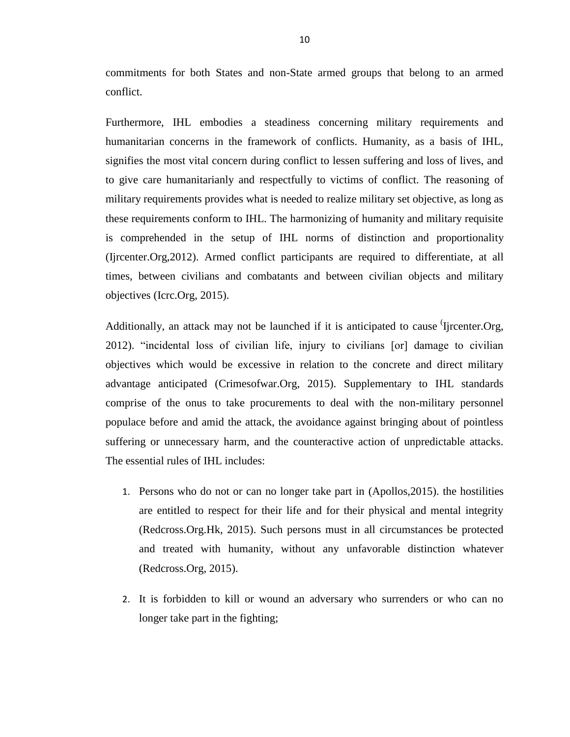commitments for both States and non-State armed groups that belong to an armed conflict.

Furthermore, IHL embodies a steadiness concerning military requirements and humanitarian concerns in the framework of conflicts. Humanity, as a basis of IHL, signifies the most vital concern during conflict to lessen suffering and loss of lives, and to give care humanitarianly and respectfully to victims of conflict. The reasoning of military requirements provides what is needed to realize military set objective, as long as these requirements conform to IHL. The harmonizing of humanity and military requisite is comprehended in the setup of IHL norms of distinction and proportionality (Ijrcenter.Org,2012). Armed conflict participants are required to differentiate, at all times, between civilians and combatants and between civilian objects and military objectives (Icrc.Org, 2015).

Additionally, an attack may not be launched if it is anticipated to cause *I*jrcenter. Org, 2012). "incidental loss of civilian life, injury to civilians [or] damage to civilian objectives which would be excessive in relation to the concrete and direct military advantage anticipated (Crimesofwar.Org, 2015). Supplementary to IHL standards comprise of the onus to take procurements to deal with the non-military personnel populace before and amid the attack, the avoidance against bringing about of pointless suffering or unnecessary harm, and the counteractive action of unpredictable attacks. The essential rules of IHL includes:

- 1. Persons who do not or can no longer take part in (Apollos,2015). the hostilities are entitled to respect for their life and for their physical and mental integrity (Redcross.Org.Hk, 2015). Such persons must in all circumstances be protected and treated with humanity, without any unfavorable distinction whatever (Redcross.Org, 2015).
- 2. It is forbidden to kill or wound an adversary who surrenders or who can no longer take part in the fighting;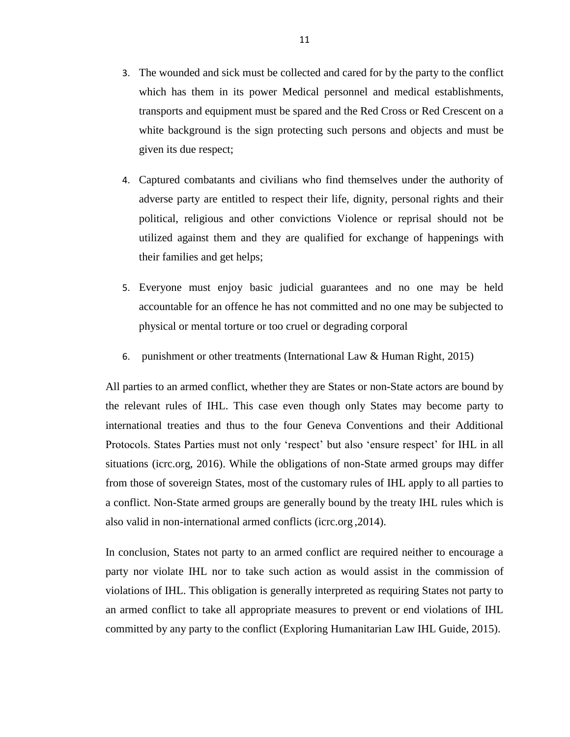- 3. The wounded and sick must be collected and cared for by the party to the conflict which has them in its power Medical personnel and medical establishments, transports and equipment must be spared and the Red Cross or Red Crescent on a white background is the sign protecting such persons and objects and must be given its due respect;
- 4. Captured combatants and civilians who find themselves under the authority of adverse party are entitled to respect their life, dignity, personal rights and their political, religious and other convictions Violence or reprisal should not be utilized against them and they are qualified for exchange of happenings with their families and get helps;
- 5. Everyone must enjoy basic judicial guarantees and no one may be held accountable for an offence he has not committed and no one may be subjected to physical or mental torture or too cruel or degrading corporal
- 6. punishment or other treatments (International Law & Human Right, 2015)

All parties to an armed conflict, whether they are States or non-State actors are bound by the relevant rules of IHL. This case even though only States may become party to international treaties and thus to the four Geneva Conventions and their Additional Protocols. States Parties must not only 'respect' but also 'ensure respect' for IHL in all situations (icrc.org, 2016). While the obligations of non-State armed groups may differ from those of sovereign States, most of the customary rules of IHL apply to all parties to a conflict. Non-State armed groups are generally bound by the treaty IHL rules which is also valid in non-international armed conflicts (icrc.org ,2014).

In conclusion, States not party to an armed conflict are required neither to encourage a party nor violate IHL nor to take such action as would assist in the commission of violations of IHL. This obligation is generally interpreted as requiring States not party to an armed conflict to take all appropriate measures to prevent or end violations of IHL committed by any party to the conflict (Exploring Humanitarian Law IHL Guide, 2015).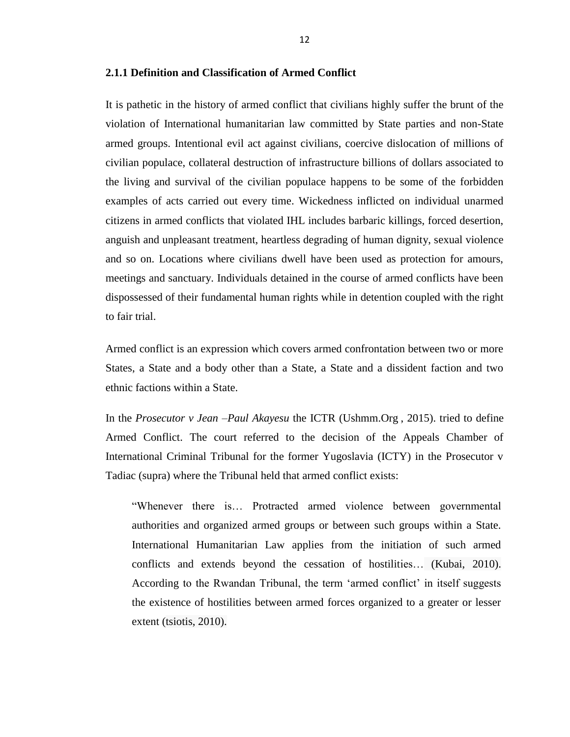#### <span id="page-21-0"></span>**2.1.1 Definition and Classification of Armed Conflict**

It is pathetic in the history of armed conflict that civilians highly suffer the brunt of the violation of International humanitarian law committed by State parties and non-State armed groups. Intentional evil act against civilians, coercive dislocation of millions of civilian populace, collateral destruction of infrastructure billions of dollars associated to the living and survival of the civilian populace happens to be some of the forbidden examples of acts carried out every time. Wickedness inflicted on individual unarmed citizens in armed conflicts that violated IHL includes barbaric killings, forced desertion, anguish and unpleasant treatment, heartless degrading of human dignity, sexual violence and so on. Locations where civilians dwell have been used as protection for amours, meetings and sanctuary. Individuals detained in the course of armed conflicts have been dispossessed of their fundamental human rights while in detention coupled with the right to fair trial.

Armed conflict is an expression which covers armed confrontation between two or more States, a State and a body other than a State, a State and a dissident faction and two ethnic factions within a State.

In the *Prosecutor v Jean –Paul Akayesu* the ICTR (Ushmm.Org , 2015). tried to define Armed Conflict. The court referred to the decision of the Appeals Chamber of International Criminal Tribunal for the former Yugoslavia (ICTY) in the Prosecutor v Tadiac (supra) where the Tribunal held that armed conflict exists:

―Whenever there is… Protracted armed violence between governmental authorities and organized armed groups or between such groups within a State. International Humanitarian Law applies from the initiation of such armed conflicts and extends beyond the cessation of hostilities… (Kubai, 2010). According to the Rwandan Tribunal, the term 'armed conflict' in itself suggests the existence of hostilities between armed forces organized to a greater or lesser extent (tsiotis, 2010).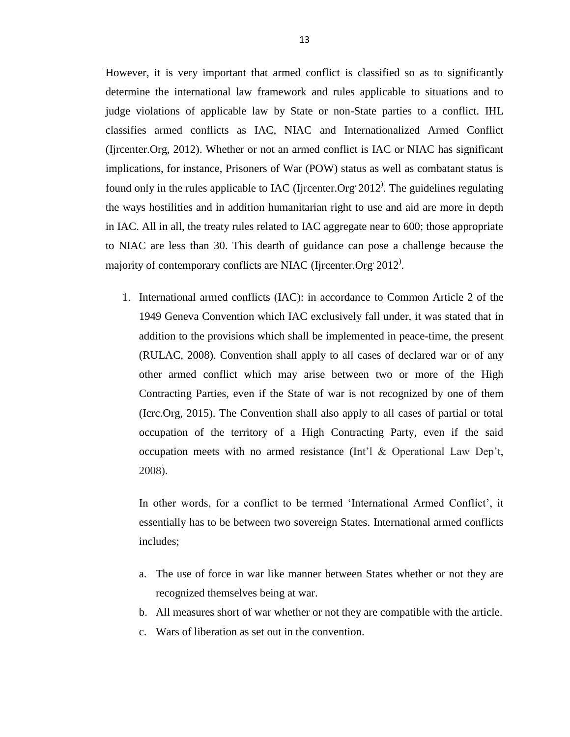However, it is very important that armed conflict is classified so as to significantly determine the international law framework and rules applicable to situations and to judge violations of applicable law by State or non-State parties to a conflict. IHL classifies armed conflicts as IAC, NIAC and Internationalized Armed Conflict (Ijrcenter.Org, 2012). Whether or not an armed conflict is IAC or NIAC has significant implications, for instance, Prisoners of War (POW) status as well as combatant status is found only in the rules applicable to IAC (Ijrcenter.Org  $2012$ ). The guidelines regulating the ways hostilities and in addition humanitarian right to use and aid are more in depth in IAC. All in all, the treaty rules related to IAC aggregate near to 600; those appropriate to NIAC are less than 30. This dearth of guidance can pose a challenge because the majority of contemporary conflicts are NIAC (Ijrcenter.Org<sup>,</sup> 2012).

1. International armed conflicts (IAC): in accordance to Common Article 2 of the 1949 Geneva Convention which IAC exclusively fall under, it was stated that in addition to the provisions which shall be implemented in peace-time, the present (RULAC, 2008). Convention shall apply to all cases of declared war or of any other armed conflict which may arise between two or more of the High Contracting Parties, even if the State of war is not recognized by one of them (Icrc.Org, 2015). The Convention shall also apply to all cases of partial or total occupation of the territory of a High Contracting Party, even if the said occupation meets with no armed resistance (Int'l & Operational Law Dep't, 2008).

In other words, for a conflict to be termed 'International Armed Conflict', it essentially has to be between two sovereign States. International armed conflicts includes;

- a. The use of force in war like manner between States whether or not they are recognized themselves being at war.
- b. All measures short of war whether or not they are compatible with the article.
- c. Wars of liberation as set out in the convention.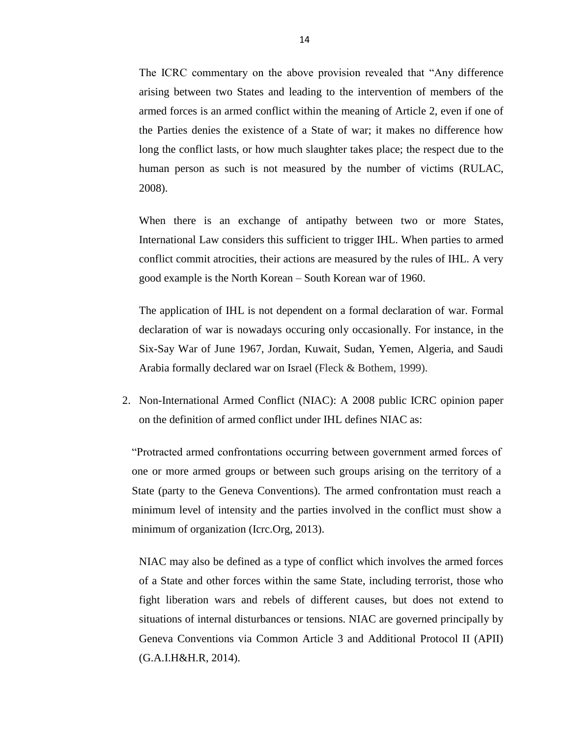The ICRC commentary on the above provision revealed that "Any difference" arising between two States and leading to the intervention of members of the armed forces is an armed conflict within the meaning of Article 2, even if one of the Parties denies the existence of a State of war; it makes no difference how long the conflict lasts, or how much slaughter takes place; the respect due to the human person as such is not measured by the number of victims (RULAC, 2008).

When there is an exchange of antipathy between two or more States, International Law considers this sufficient to trigger IHL. When parties to armed conflict commit atrocities, their actions are measured by the rules of IHL. A very good example is the North Korean – South Korean war of 1960.

The application of IHL is not dependent on a formal declaration of war. Formal declaration of war is nowadays occuring only occasionally. For instance, in the Six-Say War of June 1967, Jordan, Kuwait, Sudan, Yemen, Algeria, and Saudi Arabia formally declared war on Israel (Fleck & Bothem, 1999).

2. Non-International Armed Conflict (NIAC): A 2008 public ICRC opinion paper on the definition of armed conflict under IHL defines NIAC as:

―Protracted armed confrontations occurring between government armed forces of one or more armed groups or between such groups arising on the territory of a State (party to the Geneva Conventions). The armed confrontation must reach a minimum level of intensity and the parties involved in the conflict must show a minimum of organization (Icrc.Org, 2013).

NIAC may also be defined as a type of conflict which involves the armed forces of a State and other forces within the same State, including terrorist, those who fight liberation wars and rebels of different causes, but does not extend to situations of internal disturbances or tensions. NIAC are governed principally by Geneva Conventions via Common Article 3 and Additional Protocol II (APII) (G.A.I.H&H.R, 2014).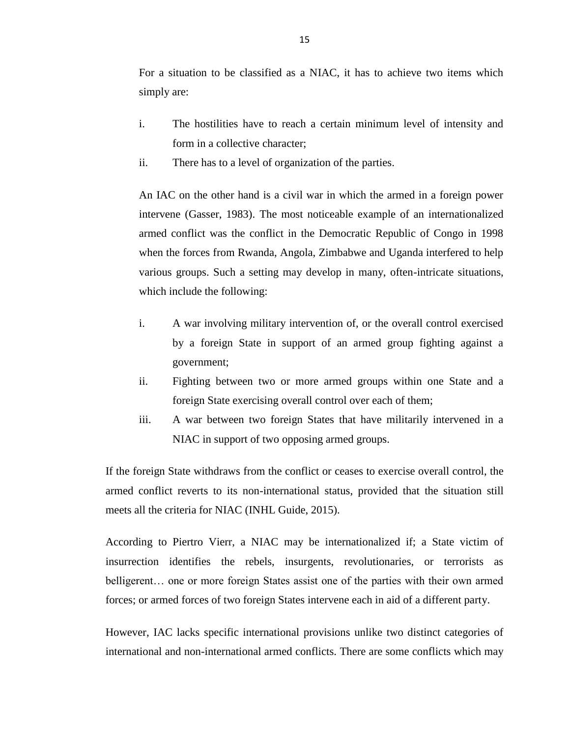For a situation to be classified as a NIAC, it has to achieve two items which simply are:

- i. The hostilities have to reach a certain minimum level of intensity and form in a collective character;
- ii. There has to a level of organization of the parties.

An IAC on the other hand is a civil war in which the armed in a foreign power intervene (Gasser, 1983). The most noticeable example of an internationalized armed conflict was the conflict in the Democratic Republic of Congo in 1998 when the forces from Rwanda, Angola, Zimbabwe and Uganda interfered to help various groups. Such a setting may develop in many, often-intricate situations, which include the following:

- i. A war involving military intervention of, or the overall control exercised by a foreign State in support of an armed group fighting against a government;
- ii. Fighting between two or more armed groups within one State and a foreign State exercising overall control over each of them;
- iii. A war between two foreign States that have militarily intervened in a NIAC in support of two opposing armed groups.

If the foreign State withdraws from the conflict or ceases to exercise overall control, the armed conflict reverts to its non-international status, provided that the situation still meets all the criteria for NIAC (INHL Guide, 2015).

According to Piertro Vierr, a NIAC may be internationalized if; a State victim of insurrection identifies the rebels, insurgents, revolutionaries, or terrorists as belligerent… one or more foreign States assist one of the parties with their own armed forces; or armed forces of two foreign States intervene each in aid of a different party.

However, IAC lacks specific international provisions unlike two distinct categories of international and non-international armed conflicts. There are some conflicts which may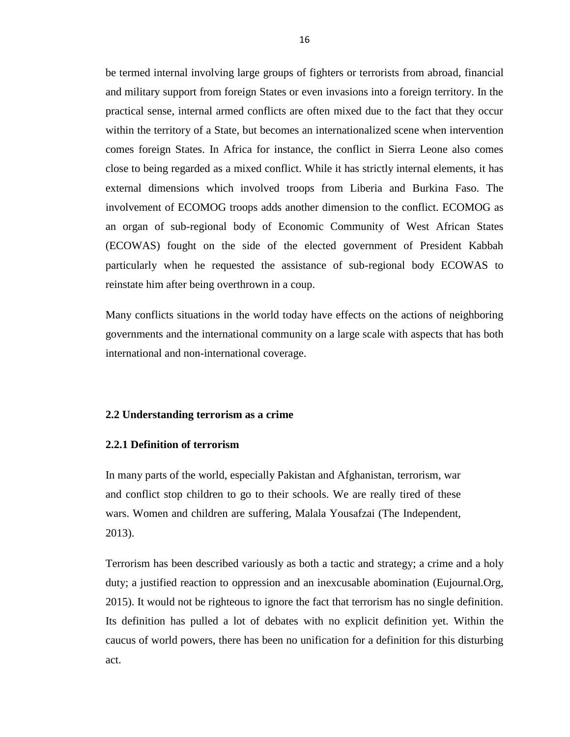be termed internal involving large groups of fighters or terrorists from abroad, financial and military support from foreign States or even invasions into a foreign territory. In the practical sense, internal armed conflicts are often mixed due to the fact that they occur within the territory of a State, but becomes an internationalized scene when intervention comes foreign States. In Africa for instance, the conflict in Sierra Leone also comes close to being regarded as a mixed conflict. While it has strictly internal elements, it has external dimensions which involved troops from Liberia and Burkina Faso. The involvement of ECOMOG troops adds another dimension to the conflict. ECOMOG as an organ of sub-regional body of Economic Community of West African States (ECOWAS) fought on the side of the elected government of President Kabbah particularly when he requested the assistance of sub-regional body ECOWAS to reinstate him after being overthrown in a coup.

Many conflicts situations in the world today have effects on the actions of neighboring governments and the international community on a large scale with aspects that has both international and non-international coverage.

#### <span id="page-25-0"></span>**2.2 Understanding terrorism as a crime**

#### <span id="page-25-1"></span>**2.2.1 Definition of terrorism**

[In many parts of the world, especially Pakistan and Afghanistan, terrorism, war](http://www.brainyquote.com/quotes/quotes/m/malalayous569374.html?src=t_terrorism)  [and conflict stop children to go to their schools. We are really tired of these](http://www.brainyquote.com/quotes/quotes/m/malalayous569374.html?src=t_terrorism)  [wars. Women and children are suffering,](http://www.brainyquote.com/quotes/quotes/m/malalayous569374.html?src=t_terrorism) [Malala Yousafzai](http://www.brainyquote.com/quotes/authors/m/malala_yousafzai.html) (The Independent, 2013).

Terrorism has been described variously as both a tactic and strategy; a crime and a holy duty; a justified reaction to oppression and an inexcusable abomination (Eujournal.Org, 2015). It would not be righteous to ignore the fact that terrorism has no single definition. Its definition has pulled a lot of debates with no explicit definition yet. Within the caucus of world powers, there has been no unification for a definition for this disturbing act.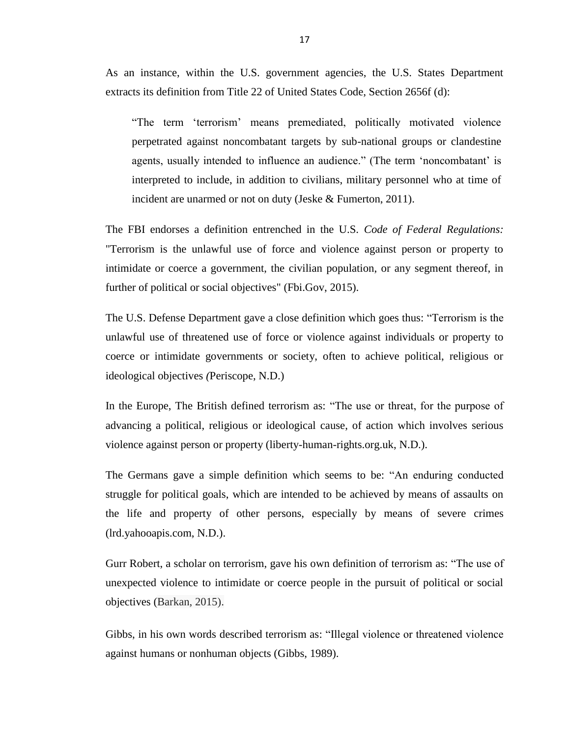As an instance, within the U.S. government agencies, the U.S. States Department extracts its definition from Title 22 of United States Code, Section 2656f (d):

―The term ‗terrorism' means premediated, politically motivated violence perpetrated against noncombatant targets by sub-national groups or clandestine agents, usually intended to influence an audience." (The term 'noncombatant' is interpreted to include, in addition to civilians, military personnel who at time of incident are unarmed or not on duty (Jeske & Fumerton, 2011).

The FBI endorses a definition entrenched in the U.S. *Code of Federal Regulations:*  "Terrorism is the unlawful use of force and violence against person or property to intimidate or coerce a government, the civilian population, or any segment thereof, in further of political or social objectives" (Fbi.Gov, 2015).

The U.S. Defense Department gave a close definition which goes thus: "Terrorism is the unlawful use of threatened use of force or violence against individuals or property to coerce or intimidate governments or society, often to achieve political, religious or ideological objectives *(*Periscope, N.D.)

In the Europe, The British defined terrorism as: "The use or threat, for the purpose of advancing a political, religious or ideological cause, of action which involves serious violence against person or property (liberty-human-rights.org.uk, N.D.).

The Germans gave a simple definition which seems to be: "An enduring conducted struggle for political goals, which are intended to be achieved by means of assaults on the life and property of other persons, especially by means of severe crimes (lrd.yahooapis.com, N.D.).

Gurr Robert, a scholar on terrorism, gave his own definition of terrorism as: "The use of unexpected violence to intimidate or coerce people in the pursuit of political or social objectives (Barkan, 2015).

Gibbs, in his own words described terrorism as: "Illegal violence or threatened violence against humans or nonhuman objects (Gibbs, 1989).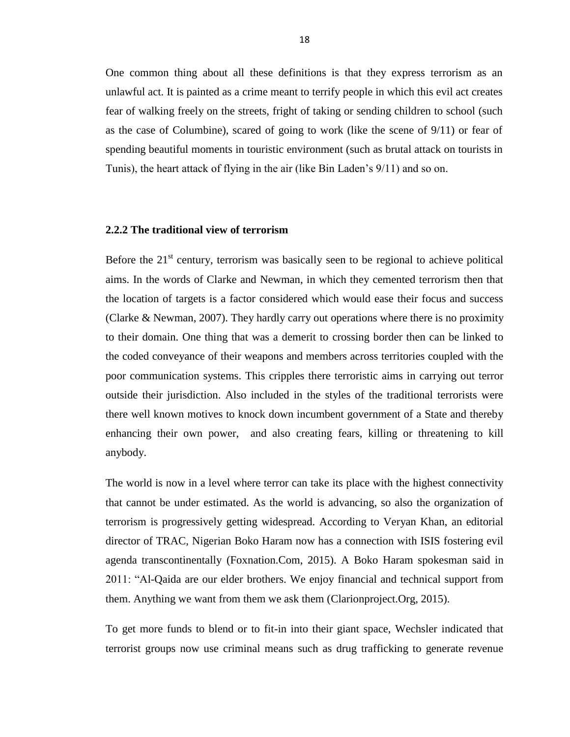One common thing about all these definitions is that they express terrorism as an unlawful act. It is painted as a crime meant to terrify people in which this evil act creates fear of walking freely on the streets, fright of taking or sending children to school (such as the case of Columbine), scared of going to work (like the scene of 9/11) or fear of spending beautiful moments in touristic environment (such as brutal attack on tourists in Tunis), the heart attack of flying in the air (like Bin Laden's 9/11) and so on.

#### <span id="page-27-0"></span>**2.2.2 The traditional view of terrorism**

Before the  $21<sup>st</sup>$  century, terrorism was basically seen to be regional to achieve political aims. In the words of Clarke and Newman, in which they cemented terrorism then that the location of targets is a factor considered which would ease their focus and success (Clarke & Newman, 2007). They hardly carry out operations where there is no proximity to their domain. One thing that was a demerit to crossing border then can be linked to the coded conveyance of their weapons and members across territories coupled with the poor communication systems. This cripples there terroristic aims in carrying out terror outside their jurisdiction. Also included in the styles of the traditional terrorists were there well known motives to knock down incumbent government of a State and thereby enhancing their own power, and also creating fears, killing or threatening to kill anybody.

The world is now in a level where terror can take its place with the highest connectivity that cannot be under estimated. As the world is advancing, so also the organization of terrorism is progressively getting widespread. According to Veryan Khan, an editorial director of TRAC, Nigerian Boko Haram now has a connection with ISIS fostering evil agenda transcontinentally (Foxnation.Com, 2015). A Boko Haram spokesman said in 2011: "Al-Qaida are our elder brothers. We enjoy financial and technical support from them. Anything we want from them we ask them (Clarionproject.Org, 2015).

To get more funds to blend or to fit-in into their giant space, Wechsler indicated that terrorist groups now use criminal means such as drug trafficking to generate revenue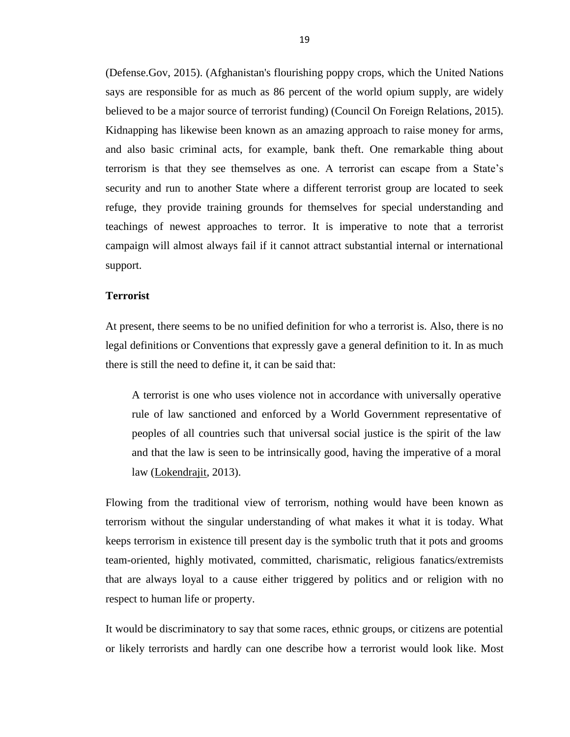(Defense.Gov, 2015). (Afghanistan's flourishing poppy crops, which the United Nations says are responsible for as much as 86 percent of the world opium supply, are widely believed to be a major source of terrorist funding) (Council On Foreign Relations, 2015). Kidnapping has likewise been known as an amazing approach to raise money for arms, and also basic criminal acts, for example, bank theft. One remarkable thing about terrorism is that they see themselves as one. A terrorist can escape from a State's security and run to another State where a different terrorist group are located to seek refuge, they provide training grounds for themselves for special understanding and teachings of newest approaches to terror. It is imperative to note that a terrorist campaign will almost always fail if it cannot attract substantial internal or international support.

#### **Terrorist**

At present, there seems to be no unified definition for who a terrorist is. Also, there is no legal definitions or Conventions that expressly gave a general definition to it. In as much there is still the need to define it, it can be said that:

A terrorist is one who uses violence not in accordance with universally operative rule of law sanctioned and enforced by a World Government representative of peoples of all countries such that universal social justice is the spirit of the law and that the law is seen to be intrinsically good, having the imperative of a moral law [\(Lokendrajit,](https://www.google.com.cy/search?tbo=p&tbm=bks&q=inauthor:%22Soyam+Lokendrajit%22) 2013).

Flowing from the traditional view of terrorism, nothing would have been known as terrorism without the singular understanding of what makes it what it is today. What keeps terrorism in existence till present day is the symbolic truth that it pots and grooms team-oriented, highly motivated, committed, charismatic, religious fanatics/extremists that are always loyal to a cause either triggered by politics and or religion with no respect to human life or property.

It would be discriminatory to say that some races, ethnic groups, or citizens are potential or likely terrorists and hardly can one describe how a terrorist would look like. Most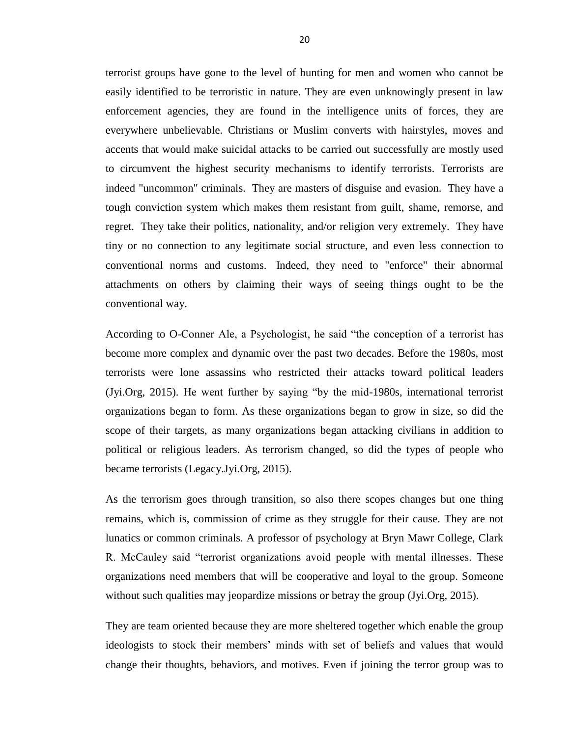terrorist groups have gone to the level of hunting for men and women who cannot be easily identified to be terroristic in nature. They are even unknowingly present in law enforcement agencies, they are found in the intelligence units of forces, they are everywhere unbelievable. Christians or Muslim converts with hairstyles, moves and accents that would make suicidal attacks to be carried out successfully are mostly used to circumvent the highest security mechanisms to identify terrorists. Terrorists are indeed "uncommon" criminals. They are masters of disguise and evasion. They have a tough conviction system which makes them resistant from guilt, shame, remorse, and regret. They take their politics, nationality, and/or religion very extremely. They have tiny or no connection to any legitimate social structure, and even less connection to conventional norms and customs. Indeed, they need to "enforce" their abnormal attachments on others by claiming their ways of seeing things ought to be the conventional way.

According to O-Conner Ale, a Psychologist, he said "the conception of a terrorist has become more complex and dynamic over the past two decades. Before the 1980s, most terrorists were lone assassins who restricted their attacks toward political leaders  $Jyi.Org, 2015$ ). He went further by saying "by the mid-1980s, international terrorist organizations began to form. As these organizations began to grow in size, so did the scope of their targets, as many organizations began attacking civilians in addition to political or religious leaders. As terrorism changed, so did the types of people who became terrorists (Legacy.Jyi.Org, 2015).

As the terrorism goes through transition, so also there scopes changes but one thing remains, which is, commission of crime as they struggle for their cause. They are not lunatics or common criminals. A professor of psychology at Bryn Mawr College, Clark R. McCauley said "terrorist organizations avoid people with mental illnesses. These organizations need members that will be cooperative and loyal to the group. Someone without such qualities may jeopardize missions or betray the group (Jyi.Org, 2015).

They are team oriented because they are more sheltered together which enable the group ideologists to stock their members' minds with set of beliefs and values that would change their thoughts, behaviors, and motives. Even if joining the terror group was to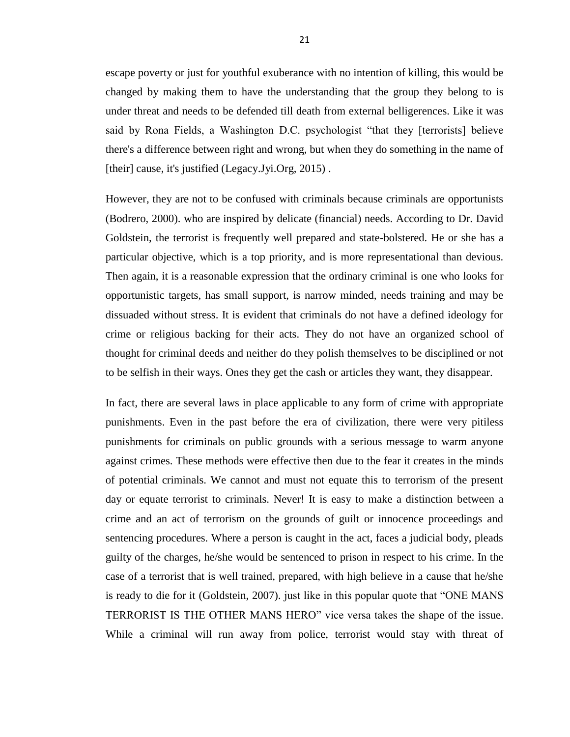escape poverty or just for youthful exuberance with no intention of killing, this would be changed by making them to have the understanding that the group they belong to is under threat and needs to be defended till death from external belligerences. Like it was said by Rona Fields, a Washington D.C. psychologist "that they [terrorists] believe there's a difference between right and wrong, but when they do something in the name of [their] cause, it's justified (Legacy.Jyi.Org, 2015).

However, they are not to be confused with criminals because criminals are opportunists (Bodrero, 2000). who are inspired by delicate (financial) needs. According to Dr. David Goldstein, the terrorist is frequently well prepared and state-bolstered. He or she has a particular objective, which is a top priority, and is more representational than devious. Then again, it is a reasonable expression that the ordinary criminal is one who looks for opportunistic targets, has small support, is narrow minded, needs training and may be dissuaded without stress. It is evident that criminals do not have a defined ideology for crime or religious backing for their acts. They do not have an organized school of thought for criminal deeds and neither do they polish themselves to be disciplined or not to be selfish in their ways. Ones they get the cash or articles they want, they disappear.

In fact, there are several laws in place applicable to any form of crime with appropriate punishments. Even in the past before the era of civilization, there were very pitiless punishments for criminals on public grounds with a serious message to warm anyone against crimes. These methods were effective then due to the fear it creates in the minds of potential criminals. We cannot and must not equate this to terrorism of the present day or equate terrorist to criminals. Never! It is easy to make a distinction between a crime and an act of terrorism on the grounds of guilt or innocence proceedings and sentencing procedures. Where a person is caught in the act, faces a judicial body, pleads guilty of the charges, he/she would be sentenced to prison in respect to his crime. In the case of a terrorist that is well trained, prepared, with high believe in a cause that he/she is ready to die for it (Goldstein, 2007). just like in this popular quote that "ONE MANS TERRORIST IS THE OTHER MANS HERO" vice versa takes the shape of the issue. While a criminal will run away from police, terrorist would stay with threat of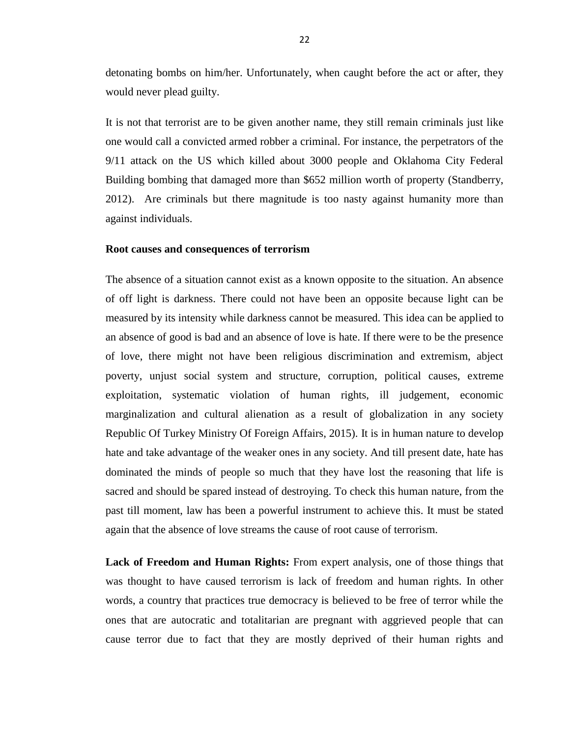detonating bombs on him/her. Unfortunately, when caught before the act or after, they would never plead guilty.

It is not that terrorist are to be given another name, they still remain criminals just like one would call a convicted armed robber a criminal. For instance, the perpetrators of the 9/11 attack on the US which killed about 3000 people and Oklahoma City Federal Building bombing that damaged more than \$652 million worth of property (Standberry, 2012). Are criminals but there magnitude is too nasty against humanity more than against individuals.

#### **Root causes and consequences of terrorism**

The absence of a situation cannot exist as a known opposite to the situation. An absence of off light is darkness. There could not have been an opposite because light can be measured by its intensity while darkness cannot be measured. This idea can be applied to an absence of good is bad and an absence of love is hate. If there were to be the presence of love, there might not have been religious discrimination and extremism, abject poverty, unjust social system and structure, corruption, political causes, extreme exploitation, systematic violation of human rights, ill judgement, economic marginalization and cultural alienation as a result of globalization in any society Republic Of Turkey Ministry Of Foreign Affairs, 2015). It is in human nature to develop hate and take advantage of the weaker ones in any society. And till present date, hate has dominated the minds of people so much that they have lost the reasoning that life is sacred and should be spared instead of destroying. To check this human nature, from the past till moment, law has been a powerful instrument to achieve this. It must be stated again that the absence of love streams the cause of root cause of terrorism.

**Lack of Freedom and Human Rights:** From expert analysis, one of those things that was thought to have caused terrorism is lack of freedom and human rights. In other words, a country that practices true democracy is believed to be free of terror while the ones that are autocratic and totalitarian are pregnant with aggrieved people that can cause terror due to fact that they are mostly deprived of their human rights and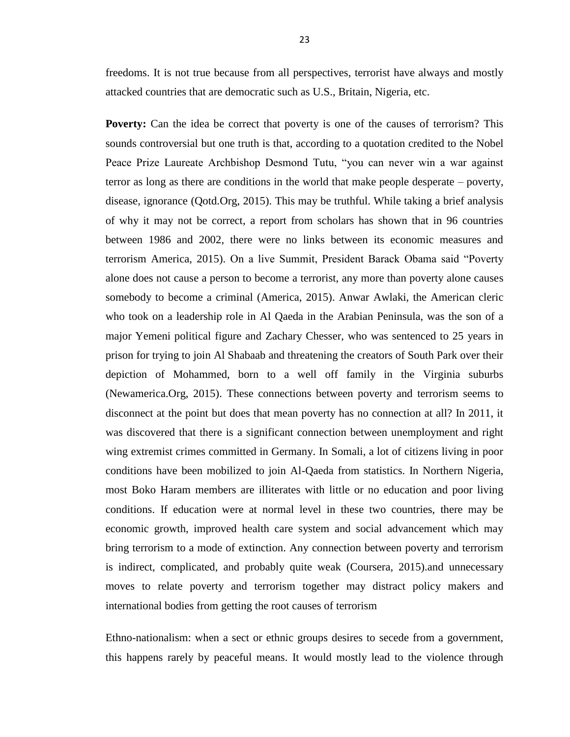freedoms. It is not true because from all perspectives, terrorist have always and mostly attacked countries that are democratic such as U.S., Britain, Nigeria, etc.

**Poverty:** Can the idea be correct that poverty is one of the causes of terrorism? This sounds controversial but one truth is that, according to a quotation credited to the Nobel Peace Prize Laureate Archbishop Desmond Tutu, "you can never win a war against terror as long as there are conditions in the world that make people desperate – poverty, disease, ignorance (Qotd.Org, 2015). This may be truthful. While taking a brief analysis of why it may not be correct, a report from scholars has shown that in 96 countries between 1986 and 2002, there were no links between its economic measures and terrorism America, 2015). On a live Summit, President Barack Obama said "Poverty" alone does not cause a person to become a terrorist, any more than poverty alone causes somebody to become a criminal (America, 2015). Anwar Awlaki, the American cleric who took on a leadership role in Al Qaeda in the Arabian Peninsula, was the son of a major Yemeni political figure and [Zachary Chesser,](http://www.washingtonpost.com/wp-dyn/content/article/2011/02/24/AR2011022403470.html) who was sentenced to 25 years in prison for trying to join Al Shabaab and threatening the creators of South Park over their depiction of Mohammed, born to a well off family in the Virginia suburbs (Newamerica.Org, 2015). These connections between poverty and terrorism seems to disconnect at the point but does that mean poverty has no connection at all? In 2011, it was discovered that there is a significant connection between unemployment and right wing extremist crimes committed in Germany. In Somali, a lot of citizens living in poor conditions have been mobilized to join Al-Qaeda from statistics. In Northern Nigeria, most Boko Haram members are illiterates with little or no education and poor living conditions. If education were at normal level in these two countries, there may be economic growth, improved health care system and social advancement which may bring terrorism to a mode of extinction. Any connection between poverty and terrorism is indirect, complicated, and probably quite weak (Coursera, 2015).and unnecessary moves to relate poverty and terrorism together may distract policy makers and international bodies from getting the root causes of terrorism

Ethno-nationalism: when a sect or ethnic groups desires to secede from a government, this happens rarely by peaceful means. It would mostly lead to the violence through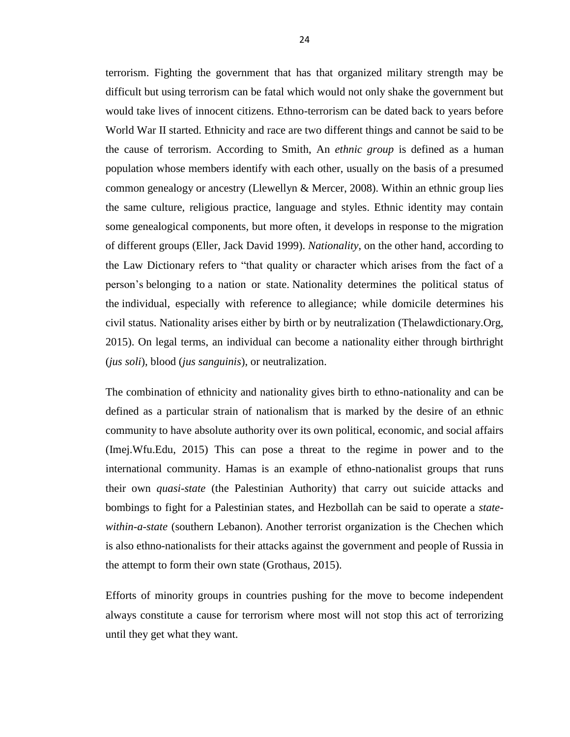terrorism. Fighting the government that has that organized military strength may be difficult but using terrorism can be fatal which would not only shake the government but would take lives of innocent citizens. Ethno-terrorism can be dated back to years before World War II started. Ethnicity and race are two different things and cannot be said to be the cause of terrorism. According to Smith, An *ethnic group* is defined as a human population whose members identify with each other, usually on the basis of a presumed common genealogy or ancestry (Llewellyn & Mercer, 2008). Within an ethnic group lies the same culture, religious practice, language and styles. Ethnic identity may contain some genealogical components, but more often, it develops in response to the migration of different groups (Eller, Jack David 1999). *Nationality*, on the other hand, according to the Law Dictionary refers to "that quality or character which arises from the fact of a person's [belonging](http://thelawdictionary.org/belonging-to/) to a nation or state. [Nationality](http://thelawdictionary.org/nationality/) determines the political status of the [individual,](http://thelawdictionary.org/individual/) especially with reference to [allegiance;](http://thelawdictionary.org/allegiance/) while domicile determines his civil status. Nationality arises either by birth or by neutralization (Thelawdictionary.Org, 2015). On legal terms, an individual can become a nationality either through birthright (*jus soli*), blood (*jus sanguinis*), or neutralization.

The combination of ethnicity and nationality gives birth to ethno-nationality and can be defined as a particular strain of nationalism that is marked by the desire of an ethnic community to have absolute authority over its own political, economic, and social affairs (Imej.Wfu.Edu, 2015) This can pose a threat to the regime in power and to the international community. Hamas is an example of ethno-nationalist groups that runs their own *quasi-state* (the Palestinian Authority) that carry out suicide attacks and bombings to fight for a Palestinian states, and Hezbollah can be said to operate a *statewithin-a-state* (southern Lebanon). Another terrorist organization is the Chechen which is also ethno-nationalists for their attacks against the government and people of Russia in the attempt to form their own state (Grothaus, 2015).

Efforts of minority groups in countries pushing for the move to become independent always constitute a cause for terrorism where most will not stop this act of terrorizing until they get what they want.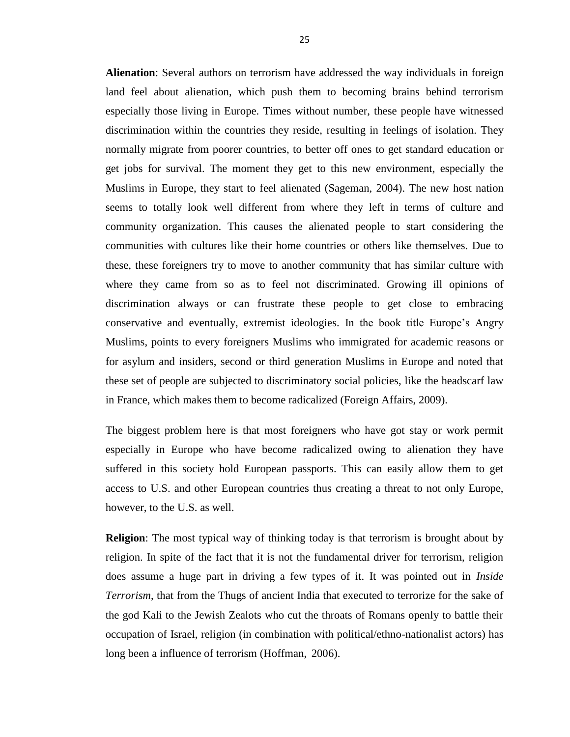**Alienation**: Several authors on terrorism have addressed the way individuals in foreign land feel about alienation, which push them to becoming brains behind terrorism especially those living in Europe. Times without number, these people have witnessed discrimination within the countries they reside, resulting in feelings of isolation. They normally migrate from poorer countries, to better off ones to get standard education or get jobs for survival. The moment they get to this new environment, especially the Muslims in Europe, they start to feel alienated (Sageman, 2004). The new host nation seems to totally look well different from where they left in terms of culture and community organization. This causes the alienated people to start considering the communities with cultures like their home countries or others like themselves. Due to these, these foreigners try to move to another community that has similar culture with where they came from so as to feel not discriminated. Growing ill opinions of discrimination always or can frustrate these people to get close to embracing conservative and eventually, extremist ideologies. In the book title Europe's Angry Muslims, points to every foreigners Muslims who immigrated for academic reasons or for asylum and insiders, second or third generation Muslims in Europe and noted that these set of people are subjected to discriminatory social policies, like the headscarf law in France, which makes them to become radicalized (Foreign Affairs, 2009).

The biggest problem here is that most foreigners who have got stay or work permit especially in Europe who have become radicalized owing to alienation they have suffered in this society hold European passports. This can easily allow them to get access to U.S. and other European countries thus creating a threat to not only Europe, however, to the U.S. as well.

**Religion**: The most typical way of thinking today is that terrorism is brought about by religion. In spite of the fact that it is not the fundamental driver for terrorism, religion does assume a huge part in driving a few types of it. It was pointed out in *Inside Terrorism*, that from the Thugs of ancient India that executed to terrorize for the sake of the god Kali to the Jewish Zealots who cut the throats of Romans openly to battle their occupation of Israel, religion (in combination with political/ethno-nationalist actors) has long been a influence of terrorism (Hoffman, 2006).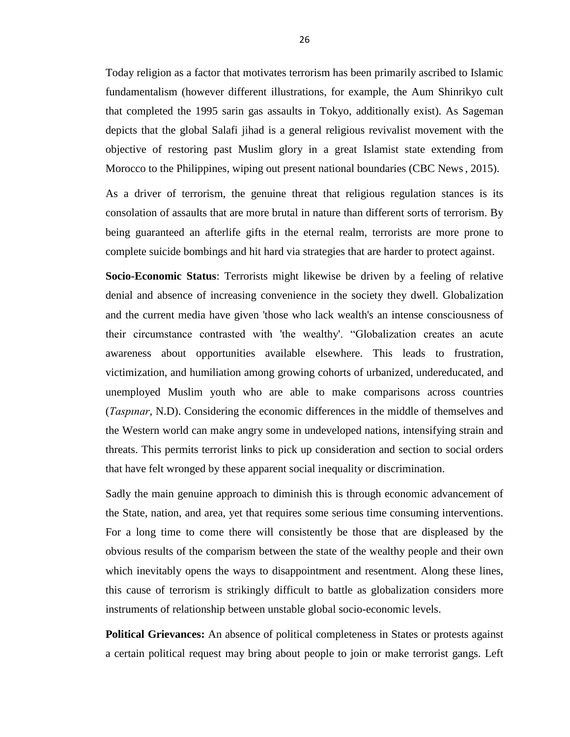Today religion as a factor that motivates terrorism has been primarily ascribed to Islamic fundamentalism (however different illustrations, for example, the Aum Shinrikyo cult that completed the 1995 sarin gas assaults in Tokyo, additionally exist). As Sageman depicts that the global Salafi jihad is a general religious revivalist movement with the objective of restoring past Muslim glory in a great Islamist state extending from Morocco to the Philippines, wiping out present national boundaries (CBC News, 2015).

As a driver of terrorism, the genuine threat that religious regulation stances is its consolation of assaults that are more brutal in nature than different sorts of terrorism. By being guaranteed an afterlife gifts in the eternal realm, terrorists are more prone to complete suicide bombings and hit hard via strategies that are harder to protect against.

**Socio-Economic Status**: Terrorists might likewise be driven by a feeling of relative denial and absence of increasing convenience in the society they dwell. Globalization and the current media have given 'those who lack wealth's an intense consciousness of their circumstance contrasted with 'the wealthy'. "Globalization creates an acute awareness about opportunities available elsewhere. This leads to frustration, victimization, and humiliation among growing cohorts of urbanized, undereducated, and unemployed Muslim youth who are able to make comparisons across countries (*Taspınar*, N.D). Considering the economic differences in the middle of themselves and the Western world can make angry some in undeveloped nations, intensifying strain and threats. This permits terrorist links to pick up consideration and section to social orders that have felt wronged by these apparent social inequality or discrimination.

Sadly the main genuine approach to diminish this is through economic advancement of the State, nation, and area, yet that requires some serious time consuming interventions. For a long time to come there will consistently be those that are displeased by the obvious results of the comparism between the state of the wealthy people and their own which inevitably opens the ways to disappointment and resentment. Along these lines, this cause of terrorism is strikingly difficult to battle as globalization considers more instruments of relationship between unstable global socio-economic levels.

**Political Grievances:** An absence of political completeness in States or protests against a certain political request may bring about people to join or make terrorist gangs. Left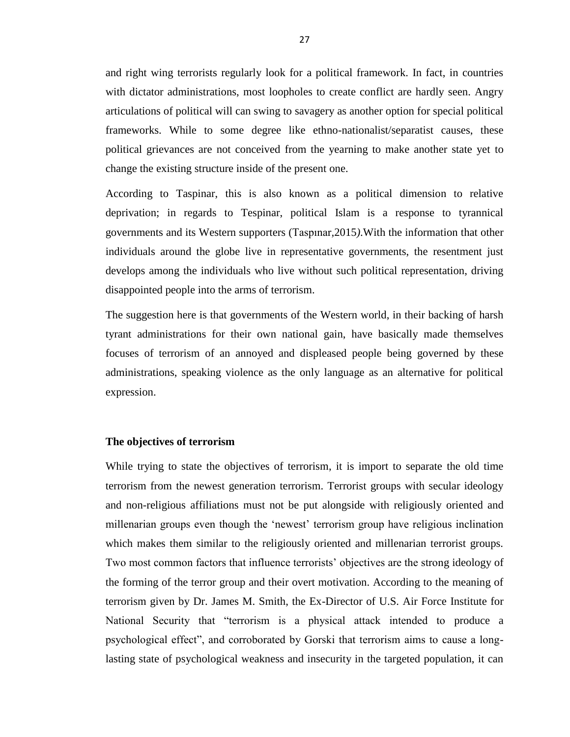and right wing terrorists regularly look for a political framework. In fact, in countries with dictator administrations, most loopholes to create conflict are hardly seen. Angry articulations of political will can swing to savagery as another option for special political frameworks. While to some degree like ethno-nationalist/separatist causes, these political grievances are not conceived from the yearning to make another state yet to change the existing structure inside of the present one.

According to Taspinar, this is also known as a political dimension to relative deprivation; in regards to Tespinar, political Islam is a response to tyrannical governments and its Western supporters (Taspınar*,*2015*)*.With the information that other individuals around the globe live in representative governments, the resentment just develops among the individuals who live without such political representation, driving disappointed people into the arms of terrorism.

The suggestion here is that governments of the Western world, in their backing of harsh tyrant administrations for their own national gain, have basically made themselves focuses of terrorism of an annoyed and displeased people being governed by these administrations, speaking violence as the only language as an alternative for political expression.

#### **The objectives of terrorism**

While trying to state the objectives of terrorism, it is import to separate the old time terrorism from the newest generation terrorism. Terrorist groups with secular ideology and non-religious affiliations must not be put alongside with religiously oriented and millenarian groups even though the 'newest' terrorism group have religious inclination which makes them similar to the religiously oriented and millenarian terrorist groups. Two most common factors that influence terrorists' objectives are the strong ideology of the forming of the terror group and their overt motivation. According to the meaning of terrorism given by Dr. James M. Smith, the Ex-Director of U.S. Air Force Institute for National Security that "terrorism is a physical attack intended to produce a psychological effect", and corroborated by Gorski that terrorism aims to cause a longlasting state of psychological weakness and insecurity in the targeted population, it can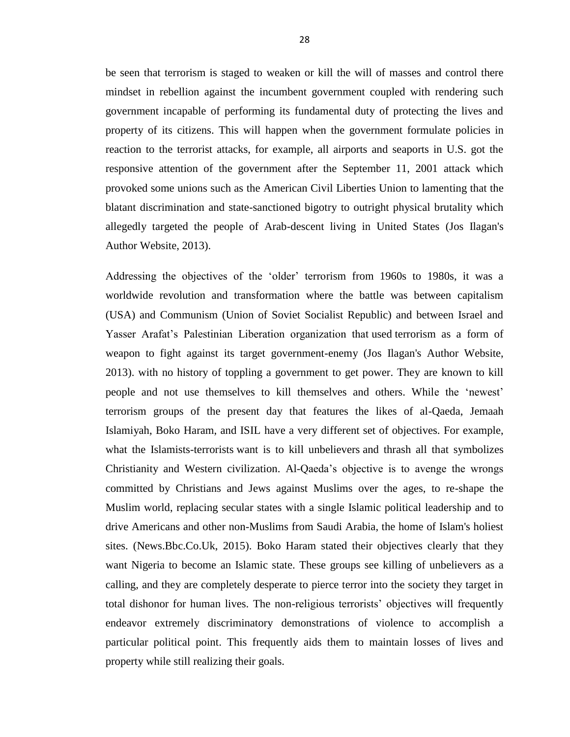be seen that terrorism is staged to weaken or kill the will of masses and control there mindset in rebellion against the incumbent government coupled with rendering such government incapable of performing its fundamental duty of protecting the lives and property of its citizens. This will happen when the government formulate policies in reaction to the terrorist attacks, for example, all airports and seaports in U.S. got the responsive attention of the government after the September 11, 2001 attack which provoked some unions such as the American Civil Liberties Union to lamenting that the blatant discrimination and state-sanctioned bigotry to outright physical brutality which allegedly targeted the people of Arab-descent living in United States (Jos Ilagan's Author Website, 2013).

Addressing the objectives of the 'older' terrorism from 1960s to 1980s, it was a worldwide revolution and transformation where the battle was between capitalism (USA) and Communism (Union of Soviet Socialist Republic) and between Israel and Yasser Arafat's Palestinian Liberation organization that used terrorism as a form of weapon to fight against its target government-enemy (Jos Ilagan's Author Website, 2013). with no history of toppling a government to get power. They are known to kill people and not use themselves to kill themselves and others. While the 'newest' terrorism groups of the present day that features the likes of al-Qaeda, Jemaah Islamiyah, Boko Haram, and ISIL have a very different set of objectives. For example, what the Islamists-terrorists want is to kill unbelievers and thrash all that symbolizes Christianity and Western civilization. Al-Qaeda's objective is to avenge the wrongs committed by Christians and Jews against Muslims over the ages, to re-shape the Muslim world, replacing secular states with a single Islamic political leadership and to drive Americans and other non-Muslims from Saudi Arabia, the home of Islam's holiest sites. (News.Bbc.Co.Uk, 2015). Boko Haram stated their objectives clearly that they want Nigeria to become an Islamic state. These groups see killing of unbelievers as a calling, and they are completely desperate to pierce terror into the society they target in total dishonor for human lives. The non-religious terrorists' objectives will frequently endeavor extremely discriminatory demonstrations of violence to accomplish a particular political point. This frequently aids them to maintain losses of lives and property while still realizing their goals.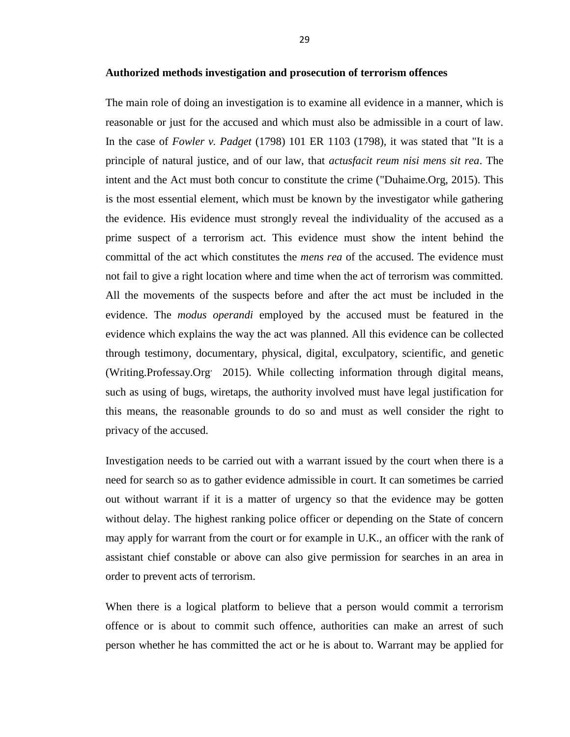#### **Authorized methods investigation and prosecution of terrorism offences**

The main role of doing an investigation is to examine all evidence in a manner, which is reasonable or just for the accused and which must also be admissible in a court of law. In the case of *Fowler v. Padget* (1798) 101 ER 1103 (1798), it was stated that "It is a principle of natural justice, and of our law, that *actusfacit reum nisi mens sit rea*. The intent and the Act must both concur to constitute the crime ("Duhaime.Org, 2015). This is the most essential element, which must be known by the investigator while gathering the evidence. His evidence must strongly reveal the individuality of the accused as a prime suspect of a terrorism act. This evidence must show the intent behind the committal of the act which constitutes the *mens rea* of the accused. The evidence must not fail to give a right location where and time when the act of terrorism was committed. All the movements of the suspects before and after the act must be included in the evidence. The *modus operandi* employed by the accused must be featured in the evidence which explains the way the act was planned. All this evidence can be collected through testimony, documentary, physical, digital, exculpatory, scientific, and genetic (Writing.Professay.Org, 2015). While collecting information through digital means, such as using of bugs, wiretaps, the authority involved must have legal justification for this means, the reasonable grounds to do so and must as well consider the right to privacy of the accused.

Investigation needs to be carried out with a warrant issued by the court when there is a need for search so as to gather evidence admissible in court. It can sometimes be carried out without warrant if it is a matter of urgency so that the evidence may be gotten without delay. The highest ranking police officer or depending on the State of concern may apply for warrant from the court or for example in U.K., an officer with the rank of assistant chief constable or above can also give permission for searches in an area in order to prevent acts of terrorism.

When there is a logical platform to believe that a person would commit a terrorism offence or is about to commit such offence, authorities can make an arrest of such person whether he has committed the act or he is about to. Warrant may be applied for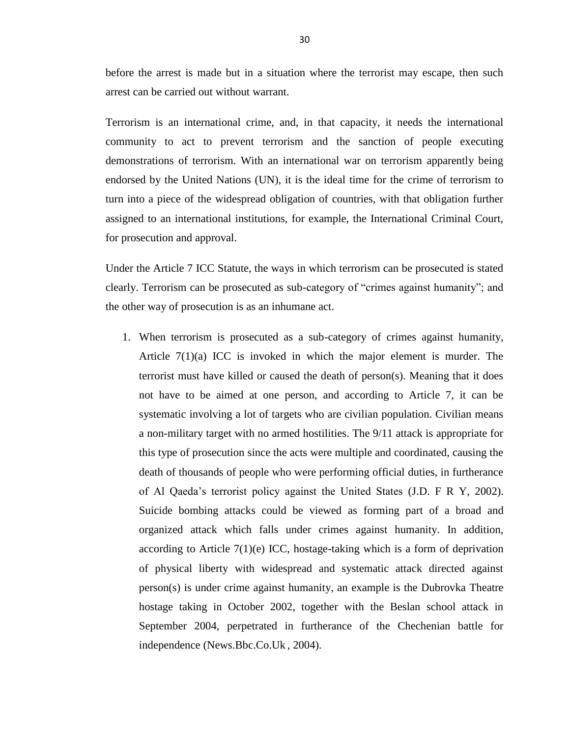before the arrest is made but in a situation where the terrorist may escape, then such arrest can be carried out without warrant.

Terrorism is an international crime, and, in that capacity, it needs the international community to act to prevent terrorism and the sanction of people executing demonstrations of terrorism. With an international war on terrorism apparently being endorsed by the United Nations (UN), it is the ideal time for the crime of terrorism to turn into a piece of the widespread obligation of countries, with that obligation further assigned to an international institutions, for example, the International Criminal Court, for prosecution and approval.

Under the Article 7 ICC Statute, the ways in which terrorism can be prosecuted is stated clearly. Terrorism can be prosecuted as sub-category of "crimes against humanity"; and the other way of prosecution is as an inhumane act.

1. When terrorism is prosecuted as a sub-category of crimes against humanity, Article  $7(1)(a)$  ICC is invoked in which the major element is murder. The terrorist must have killed or caused the death of person(s). Meaning that it does not have to be aimed at one person, and according to Article 7, it can be systematic involving a lot of targets who are civilian population. Civilian means a non-military target with no armed hostilities. The 9/11 attack is appropriate for this type of prosecution since the acts were multiple and coordinated, causing the death of thousands of people who were performing official duties, in furtherance of Al Qaeda's terrorist policy against the United States (J.D. F R Y, 2002). Suicide bombing attacks could be viewed as forming part of a broad and organized attack which falls under crimes against humanity. In addition, according to Article  $7(1)(e)$  ICC, hostage-taking which is a form of deprivation of physical liberty with widespread and systematic attack directed against person(s) is under crime against humanity, an example is the Dubrovka Theatre hostage taking in October 2002, together with the Beslan school attack in September 2004, perpetrated in furtherance of the Chechenian battle for independence (News.Bbc.Co.Uk , 2004).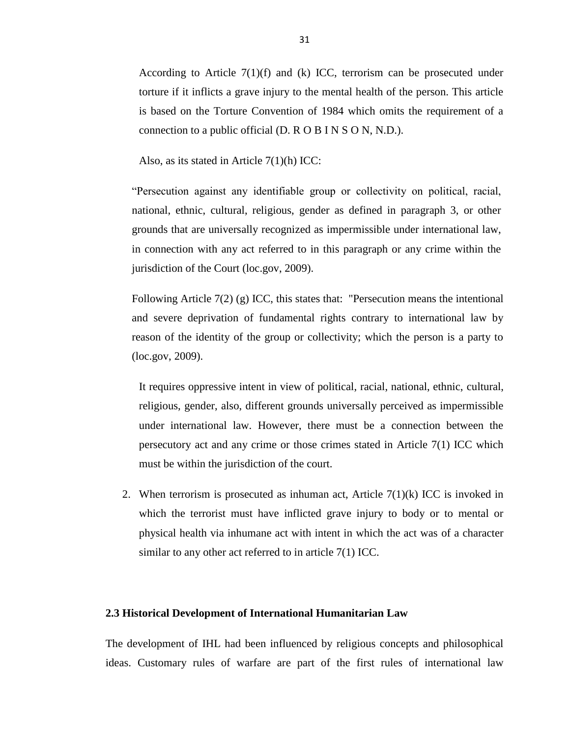According to Article 7(1)(f) and (k) ICC, terrorism can be prosecuted under torture if it inflicts a grave injury to the mental health of the person. This article is based on the Torture Convention of 1984 which omits the requirement of a connection to a public official (D. R O B I N S O N, N.D.).

Also, as its stated in Article 7(1)(h) ICC:

―Persecution against any identifiable group or collectivity on political, racial, national, ethnic, cultural, religious, gender as defined in paragraph 3, or other grounds that are universally recognized as impermissible under international law, in connection with any act referred to in this paragraph or any crime within the jurisdiction of the Court (loc.gov, 2009).

Following Article 7(2) (g) ICC, this states that: "Persecution means the intentional and severe deprivation of fundamental rights contrary to international law by reason of the identity of the group or collectivity; which the person is a party to (loc.gov, 2009).

It requires oppressive intent in view of political, racial, national, ethnic, cultural, religious, gender, also, different grounds universally perceived as impermissible under international law. However, there must be a connection between the persecutory act and any crime or those crimes stated in Article 7(1) ICC which must be within the jurisdiction of the court.

2. When terrorism is prosecuted as inhuman act, Article  $7(1)(k)$  ICC is invoked in which the terrorist must have inflicted grave injury to body or to mental or physical health via inhumane act with intent in which the act was of a character similar to any other act referred to in article 7(1) ICC.

# **2.3 Historical Development of International Humanitarian Law**

The development of IHL had been influenced by religious concepts and philosophical ideas. Customary rules of warfare are part of the first rules of international law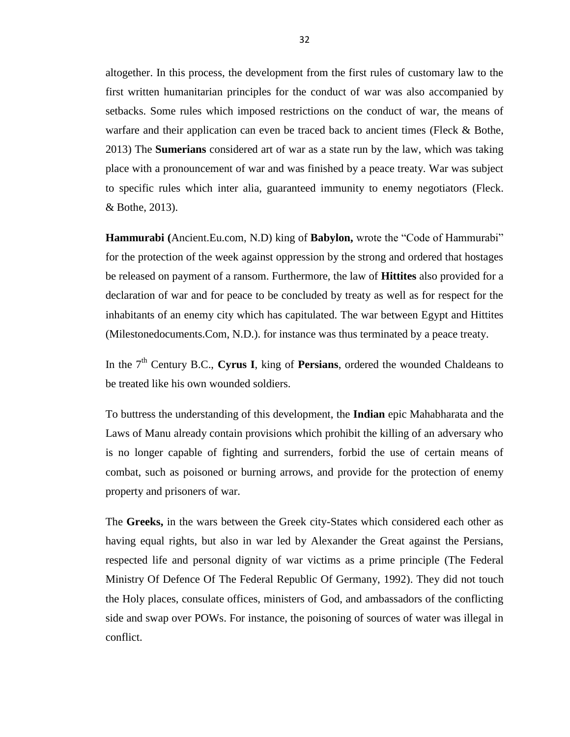altogether. In this process, the development from the first rules of customary law to the first written humanitarian principles for the conduct of war was also accompanied by setbacks. Some rules which imposed restrictions on the conduct of war, the means of warfare and their application can even be traced back to ancient times (Fleck & Bothe, 2013) The **Sumerians** considered art of war as a state run by the law, which was taking place with a pronouncement of war and was finished by a peace treaty. War was subject to specific rules which inter alia, guaranteed immunity to enemy negotiators (Fleck. & Bothe, 2013).

**Hammurabi** (Ancient.Eu.com, N.D) king of **Babylon,** wrote the "Code of Hammurabi" for the protection of the week against oppression by the strong and ordered that hostages be released on payment of a ransom. Furthermore, the law of **Hittites** also provided for a declaration of war and for peace to be concluded by treaty as well as for respect for the inhabitants of an enemy city which has capitulated. The war between Egypt and Hittites (Milestonedocuments.Com, N.D.). for instance was thus terminated by a peace treaty.

In the 7<sup>th</sup> Century B.C., **Cyrus I**, king of **Persians**, ordered the wounded Chaldeans to be treated like his own wounded soldiers.

To buttress the understanding of this development, the **Indian** epic Mahabharata and the Laws of Manu already contain provisions which prohibit the killing of an adversary who is no longer capable of fighting and surrenders, forbid the use of certain means of combat, such as poisoned or burning arrows, and provide for the protection of enemy property and prisoners of war.

The **Greeks,** in the wars between the Greek city-States which considered each other as having equal rights, but also in war led by Alexander the Great against the Persians, respected life and personal dignity of war victims as a prime principle (The Federal Ministry Of Defence Of The Federal Republic Of Germany, 1992). They did not touch the Holy places, consulate offices, ministers of God, and ambassadors of the conflicting side and swap over POWs. For instance, the poisoning of sources of water was illegal in conflict.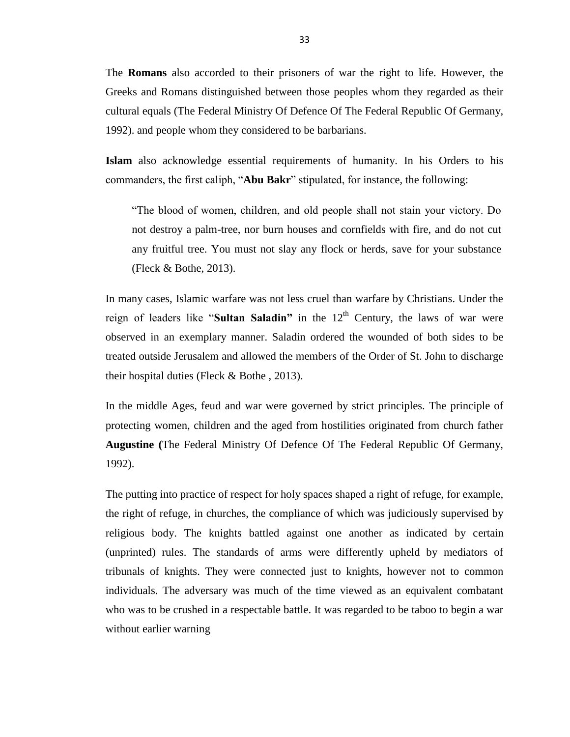The **Romans** also accorded to their prisoners of war the right to life. However, the Greeks and Romans distinguished between those peoples whom they regarded as their cultural equals (The Federal Ministry Of Defence Of The Federal Republic Of Germany, 1992). and people whom they considered to be barbarians.

**Islam** also acknowledge essential requirements of humanity. In his Orders to his commanders, the first caliph, "**Abu Bakr**" stipulated, for instance, the following:

―The blood of women, children, and old people shall not stain your victory. Do not destroy a palm-tree, nor burn houses and cornfields with fire, and do not cut any fruitful tree. You must not slay any flock or herds, save for your substance (Fleck & Bothe, 2013).

In many cases, Islamic warfare was not less cruel than warfare by Christians. Under the reign of leaders like "Sultan Saladin" in the 12<sup>th</sup> Century, the laws of war were observed in an exemplary manner. Saladin ordered the wounded of both sides to be treated outside Jerusalem and allowed the members of the Order of St. John to discharge their hospital duties (Fleck & Bothe , 2013).

In the middle Ages, feud and war were governed by strict principles. The principle of protecting women, children and the aged from hostilities originated from church father **Augustine (**The Federal Ministry Of Defence Of The Federal Republic Of Germany, 1992).

The putting into practice of respect for holy spaces shaped a right of refuge, for example, the right of refuge, in churches, the compliance of which was judiciously supervised by religious body. The knights battled against one another as indicated by certain (unprinted) rules. The standards of arms were differently upheld by mediators of tribunals of knights. They were connected just to knights, however not to common individuals. The adversary was much of the time viewed as an equivalent combatant who was to be crushed in a respectable battle. It was regarded to be taboo to begin a war without earlier warning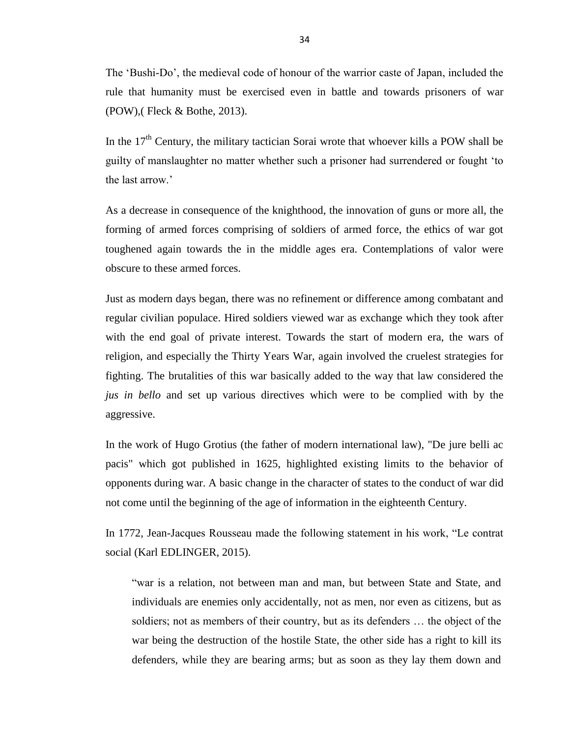The 'Bushi-Do', the medieval code of honour of the warrior caste of Japan, included the rule that humanity must be exercised even in battle and towards prisoners of war (POW),( Fleck & Bothe, 2013).

In the  $17<sup>th</sup>$  Century, the military tactician Sorai wrote that whoever kills a POW shall be guilty of manslaughter no matter whether such a prisoner had surrendered or fought ‗to the last arrow.'

As a decrease in consequence of the knighthood, the innovation of guns or more all, the forming of armed forces comprising of soldiers of armed force, the ethics of war got toughened again towards the in the middle ages era. Contemplations of valor were obscure to these armed forces.

Just as modern days began, there was no refinement or difference among combatant and regular civilian populace. Hired soldiers viewed war as exchange which they took after with the end goal of private interest. Towards the start of modern era, the wars of religion, and especially the Thirty Years War, again involved the cruelest strategies for fighting. The brutalities of this war basically added to the way that law considered the *jus in bello* and set up various directives which were to be complied with by the aggressive.

In the work of Hugo Grotius (the father of modern international law), "De jure belli ac pacis" which got published in 1625, highlighted existing limits to the behavior of opponents during war. A basic change in the character of states to the conduct of war did not come until the beginning of the age of information in the eighteenth Century.

In 1772, Jean-Jacques Rousseau made the following statement in his work, "Le contrat social (Karl EDLINGER, 2015).

―war is a relation, not between man and man, but between State and State, and individuals are enemies only accidentally, not as men, nor even as citizens, but as soldiers; not as members of their country, but as its defenders … the object of the war being the destruction of the hostile State, the other side has a right to kill its defenders, while they are bearing arms; but as soon as they lay them down and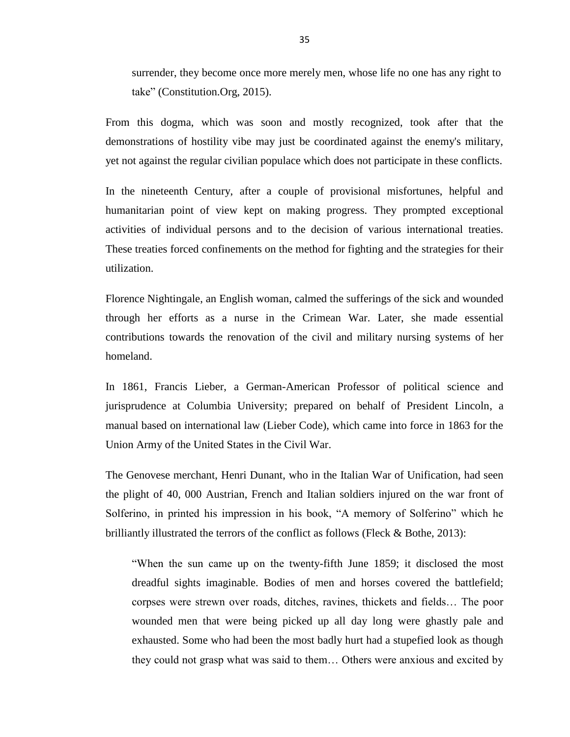surrender, they become once more merely men, whose life no one has any right to take" (Constitution.Org, 2015).

From this dogma, which was soon and mostly recognized, took after that the demonstrations of hostility vibe may just be coordinated against the enemy's military, yet not against the regular civilian populace which does not participate in these conflicts.

In the nineteenth Century, after a couple of provisional misfortunes, helpful and humanitarian point of view kept on making progress. They prompted exceptional activities of individual persons and to the decision of various international treaties. These treaties forced confinements on the method for fighting and the strategies for their utilization.

Florence Nightingale, an English woman, calmed the sufferings of the sick and wounded through her efforts as a nurse in the Crimean War. Later, she made essential contributions towards the renovation of the civil and military nursing systems of her homeland.

In 1861, Francis Lieber, a German-American Professor of political science and jurisprudence at Columbia University; prepared on behalf of President Lincoln, a manual based on international law (Lieber Code), which came into force in 1863 for the Union Army of the United States in the Civil War.

The Genovese merchant, Henri Dunant, who in the Italian War of Unification, had seen the plight of 40, 000 Austrian, French and Italian soldiers injured on the war front of Solferino, in printed his impression in his book, "A memory of Solferino" which he brilliantly illustrated the terrors of the conflict as follows (Fleck & Bothe, 2013):

"When the sun came up on the twenty-fifth June 1859; it disclosed the most dreadful sights imaginable. Bodies of men and horses covered the battlefield; corpses were strewn over roads, ditches, ravines, thickets and fields… The poor wounded men that were being picked up all day long were ghastly pale and exhausted. Some who had been the most badly hurt had a stupefied look as though they could not grasp what was said to them… Others were anxious and excited by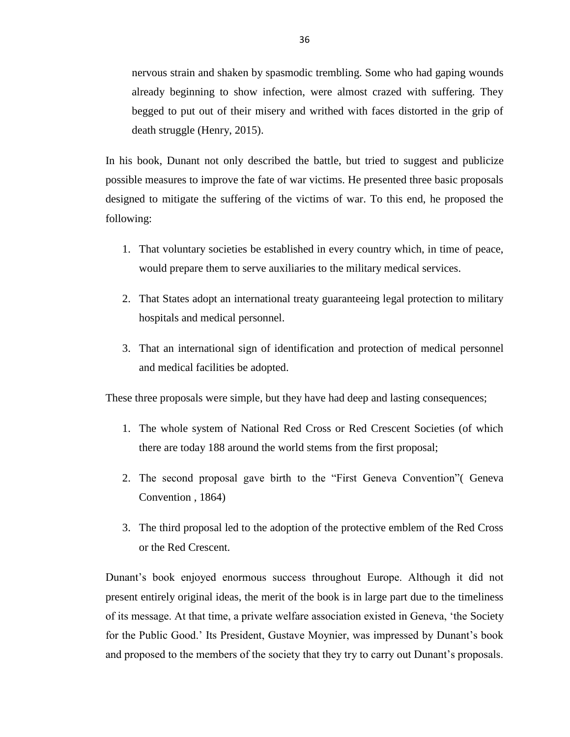nervous strain and shaken by spasmodic trembling. Some who had gaping wounds already beginning to show infection, were almost crazed with suffering. They begged to put out of their misery and writhed with faces distorted in the grip of death struggle (Henry, 2015).

In his book, Dunant not only described the battle, but tried to suggest and publicize possible measures to improve the fate of war victims. He presented three basic proposals designed to mitigate the suffering of the victims of war. To this end, he proposed the following:

- 1. That voluntary societies be established in every country which, in time of peace, would prepare them to serve auxiliaries to the military medical services.
- 2. That States adopt an international treaty guaranteeing legal protection to military hospitals and medical personnel.
- 3. That an international sign of identification and protection of medical personnel and medical facilities be adopted.

These three proposals were simple, but they have had deep and lasting consequences;

- 1. The whole system of National Red Cross or Red Crescent Societies (of which there are today 188 around the world stems from the first proposal;
- 2. The second proposal gave birth to the "First Geneva Convention" Geneva Convention , 1864)
- 3. The third proposal led to the adoption of the protective emblem of the Red Cross or the Red Crescent.

Dunant's book enjoyed enormous success throughout Europe. Although it did not present entirely original ideas, the merit of the book is in large part due to the timeliness of its message. At that time, a private welfare association existed in Geneva, ‗the Society for the Public Good.' Its President, Gustave Moynier, was impressed by Dunant's book and proposed to the members of the society that they try to carry out Dunant's proposals.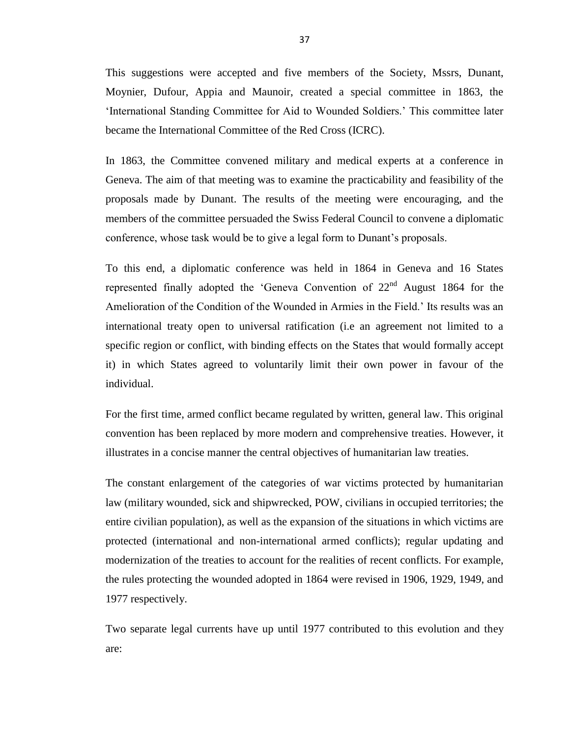This suggestions were accepted and five members of the Society, Mssrs, Dunant, Moynier, Dufour, Appia and Maunoir, created a special committee in 1863, the ‗International Standing Committee for Aid to Wounded Soldiers.' This committee later became the International Committee of the Red Cross (ICRC).

In 1863, the Committee convened military and medical experts at a conference in Geneva. The aim of that meeting was to examine the practicability and feasibility of the proposals made by Dunant. The results of the meeting were encouraging, and the members of the committee persuaded the Swiss Federal Council to convene a diplomatic conference, whose task would be to give a legal form to Dunant's proposals.

To this end, a diplomatic conference was held in 1864 in Geneva and 16 States represented finally adopted the 'Geneva Convention of  $22<sup>nd</sup>$  August 1864 for the Amelioration of the Condition of the Wounded in Armies in the Field.' Its results was an international treaty open to universal ratification (i.e an agreement not limited to a specific region or conflict, with binding effects on the States that would formally accept it) in which States agreed to voluntarily limit their own power in favour of the individual.

For the first time, armed conflict became regulated by written, general law. This original convention has been replaced by more modern and comprehensive treaties. However, it illustrates in a concise manner the central objectives of humanitarian law treaties.

The constant enlargement of the categories of war victims protected by humanitarian law (military wounded, sick and shipwrecked, POW, civilians in occupied territories; the entire civilian population), as well as the expansion of the situations in which victims are protected (international and non-international armed conflicts); regular updating and modernization of the treaties to account for the realities of recent conflicts. For example, the rules protecting the wounded adopted in 1864 were revised in 1906, 1929, 1949, and 1977 respectively.

Two separate legal currents have up until 1977 contributed to this evolution and they are: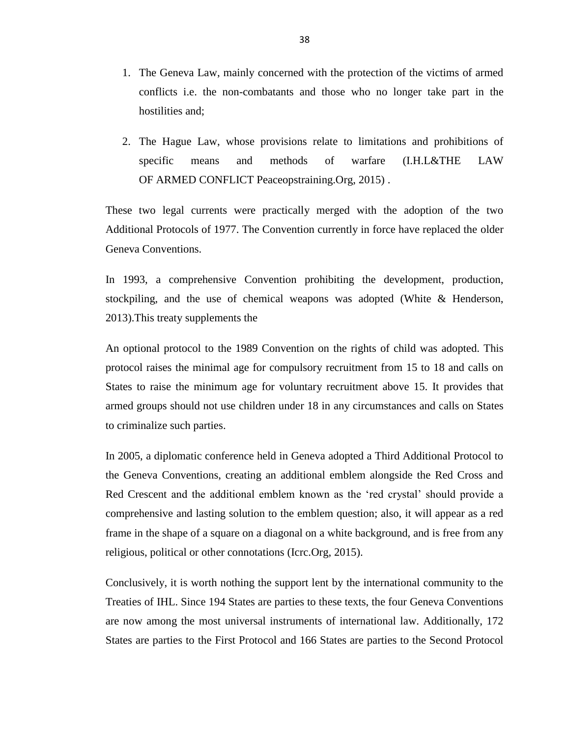- 1. The Geneva Law, mainly concerned with the protection of the victims of armed conflicts i.e. the non-combatants and those who no longer take part in the hostilities and;
- 2. The Hague Law, whose provisions relate to limitations and prohibitions of specific means and methods of warfare (I.H.L&THE LAW OF ARMED CONFLICT Peaceopstraining.Org, 2015) .

These two legal currents were practically merged with the adoption of the two Additional Protocols of 1977. The Convention currently in force have replaced the older Geneva Conventions.

In 1993, a comprehensive Convention prohibiting the development, production, stockpiling, and the use of chemical weapons was adopted (White & Henderson, 2013).This treaty supplements the

An optional protocol to the 1989 Convention on the rights of child was adopted. This protocol raises the minimal age for compulsory recruitment from 15 to 18 and calls on States to raise the minimum age for voluntary recruitment above 15. It provides that armed groups should not use children under 18 in any circumstances and calls on States to criminalize such parties.

In 2005, a diplomatic conference held in Geneva adopted a Third Additional Protocol to the Geneva Conventions, creating an additional emblem alongside the Red Cross and Red Crescent and the additional emblem known as the 'red crystal' should provide a comprehensive and lasting solution to the emblem question; also, it will appear as a red frame in the shape of a square on a diagonal on a white background, and is free from any religious, political or other connotations (Icrc.Org, 2015).

Conclusively, it is worth nothing the support lent by the international community to the Treaties of IHL. Since 194 States are parties to these texts, the four Geneva Conventions are now among the most universal instruments of international law. Additionally, 172 States are parties to the First Protocol and 166 States are parties to the Second Protocol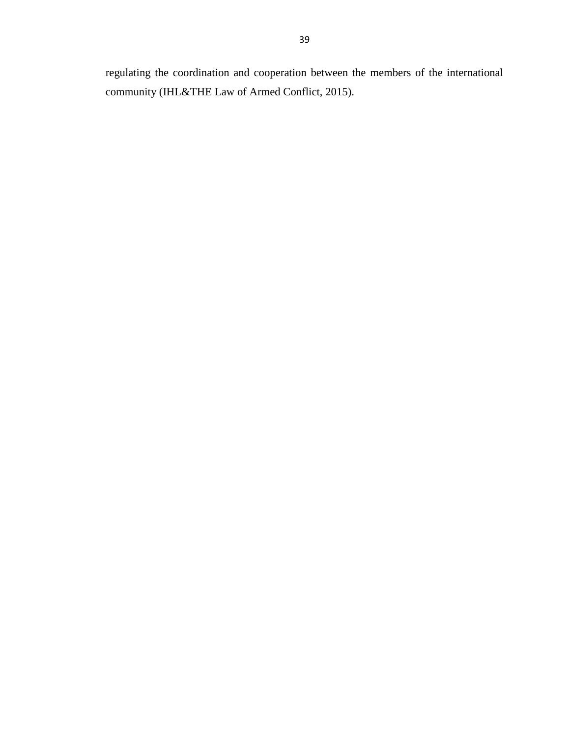regulating the coordination and cooperation between the members of the international community (IHL&THE Law of Armed Conflict, 2015).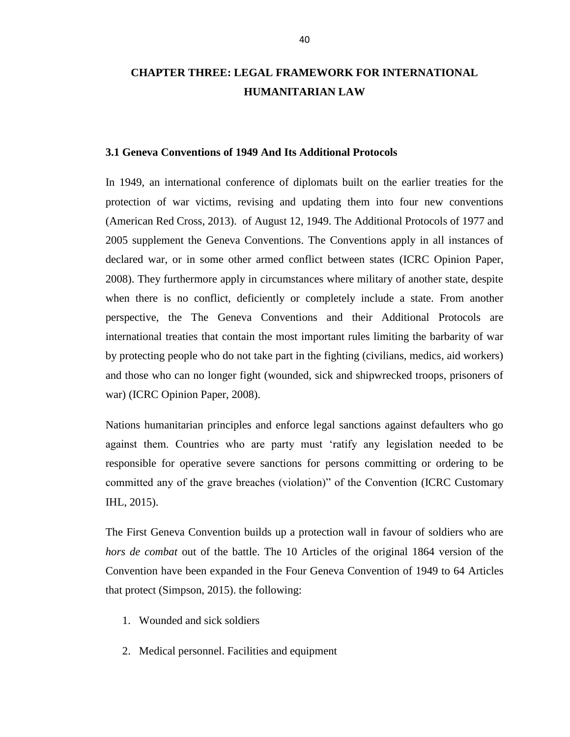# **CHAPTER THREE: LEGAL FRAMEWORK FOR INTERNATIONAL HUMANITARIAN LAW**

#### **3.1 Geneva Conventions of 1949 And Its Additional Protocols**

In 1949, an international conference of diplomats built on the earlier treaties for the protection of war victims, revising and updating them into four new conventions (American Red Cross, 2013). of August 12, 1949. The Additional Protocols of 1977 and 2005 supplement the Geneva Conventions. The Conventions apply in all instances of declared war, or in some other armed conflict between states (ICRC Opinion Paper, 2008). They furthermore apply in circumstances where military of another state, despite when there is no conflict, deficiently or completely include a state. From another perspective, the The Geneva Conventions and their Additional Protocols are international treaties that contain the most important rules limiting the barbarity of war by protecting people who do not take part in the fighting (civilians, medics, aid workers) and those who can no longer fight (wounded, sick and shipwrecked troops, prisoners of war) (ICRC Opinion Paper, 2008).

Nations humanitarian principles and enforce legal sanctions against defaulters who go against them. Countries who are party must 'ratify any legislation needed to be responsible for operative severe sanctions for persons committing or ordering to be committed any of the grave breaches (violation)" of the Convention (ICRC Customary IHL, 2015).

The First Geneva Convention builds up a protection wall in favour of soldiers who are *hors de combat* out of the battle. The 10 Articles of the original 1864 version of the Convention have been expanded in the Four Geneva Convention of 1949 to 64 Articles that protect (Simpson, 2015). the following:

- 1. Wounded and sick soldiers
- 2. Medical personnel. Facilities and equipment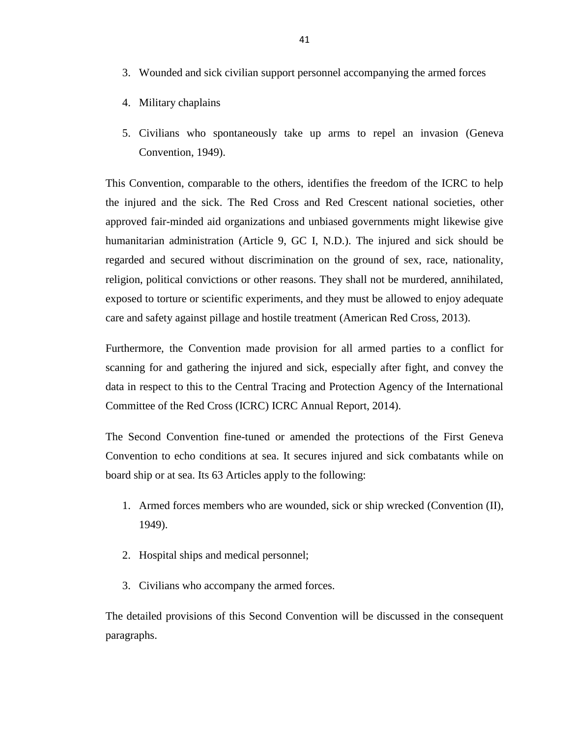- 3. Wounded and sick civilian support personnel accompanying the armed forces
- 4. Military chaplains
- 5. Civilians who spontaneously take up arms to repel an invasion (Geneva Convention, 1949).

This Convention, comparable to the others, identifies the freedom of the ICRC to help the injured and the sick. The Red Cross and Red Crescent national societies, other approved fair-minded aid organizations and unbiased governments might likewise give humanitarian administration (Article 9, GC I, N.D.). The injured and sick should be regarded and secured without discrimination on the ground of sex, race, nationality, religion, political convictions or other reasons. They shall not be murdered, annihilated, exposed to torture or scientific experiments, and they must be allowed to enjoy adequate care and safety against pillage and hostile treatment (American Red Cross, 2013).

Furthermore, the Convention made provision for all armed parties to a conflict for scanning for and gathering the injured and sick, especially after fight, and convey the data in respect to this to the Central Tracing and Protection Agency of the International Committee of the Red Cross (ICRC) ICRC Annual Report, 2014).

The Second Convention fine-tuned or amended the protections of the First Geneva Convention to echo conditions at sea. It secures injured and sick combatants while on board ship or at sea. Its 63 Articles apply to the following:

- 1. Armed forces members who are wounded, sick or ship wrecked (Convention (II), 1949).
- 2. Hospital ships and medical personnel;
- 3. Civilians who accompany the armed forces.

The detailed provisions of this Second Convention will be discussed in the consequent paragraphs.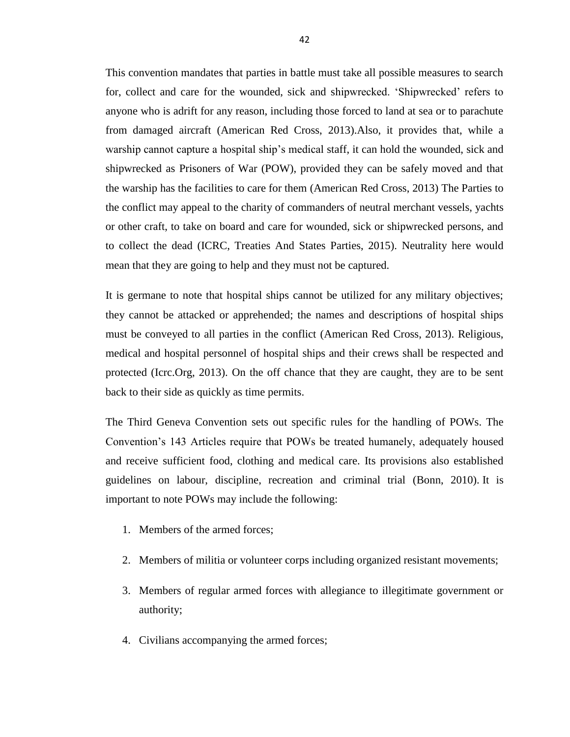This convention mandates that parties in battle must take all possible measures to search for, collect and care for the wounded, sick and shipwrecked. ‗Shipwrecked' refers to anyone who is adrift for any reason, including those forced to land at sea or to parachute from damaged aircraft (American Red Cross, 2013).Also, it provides that, while a warship cannot capture a hospital ship's medical staff, it can hold the wounded, sick and shipwrecked as Prisoners of War (POW), provided they can be safely moved and that the warship has the facilities to care for them (American Red Cross, 2013) The Parties to the conflict may appeal to the charity of commanders of neutral merchant vessels, yachts or other craft, to take on board and care for wounded, sick or shipwrecked persons, and to collect the dead (ICRC, Treaties And States Parties, 2015). Neutrality here would mean that they are going to help and they must not be captured.

It is germane to note that hospital ships cannot be utilized for any military objectives; they cannot be attacked or apprehended; the names and descriptions of hospital ships must be conveyed to all parties in the conflict (American Red Cross, 2013). Religious, medical and hospital personnel of hospital ships and their crews shall be respected and protected (Icrc.Org, 2013). On the off chance that they are caught, they are to be sent back to their side as quickly as time permits.

The Third Geneva Convention sets out specific rules for the handling of POWs. The Convention's 143 Articles require that POWs be treated humanely, adequately housed and receive sufficient food, clothing and medical care. Its provisions also established guidelines on labour, discipline, recreation and criminal trial (Bonn, 2010). It is important to note POWs may include the following:

- 1. Members of the armed forces;
- 2. Members of militia or volunteer corps including organized resistant movements;
- 3. Members of regular armed forces with allegiance to illegitimate government or authority;
- 4. Civilians accompanying the armed forces;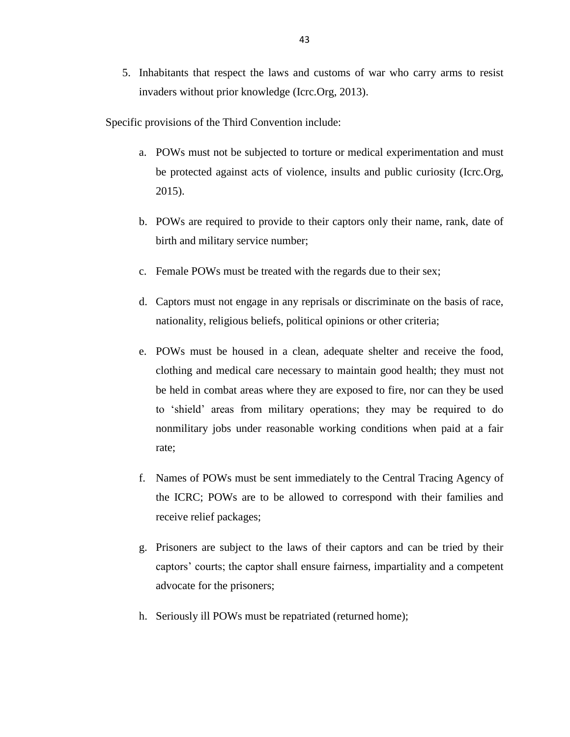5. Inhabitants that respect the laws and customs of war who carry arms to resist invaders without prior knowledge (Icrc.Org, 2013).

Specific provisions of the Third Convention include:

- a. POWs must not be subjected to torture or medical experimentation and must be protected against acts of violence, insults and public curiosity (Icrc.Org, 2015).
- b. POWs are required to provide to their captors only their name, rank, date of birth and military service number;
- c. Female POWs must be treated with the regards due to their sex;
- d. Captors must not engage in any reprisals or discriminate on the basis of race, nationality, religious beliefs, political opinions or other criteria;
- e. POWs must be housed in a clean, adequate shelter and receive the food, clothing and medical care necessary to maintain good health; they must not be held in combat areas where they are exposed to fire, nor can they be used to 'shield' areas from military operations; they may be required to do nonmilitary jobs under reasonable working conditions when paid at a fair rate;
- f. Names of POWs must be sent immediately to the Central Tracing Agency of the ICRC; POWs are to be allowed to correspond with their families and receive relief packages;
- g. Prisoners are subject to the laws of their captors and can be tried by their captors' courts; the captor shall ensure fairness, impartiality and a competent advocate for the prisoners;
- h. Seriously ill POWs must be repatriated (returned home);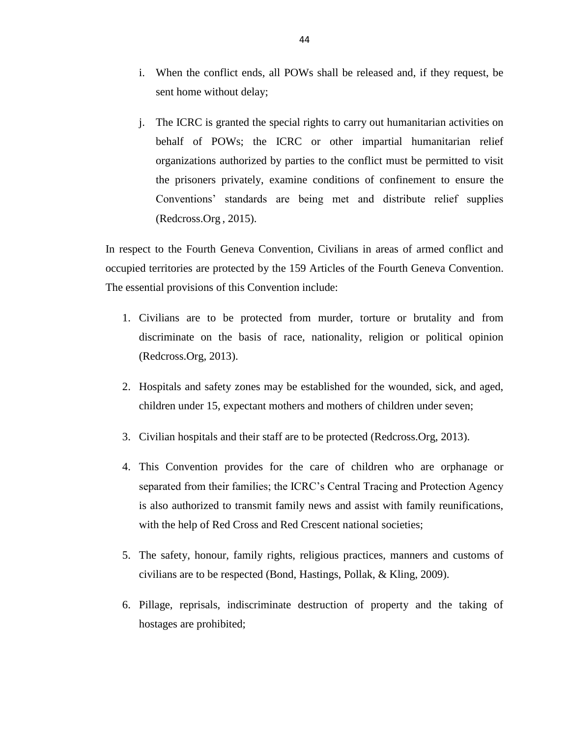- i. When the conflict ends, all POWs shall be released and, if they request, be sent home without delay;
- j. The ICRC is granted the special rights to carry out humanitarian activities on behalf of POWs; the ICRC or other impartial humanitarian relief organizations authorized by parties to the conflict must be permitted to visit the prisoners privately, examine conditions of confinement to ensure the Conventions' standards are being met and distribute relief supplies (Redcross.Org , 2015).

In respect to the Fourth Geneva Convention, Civilians in areas of armed conflict and occupied territories are protected by the 159 Articles of the Fourth Geneva Convention. The essential provisions of this Convention include:

- 1. Civilians are to be protected from murder, torture or brutality and from discriminate on the basis of race, nationality, religion or political opinion (Redcross.Org, 2013).
- 2. Hospitals and safety zones may be established for the wounded, sick, and aged, children under 15, expectant mothers and mothers of children under seven;
- 3. Civilian hospitals and their staff are to be protected (Redcross.Org, 2013).
- 4. This Convention provides for the care of children who are orphanage or separated from their families; the ICRC's Central Tracing and Protection Agency is also authorized to transmit family news and assist with family reunifications, with the help of Red Cross and Red Crescent national societies;
- 5. The safety, honour, family rights, religious practices, manners and customs of civilians are to be respected (Bond, Hastings, Pollak, & Kling, 2009).
- 6. Pillage, reprisals, indiscriminate destruction of property and the taking of hostages are prohibited;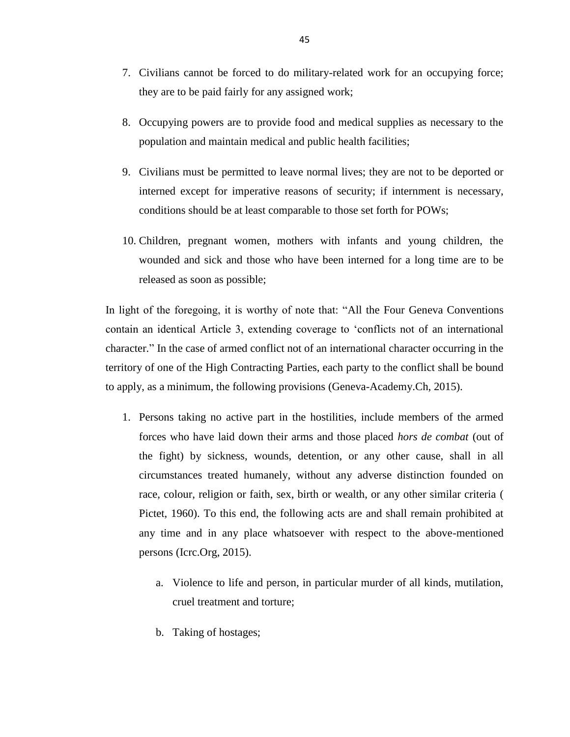- 7. Civilians cannot be forced to do military-related work for an occupying force; they are to be paid fairly for any assigned work;
- 8. Occupying powers are to provide food and medical supplies as necessary to the population and maintain medical and public health facilities;
- 9. Civilians must be permitted to leave normal lives; they are not to be deported or interned except for imperative reasons of security; if internment is necessary, conditions should be at least comparable to those set forth for POWs;
- 10. Children, pregnant women, mothers with infants and young children, the wounded and sick and those who have been interned for a long time are to be released as soon as possible;

In light of the foregoing, it is worthy of note that: "All the Four Geneva Conventions contain an identical Article 3, extending coverage to 'conflicts not of an international character." In the case of armed conflict not of an international character occurring in the territory of one of the High Contracting Parties, each party to the conflict shall be bound to apply, as a minimum, the following provisions (Geneva-Academy.Ch, 2015).

- 1. Persons taking no active part in the hostilities, include members of the armed forces who have laid down their arms and those placed *hors de combat* (out of the fight) by sickness, wounds, detention, or any other cause, shall in all circumstances treated humanely, without any adverse distinction founded on race, colour, religion or faith, sex, birth or wealth, or any other similar criteria ( Pictet, 1960). To this end, the following acts are and shall remain prohibited at any time and in any place whatsoever with respect to the above-mentioned persons (Icrc.Org, 2015).
	- a. Violence to life and person, in particular murder of all kinds, mutilation, cruel treatment and torture;
	- b. Taking of hostages;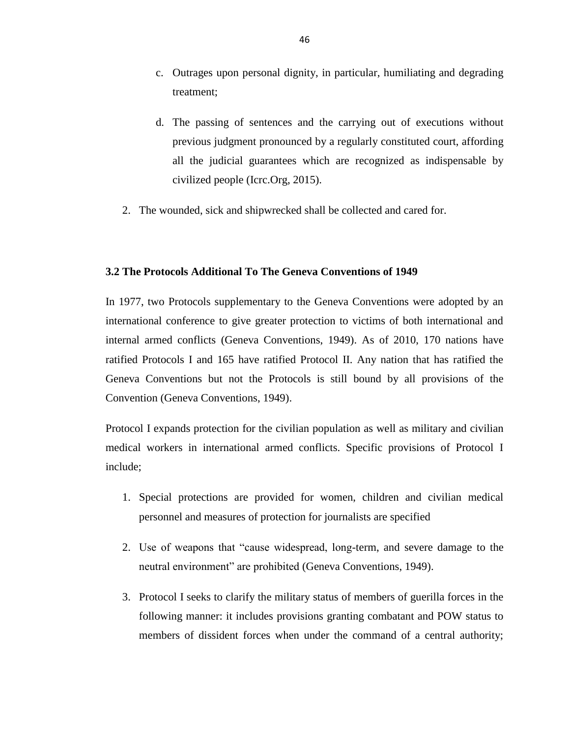- c. Outrages upon personal dignity, in particular, humiliating and degrading treatment;
- d. The passing of sentences and the carrying out of executions without previous judgment pronounced by a regularly constituted court, affording all the judicial guarantees which are recognized as indispensable by civilized people (Icrc.Org, 2015).
- 2. The wounded, sick and shipwrecked shall be collected and cared for.

# **3.2 The Protocols Additional To The Geneva Conventions of 1949**

In 1977, two Protocols supplementary to the Geneva Conventions were adopted by an international conference to give greater protection to victims of both international and internal armed conflicts (Geneva Conventions, 1949). As of 2010, 170 nations have ratified Protocols I and 165 have ratified Protocol II. Any nation that has ratified the Geneva Conventions but not the Protocols is still bound by all provisions of the Convention (Geneva Conventions, 1949).

Protocol I expands protection for the civilian population as well as military and civilian medical workers in international armed conflicts. Specific provisions of Protocol I include;

- 1. Special protections are provided for women, children and civilian medical personnel and measures of protection for journalists are specified
- 2. Use of weapons that "cause widespread, long-term, and severe damage to the neutral environment" are prohibited (Geneva Conventions, 1949).
- 3. Protocol I seeks to clarify the military status of members of guerilla forces in the following manner: it includes provisions granting combatant and POW status to members of dissident forces when under the command of a central authority;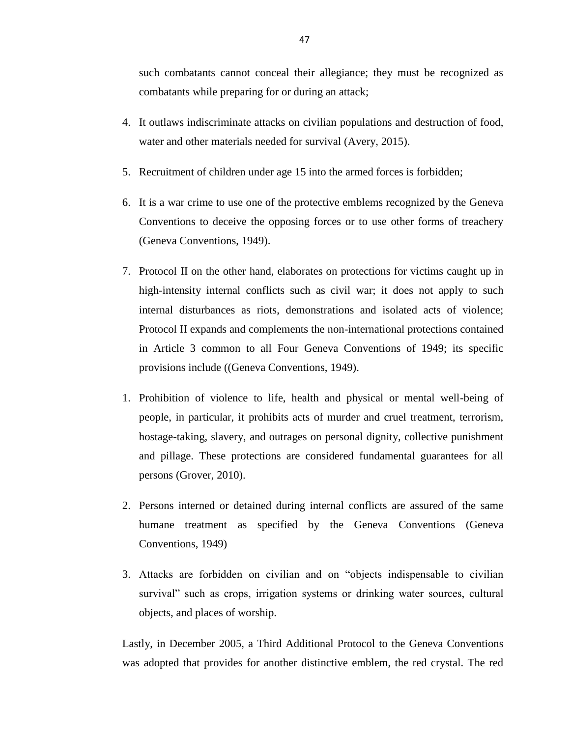such combatants cannot conceal their allegiance; they must be recognized as combatants while preparing for or during an attack;

- 4. It outlaws indiscriminate attacks on civilian populations and destruction of food, water and other materials needed for survival (Avery, 2015).
- 5. Recruitment of children under age 15 into the armed forces is forbidden;
- 6. It is a war crime to use one of the protective emblems recognized by the Geneva Conventions to deceive the opposing forces or to use other forms of treachery (Geneva Conventions, 1949).
- 7. Protocol II on the other hand, elaborates on protections for victims caught up in high-intensity internal conflicts such as civil war; it does not apply to such internal disturbances as riots, demonstrations and isolated acts of violence; Protocol II expands and complements the non-international protections contained in Article 3 common to all Four Geneva Conventions of 1949; its specific provisions include ((Geneva Conventions, 1949).
- 1. Prohibition of violence to life, health and physical or mental well-being of people, in particular, it prohibits acts of murder and cruel treatment, terrorism, hostage-taking, slavery, and outrages on personal dignity, collective punishment and pillage. These protections are considered fundamental guarantees for all persons (Grover, 2010).
- 2. Persons interned or detained during internal conflicts are assured of the same humane treatment as specified by the Geneva Conventions (Geneva Conventions, 1949)
- 3. Attacks are forbidden on civilian and on "objects indispensable to civilian survival" such as crops, irrigation systems or drinking water sources, cultural objects, and places of worship.

Lastly, in December 2005, a Third Additional Protocol to the Geneva Conventions was adopted that provides for another distinctive emblem, the red crystal. The red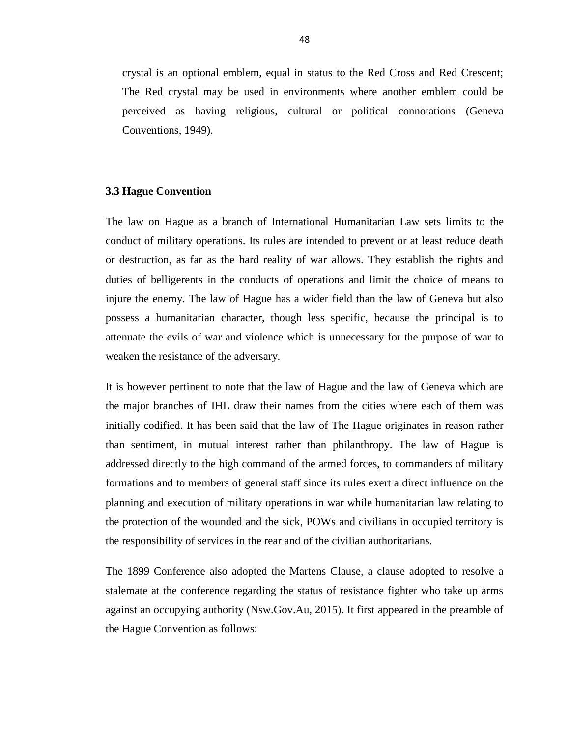crystal is an optional emblem, equal in status to the Red Cross and Red Crescent; The Red crystal may be used in environments where another emblem could be perceived as having religious, cultural or political connotations (Geneva Conventions, 1949).

# **3.3 Hague Convention**

The law on Hague as a branch of International Humanitarian Law sets limits to the conduct of military operations. Its rules are intended to prevent or at least reduce death or destruction, as far as the hard reality of war allows. They establish the rights and duties of belligerents in the conducts of operations and limit the choice of means to injure the enemy. The law of Hague has a wider field than the law of Geneva but also possess a humanitarian character, though less specific, because the principal is to attenuate the evils of war and violence which is unnecessary for the purpose of war to weaken the resistance of the adversary.

It is however pertinent to note that the law of Hague and the law of Geneva which are the major branches of IHL draw their names from the cities where each of them was initially codified. It has been said that the law of The Hague originates in reason rather than sentiment, in mutual interest rather than philanthropy. The law of Hague is addressed directly to the high command of the armed forces, to commanders of military formations and to members of general staff since its rules exert a direct influence on the planning and execution of military operations in war while humanitarian law relating to the protection of the wounded and the sick, POWs and civilians in occupied territory is the responsibility of services in the rear and of the civilian authoritarians.

The 1899 Conference also adopted the Martens Clause, a clause adopted to resolve a stalemate at the conference regarding the status of resistance fighter who take up arms against an occupying authority (Nsw.Gov.Au, 2015). It first appeared in the preamble of the Hague Convention as follows: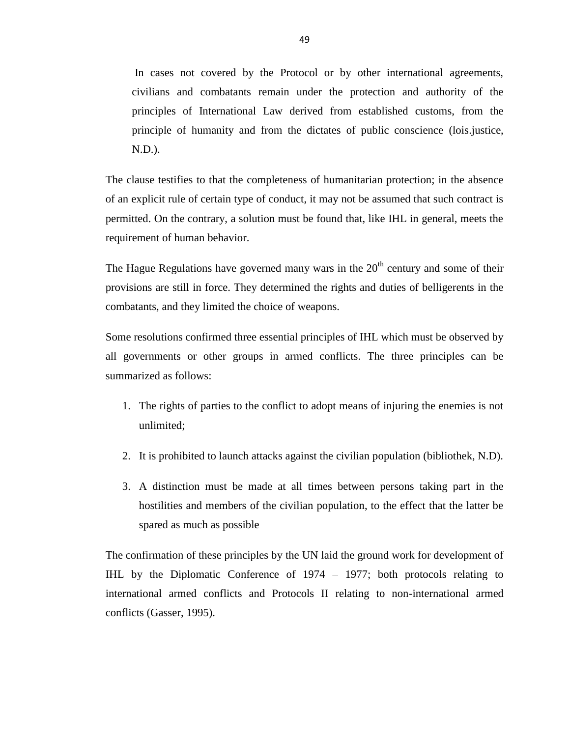In cases not covered by the Protocol or by other international agreements, civilians and combatants remain under the protection and authority of the principles of International Law derived from established customs, from the principle of humanity and from the dictates of public conscience (lois.justice, N.D.).

The clause testifies to that the completeness of humanitarian protection; in the absence of an explicit rule of certain type of conduct, it may not be assumed that such contract is permitted. On the contrary, a solution must be found that, like IHL in general, meets the requirement of human behavior.

The Hague Regulations have governed many wars in the  $20<sup>th</sup>$  century and some of their provisions are still in force. They determined the rights and duties of belligerents in the combatants, and they limited the choice of weapons.

Some resolutions confirmed three essential principles of IHL which must be observed by all governments or other groups in armed conflicts. The three principles can be summarized as follows:

- 1. The rights of parties to the conflict to adopt means of injuring the enemies is not unlimited;
- 2. It is prohibited to launch attacks against the civilian population (bibliothek, N.D).
- 3. A distinction must be made at all times between persons taking part in the hostilities and members of the civilian population, to the effect that the latter be spared as much as possible

The confirmation of these principles by the UN laid the ground work for development of IHL by the Diplomatic Conference of 1974 – 1977; both protocols relating to international armed conflicts and Protocols II relating to non-international armed conflicts (Gasser, 1995).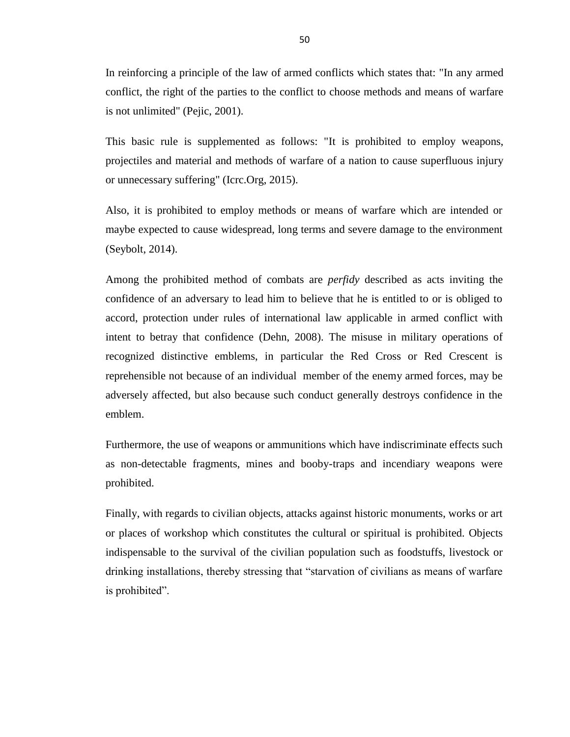In reinforcing a principle of the law of armed conflicts which states that: "In any armed conflict, the right of the parties to the conflict to choose methods and means of warfare is not unlimited" (Pejic, 2001).

This basic rule is supplemented as follows: "It is prohibited to employ weapons, projectiles and material and methods of warfare of a nation to cause superfluous injury or unnecessary suffering" (Icrc.Org, 2015).

Also, it is prohibited to employ methods or means of warfare which are intended or maybe expected to cause widespread, long terms and severe damage to the environment (Seybolt, 2014).

Among the prohibited method of combats are *perfidy* described as acts inviting the confidence of an adversary to lead him to believe that he is entitled to or is obliged to accord, protection under rules of international law applicable in armed conflict with intent to betray that confidence (Dehn, 2008). The misuse in military operations of recognized distinctive emblems, in particular the Red Cross or Red Crescent is reprehensible not because of an individual member of the enemy armed forces, may be adversely affected, but also because such conduct generally destroys confidence in the emblem.

Furthermore, the use of weapons or ammunitions which have indiscriminate effects such as non-detectable fragments, mines and booby-traps and incendiary weapons were prohibited.

Finally, with regards to civilian objects, attacks against historic monuments, works or art or places of workshop which constitutes the cultural or spiritual is prohibited. Objects indispensable to the survival of the civilian population such as foodstuffs, livestock or drinking installations, thereby stressing that "starvation of civilians as means of warfare is prohibited".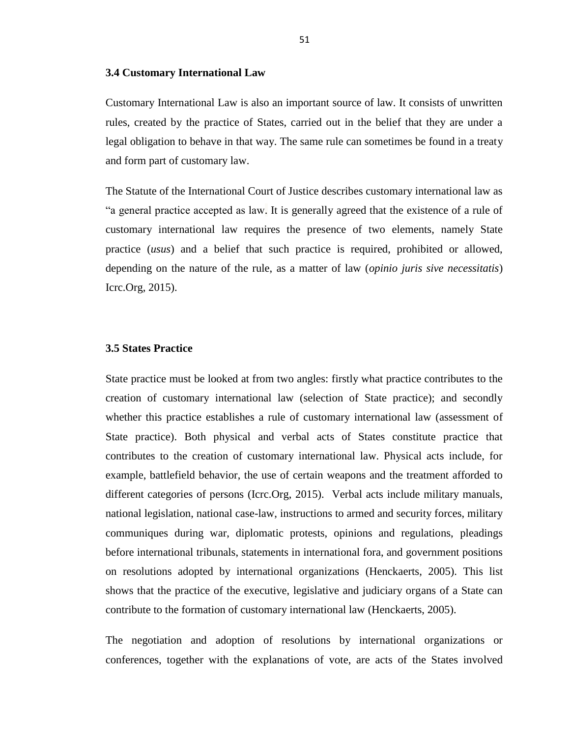#### **3.4 Customary International Law**

Customary International Law is also an important source of law. It consists of unwritten rules, created by the practice of States, carried out in the belief that they are under a legal obligation to behave in that way. The same rule can sometimes be found in a treaty and form part of customary law.

The Statute of the International Court of Justice describes customary international law as ―a general practice accepted as law. It is generally agreed that the existence of a rule of customary international law requires the presence of two elements, namely State practice (*usus*) and a belief that such practice is required, prohibited or allowed, depending on the nature of the rule, as a matter of law (*opinio juris sive necessitatis*) Icrc.Org, 2015).

#### **3.5 States Practice**

State practice must be looked at from two angles: firstly what practice contributes to the creation of customary international law (selection of State practice); and secondly whether this practice establishes a rule of customary international law (assessment of State practice). Both physical and verbal acts of States constitute practice that contributes to the creation of customary international law. Physical acts include, for example, battlefield behavior, the use of certain weapons and the treatment afforded to different categories of persons (Icrc.Org, 2015). Verbal acts include military manuals, national legislation, national case-law, instructions to armed and security forces, military communiques during war, diplomatic protests, opinions and regulations, pleadings before international tribunals, statements in international fora, and government positions on resolutions adopted by international organizations (Henckaerts, 2005). This list shows that the practice of the executive, legislative and judiciary organs of a State can contribute to the formation of customary international law (Henckaerts, 2005).

The negotiation and adoption of resolutions by international organizations or conferences, together with the explanations of vote, are acts of the States involved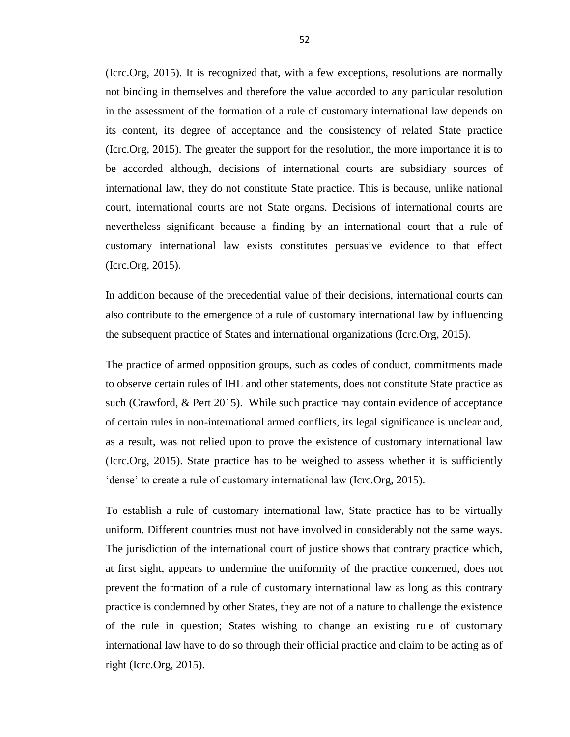(Icrc.Org, 2015). It is recognized that, with a few exceptions, resolutions are normally not binding in themselves and therefore the value accorded to any particular resolution in the assessment of the formation of a rule of customary international law depends on its content, its degree of acceptance and the consistency of related State practice (Icrc.Org, 2015). The greater the support for the resolution, the more importance it is to be accorded although, decisions of international courts are subsidiary sources of international law, they do not constitute State practice. This is because, unlike national court, international courts are not State organs. Decisions of international courts are nevertheless significant because a finding by an international court that a rule of customary international law exists constitutes persuasive evidence to that effect (Icrc.Org, 2015).

In addition because of the precedential value of their decisions, international courts can also contribute to the emergence of a rule of customary international law by influencing the subsequent practice of States and international organizations (Icrc.Org, 2015).

The practice of armed opposition groups, such as codes of conduct, commitments made to observe certain rules of IHL and other statements, does not constitute State practice as such (Crawford, & Pert 2015). While such practice may contain evidence of acceptance of certain rules in non-international armed conflicts, its legal significance is unclear and, as a result, was not relied upon to prove the existence of customary international law (Icrc.Org, 2015). State practice has to be weighed to assess whether it is sufficiently dense' to create a rule of customary international law (Icrc.Org, 2015).

To establish a rule of customary international law, State practice has to be virtually uniform. Different countries must not have involved in considerably not the same ways. The jurisdiction of the international court of justice shows that contrary practice which, at first sight, appears to undermine the uniformity of the practice concerned, does not prevent the formation of a rule of customary international law as long as this contrary practice is condemned by other States, they are not of a nature to challenge the existence of the rule in question; States wishing to change an existing rule of customary international law have to do so through their official practice and claim to be acting as of right (Icrc.Org, 2015).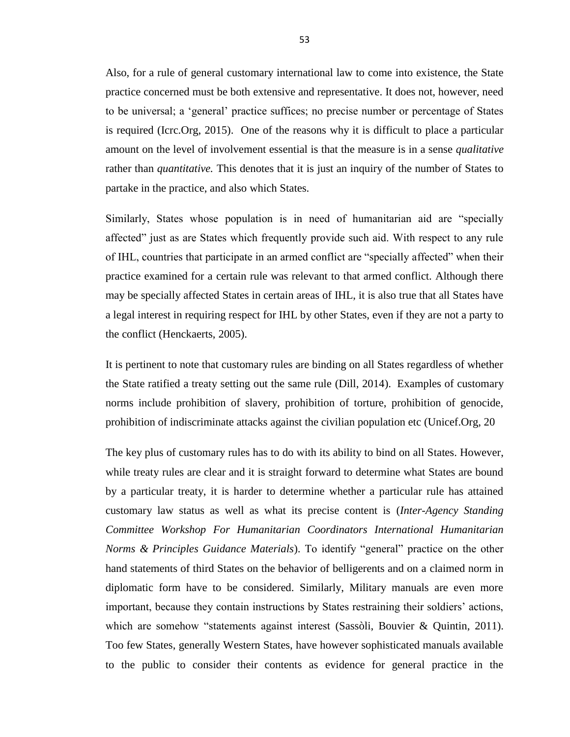Also, for a rule of general customary international law to come into existence, the State practice concerned must be both extensive and representative. It does not, however, need to be universal; a ‗general' practice suffices; no precise number or percentage of States is required (Icrc.Org, 2015). One of the reasons why it is difficult to place a particular amount on the level of involvement essential is that the measure is in a sense *qualitative*  rather than *quantitative.* This denotes that it is just an inquiry of the number of States to partake in the practice, and also which States.

Similarly, States whose population is in need of humanitarian aid are "specially affected‖ just as are States which frequently provide such aid. With respect to any rule of IHL, countries that participate in an armed conflict are "specially affected" when their practice examined for a certain rule was relevant to that armed conflict. Although there may be specially affected States in certain areas of IHL, it is also true that all States have a legal interest in requiring respect for IHL by other States, even if they are not a party to the conflict (Henckaerts, 2005).

It is pertinent to note that customary rules are binding on all States regardless of whether the State ratified a treaty setting out the same rule (Dill, 2014). Examples of customary norms include prohibition of slavery, prohibition of torture, prohibition of genocide, prohibition of indiscriminate attacks against the civilian population etc (Unicef.Org, 20

The key plus of customary rules has to do with its ability to bind on all States. However, while treaty rules are clear and it is straight forward to determine what States are bound by a particular treaty, it is harder to determine whether a particular rule has attained customary law status as well as what its precise content is (*Inter-Agency Standing Committee Workshop For Humanitarian Coordinators International Humanitarian Norms & Principles Guidance Materials*). To identify "general" practice on the other hand statements of third States on the behavior of belligerents and on a claimed norm in diplomatic form have to be considered. Similarly, Military manuals are even more important, because they contain instructions by States restraining their soldiers' actions, which are somehow "statements against interest (Sassòli, Bouvier & Quintin, 2011). Too few States, generally Western States, have however sophisticated manuals available to the public to consider their contents as evidence for general practice in the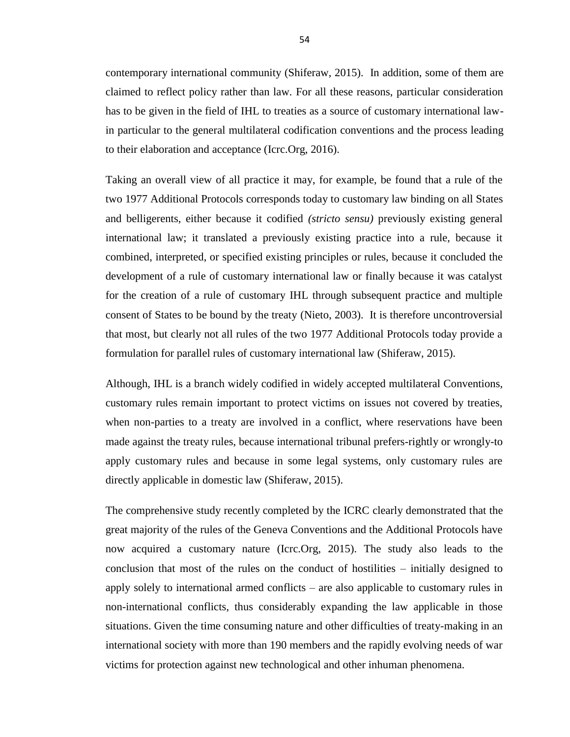contemporary international community (Shiferaw, 2015). In addition, some of them are claimed to reflect policy rather than law. For all these reasons, particular consideration has to be given in the field of IHL to treaties as a source of customary international lawin particular to the general multilateral codification conventions and the process leading to their elaboration and acceptance (Icrc.Org, 2016).

Taking an overall view of all practice it may, for example, be found that a rule of the two 1977 Additional Protocols corresponds today to customary law binding on all States and belligerents, either because it codified *(stricto sensu)* previously existing general international law; it translated a previously existing practice into a rule, because it combined, interpreted, or specified existing principles or rules, because it concluded the development of a rule of customary international law or finally because it was catalyst for the creation of a rule of customary IHL through subsequent practice and multiple consent of States to be bound by the treaty (Nieto, 2003). It is therefore uncontroversial that most, but clearly not all rules of the two 1977 Additional Protocols today provide a formulation for parallel rules of customary international law (Shiferaw, 2015).

Although, IHL is a branch widely codified in widely accepted multilateral Conventions, customary rules remain important to protect victims on issues not covered by treaties, when non-parties to a treaty are involved in a conflict, where reservations have been made against the treaty rules, because international tribunal prefers-rightly or wrongly-to apply customary rules and because in some legal systems, only customary rules are directly applicable in domestic law (Shiferaw, 2015).

The comprehensive study recently completed by the ICRC clearly demonstrated that the great majority of the rules of the Geneva Conventions and the Additional Protocols have now acquired a customary nature (Icrc.Org, 2015). The study also leads to the conclusion that most of the rules on the conduct of hostilities – initially designed to apply solely to international armed conflicts – are also applicable to customary rules in non-international conflicts, thus considerably expanding the law applicable in those situations. Given the time consuming nature and other difficulties of treaty-making in an international society with more than 190 members and the rapidly evolving needs of war victims for protection against new technological and other inhuman phenomena.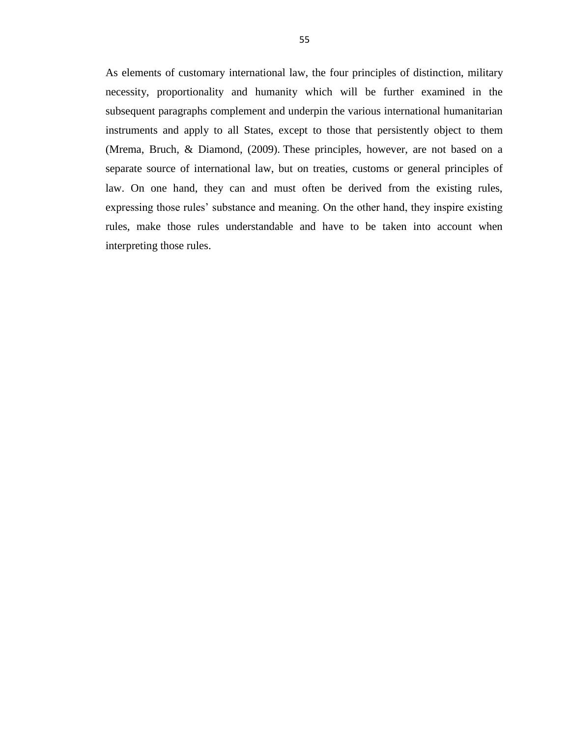As elements of customary international law, the four principles of distinction, military necessity, proportionality and humanity which will be further examined in the subsequent paragraphs complement and underpin the various international humanitarian instruments and apply to all States, except to those that persistently object to them (Mrema, Bruch, & Diamond, (2009). These principles, however, are not based on a separate source of international law, but on treaties, customs or general principles of law. On one hand, they can and must often be derived from the existing rules, expressing those rules' substance and meaning. On the other hand, they inspire existing rules, make those rules understandable and have to be taken into account when interpreting those rules.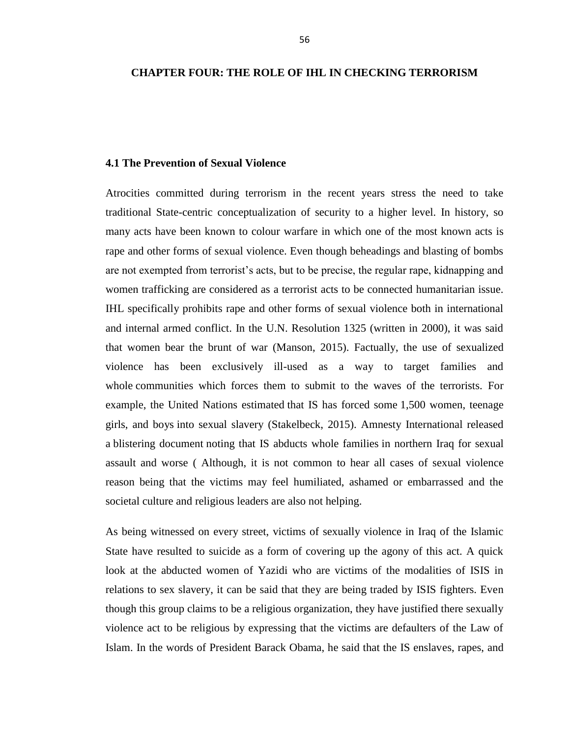# **CHAPTER FOUR: THE ROLE OF IHL IN CHECKING TERRORISM**

# **4.1 The Prevention of Sexual Violence**

Atrocities committed during terrorism in the recent years stress the need to take traditional State-centric conceptualization of security to a higher level. In history, so many acts have been known to colour warfare in which one of the most known acts is rape and other forms of sexual violence. Even though beheadings and blasting of bombs are not exempted from terrorist's acts, but to be precise, the regular rape, kidnapping and women trafficking are considered as a terrorist acts to be connected humanitarian issue. IHL specifically prohibits rape and other forms of sexual violence both in international and internal armed conflict. In the U.N. Resolution 1325 (written in 2000), it was said that women bear the brunt of war (Manson, 2015). Factually, the use of sexualized violence has been exclusively ill-used as a way to target families and whole communities which forces them to submit to the waves of the terrorists. For example, the United Nations [estimated](http://www.un.org/apps/news/story.asp?NewsID=48477#.VBZHf_ldUr8) that IS has forced some [1,500 women, teenage](http://www.uniraq.org/index.php?option=com_k2&view=item&id=2373:srsg-bangura-and-srsg-mladenov-gravely-concerned-by-reports-of-sexual-violence-against-internally-displaced-persons&Itemid=605&lang=en)  [girls, and boys](http://www.uniraq.org/index.php?option=com_k2&view=item&id=2373:srsg-bangura-and-srsg-mladenov-gravely-concerned-by-reports-of-sexual-violence-against-internally-displaced-persons&Itemid=605&lang=en) into sexual slavery (Stakelbeck, 2015). Amnesty International released a [blistering document](http://www.amnesty.org/en/news/gruesome-evidence-ethnic-cleansing-northern-iraq-islamic-state-moves-wipe-out-minorities-2014-0) noting that IS abducts whole families in northern Iraq for sexual assault and worse ( Although, it is not common to hear all cases of sexual violence reason being that the victims may feel humiliated, ashamed or embarrassed and the societal culture and religious leaders are also not helping.

As being witnessed on every street, victims of sexually violence in Iraq of the Islamic State have resulted to suicide as a form of covering up the agony of this act. A quick look at the abducted women of Yazidi who are victims of the modalities of ISIS in relations to sex slavery, it can be said that they are being traded by ISIS fighters. Even though this group claims to be a religious organization, they have justified there sexually violence act to be religious by expressing that the victims are defaulters of the Law of Islam. In the words of President Barack Obama, he said that the IS enslaves, rapes, and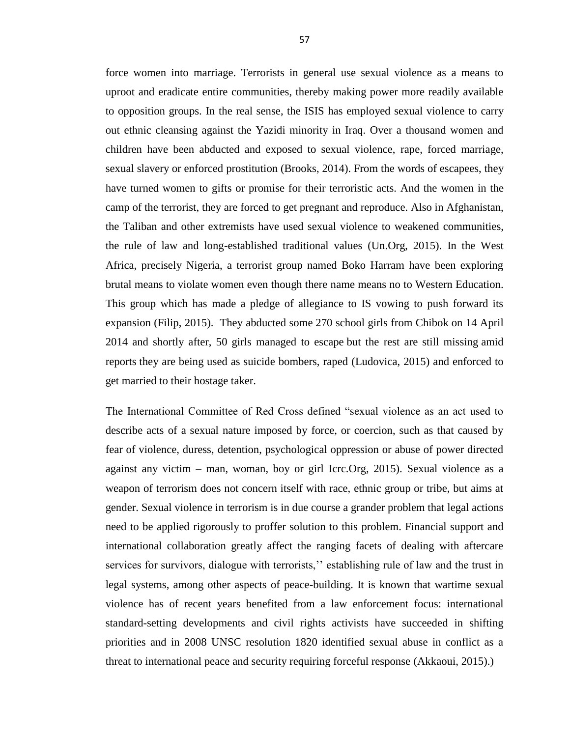force women into marriage. Terrorists in general use sexual violence as a means to uproot and eradicate entire communities, thereby making power more readily available to opposition groups. In the real sense, the ISIS has employed sexual violence to carry out ethnic cleansing against the Yazidi minority in Iraq. Over a thousand women and children have been abducted and exposed to sexual violence, rape, forced marriage, sexual slavery or enforced prostitution (Brooks, 2014). From the words of escapees, they have turned women to gifts or promise for their terroristic acts. And the women in the camp of the terrorist, they are forced to get pregnant and reproduce. Also in Afghanistan, the Taliban and other extremists have used sexual violence to weakened communities, the rule of law and long-established traditional values (Un.Org, 2015). In the West Africa, precisely Nigeria, a terrorist group named Boko Harram have been exploring brutal means to violate women even though there name means no to Western Education. This group which has made a pledge of allegiance to IS vowing to push forward its expansion (Filip, 2015). They abducted some [270 school girls from Chibok](http://www.ibtimes.co.uk/nigeria-boko-haram-parents-urge-un-help-find-chibok-girls-government-not-able-1481919) on 14 April 2014 and shortly after, 50 girls [managed to escape](http://www.ibtimes.co.uk/nigeria-give-boko-haram-fighters-jobs-you-will-end-terrorism-urges-freed-chibok-girl-1495549) but the rest are still missing [amid](http://www.ibtimes.co.uk/boko-haram-mass-abduction-fears-chibok-girls-being-used-suicide-bombers-1459183)  [reports](http://www.ibtimes.co.uk/boko-haram-mass-abduction-fears-chibok-girls-being-used-suicide-bombers-1459183) they are being used as suicide bombers, raped (Ludovica, 2015) and enforced to get married to their hostage taker.

The International Committee of Red Cross defined "sexual violence as an act used to describe acts of a sexual nature imposed by force, or coercion, such as that caused by fear of violence, duress, detention, psychological oppression or abuse of power directed against any victim – man, woman, boy or girl Icrc.Org, 2015). Sexual violence as a weapon of terrorism does not concern itself with race, ethnic group or tribe, but aims at gender. Sexual violence in terrorism is in due course a grander problem that legal actions need to be applied rigorously to proffer solution to this problem. Financial support and international collaboration greatly affect the ranging facets of dealing with aftercare services for survivors, dialogue with terrorists," establishing rule of law and the trust in legal systems, among other aspects of peace-building. It is known that wartime sexual violence has of recent years benefited from a law enforcement focus: international standard-setting developments and civil rights activists have succeeded in shifting priorities and in 2008 UNSC resolution 1820 identified sexual abuse in conflict as a threat to international peace and security requiring forceful response (Akkaoui, 2015).)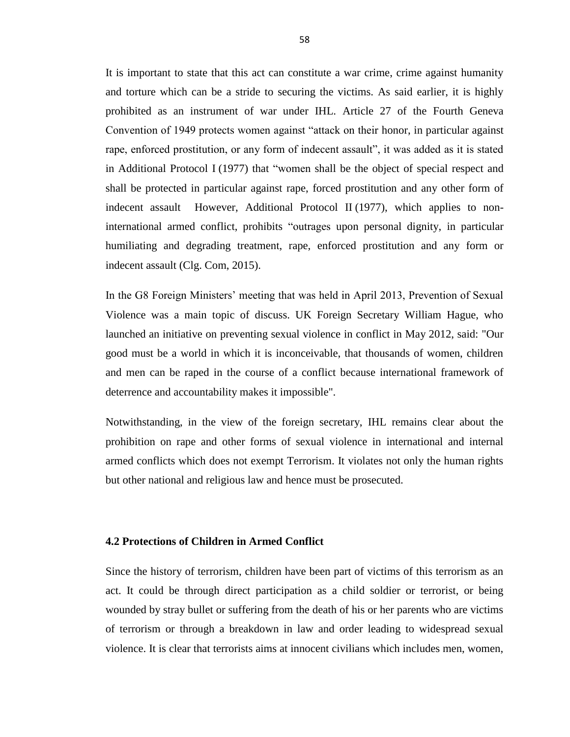It is important to state that this act can constitute a war crime, crime against humanity and torture which can be a stride to securing the victims. As said earlier, it is highly prohibited as an instrument of war under IHL. Article 27 of the Fourth Geneva Convention of 1949 protects women against "attack on their honor, in particular against rape, enforced prostitution, or any form of indecent assault", it was added as it is stated in [Additional Protocol I](https://www.icrc.org/applic/ihl/ihl.nsf/Article.xsp?action=openDocument&documentId=5FB5CC7AD1C3AAF7C12563CD0051E08C) (1977) that "women shall be the object of special respect and shall be protected in particular against rape, forced prostitution and any other form of indecent assault However, [Additional Protocol II](https://www.icrc.org/applic/ihl/ihl.nsf/Article.xsp?action=openDocument&documentId=F9CBD575D47CA6C8C12563CD0051E783) (1977), which applies to noninternational armed conflict, prohibits "outrages upon personal dignity, in particular humiliating and degrading treatment, rape, enforced prostitution and any form or indecent assault (Clg. Com, 2015).

In the G8 Foreign Ministers' meeting that was held in April 2013, Prevention of Sexual Violence was a main topic of discuss. UK Foreign Secretary William Hague, who launched an initiative on preventing sexual violence in conflict in May 2012, said: "Our good must be a world in which it is inconceivable, that thousands of women, children and men can be raped in the course of a conflict because international framework of deterrence and accountability makes it impossible".

Notwithstanding, in the view of the foreign secretary, IHL remains clear about the prohibition on rape and other forms of sexual violence in international and internal armed conflicts which does not exempt Terrorism. It violates not only the human rights but other national and religious law and hence must be prosecuted.

# **4.2 Protections of Children in Armed Conflict**

Since the history of terrorism, children have been part of victims of this terrorism as an act. It could be through direct participation as a child soldier or terrorist, or being wounded by stray bullet or suffering from the death of his or her parents who are victims of terrorism or through a breakdown in law and order leading to widespread sexual violence. It is clear that terrorists aims at innocent civilians which includes men, women,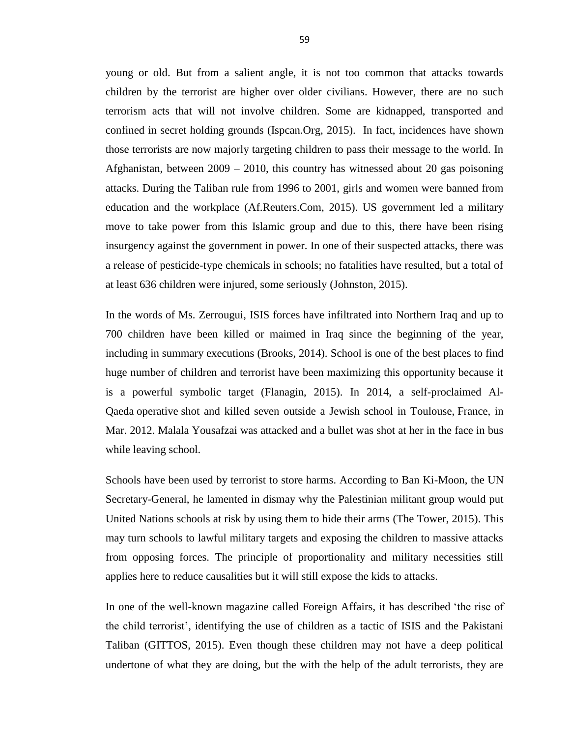young or old. But from a salient angle, it is not too common that attacks towards children by the terrorist are higher over older civilians. However, there are no such terrorism acts that will not involve children. Some are kidnapped, transported and confined in secret holding grounds (Ispcan.Org, 2015). In fact, incidences have shown those terrorists are now majorly targeting children to pass their message to the world. In Afghanistan, between 2009 – 2010, this country has witnessed about 20 gas poisoning attacks. During the Taliban rule from 1996 to 2001, girls and women were banned from education and the workplace (Af.Reuters.Com, 2015). US government led a military move to take power from this Islamic group and due to this, there have been rising insurgency against the government in power. In one of their suspected attacks, there was a release of pesticide-type chemicals in schools; no fatalities have resulted, but a total of at least 636 children were injured, some seriously (Johnston, 2015).

In the words of Ms. Zerrougui, ISIS forces have infiltrated into Northern Iraq and up to 700 children have been killed or maimed in Iraq since the beginning of the year, including in summary executions (Brooks, 2014). School is one of the best places to find huge number of children and terrorist have been maximizing this opportunity because it is a powerful symbolic target (Flanagin, 2015). In 2014, a self-proclaimed Al-Qaeda operative [shot and killed seven outside a Jewish school in Toulouse,](http://world.time.com/2012/03/22/siege-of-toulouse-gunman-ends-as-details-of-assassins-voyage-to-jihadist-terror-emerge/) France, in Mar. 2012. Malala Yousafzai was attacked and a bullet was shot at her in the face in bus while leaving school.

Schools have been used by terrorist to store harms. According to Ban Ki-Moon, the UN Secretary-General, he lamented in dismay why the Palestinian militant group would put United Nations schools at risk by using them to hide their arms (The Tower, 2015). This may turn schools to lawful military targets and exposing the children to massive attacks from opposing forces. The principle of proportionality and military necessities still applies here to reduce causalities but it will still expose the kids to attacks.

In one of the well-known magazine called Foreign Affairs, it has described 'the rise of [the child terrorist',](https://www.foreignaffairs.com/articles/middle-east/2015-02-09/rise-child-terrorist) identifying the use of children as a tactic of ISIS and the Pakistani Taliban (GITTOS, 2015). Even though these children may not have a deep political undertone of what they are doing, but the with the help of the adult terrorists, they are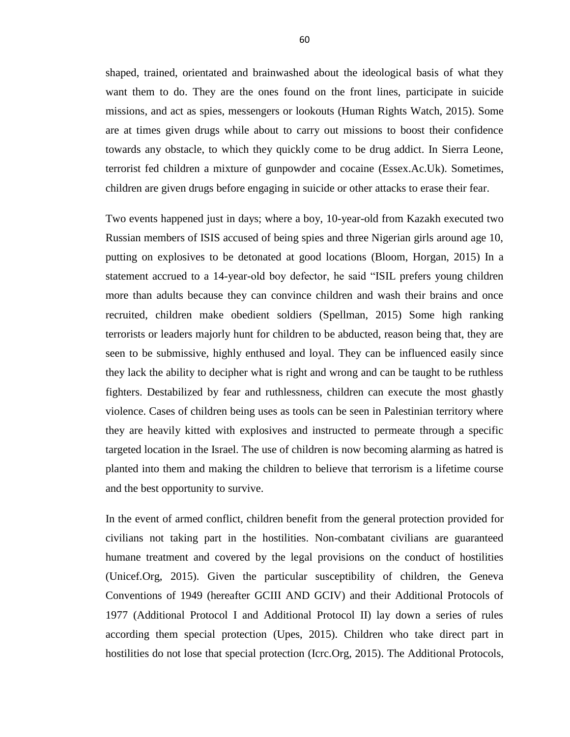shaped, trained, orientated and brainwashed about the ideological basis of what they want them to do. They are the ones found on the front lines, participate in suicide missions, and act as spies, messengers or lookouts (Human Rights Watch, 2015). Some are at times given drugs while about to carry out missions to boost their confidence towards any obstacle, to which they quickly come to be drug addict. In Sierra Leone, terrorist fed children a mixture of gunpowder and cocaine (Essex.Ac.Uk). Sometimes, children are given drugs before engaging in suicide or other attacks to erase their fear.

Two events happened just in days; where a boy, 10-year-old from Kazakh executed two Russian members of ISIS accused of being spies and three Nigerian girls around age 10, putting on explosives to be detonated at good locations (Bloom, Horgan, 2015) In a statement accrued to a 14-year-old boy defector, he said "ISIL prefers young children more than adults because they can convince children and wash their brains and once recruited, children make obedient soldiers (Spellman, 2015) Some high ranking terrorists or leaders majorly hunt for children to be abducted, reason being that, they are seen to be submissive, highly enthused and loyal. They can be influenced easily since they lack the ability to decipher what is right and wrong and can be taught to be ruthless fighters. Destabilized by fear and ruthlessness, children can execute the most ghastly violence. Cases of children being uses as tools can be seen in Palestinian territory where they are heavily kitted with explosives and instructed to permeate through a specific targeted location in the Israel. The use of children is now becoming alarming as hatred is planted into them and making the children to believe that terrorism is a lifetime course and the best opportunity to survive.

In the event of armed conflict, children benefit from the general protection provided for civilians not taking part in the hostilities. Non-combatant civilians are guaranteed humane treatment and covered by the legal provisions on the conduct of hostilities (Unicef.Org, 2015). Given the particular susceptibility of children, the Geneva Conventions of 1949 (hereafter GCIII AND GCIV) and their Additional Protocols of 1977 (Additional Protocol I and Additional Protocol II) lay down a series of rules according them special protection (Upes, 2015). Children who take direct part in hostilities do not lose that special protection (Icrc.Org, 2015). The Additional Protocols,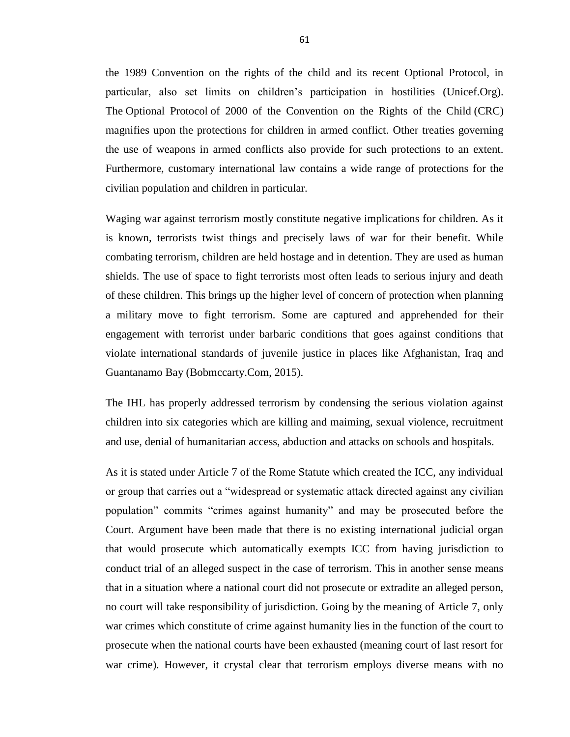the 1989 Convention on the rights of the child and its recent Optional Protocol, in particular, also set limits on children's participation in hostilities (Unicef.Org). The [Optional](http://www.ohchr.org/EN/ProfessionalInterest/Pages/OPACCRC.aspx) Protocol of 2000 of the [Convention](http://www.ohchr.org/en/professionalinterest/pages/crc.aspx) on the Rights of the Child (CRC) magnifies upon the protections for children in armed conflict. Other treaties governing the use of weapons in armed conflicts also provide for such protections to an extent. Furthermore, customary international law contains a wide range of protections for the civilian population and children in particular.

Waging war against terrorism mostly constitute negative implications for children. As it is known, terrorists twist things and precisely laws of war for their benefit. While combating terrorism, children are held hostage and in detention. They are used as human shields. The use of space to fight terrorists most often leads to serious injury and death of these children. This brings up the higher level of concern of protection when planning a military move to fight terrorism. Some are captured and apprehended for their engagement with terrorist under barbaric conditions that goes against conditions that violate international standards of juvenile justice in places like Afghanistan, Iraq and Guantanamo Bay (Bobmccarty.Com, 2015).

The IHL has properly addressed terrorism by condensing the serious violation against children into six categories which are killing and maiming, sexual violence, recruitment and use, denial of humanitarian access, abduction and attacks on schools and hospitals.

As it is stated under Article 7 of the Rome Statute which created the ICC, any individual or group that carries out a "widespread or systematic attack directed against any civilian population" commits "crimes against humanity" and may be prosecuted before the Court. Argument have been made that there is no existing international judicial organ that would prosecute which automatically exempts ICC from having jurisdiction to conduct trial of an alleged suspect in the case of terrorism. This in another sense means that in a situation where a national court did not prosecute or extradite an alleged person, no court will take responsibility of jurisdiction. Going by the meaning of Article 7, only war crimes which constitute of crime against humanity lies in the function of the court to prosecute when the national courts have been exhausted (meaning court of last resort for war crime). However, it crystal clear that terrorism employs diverse means with no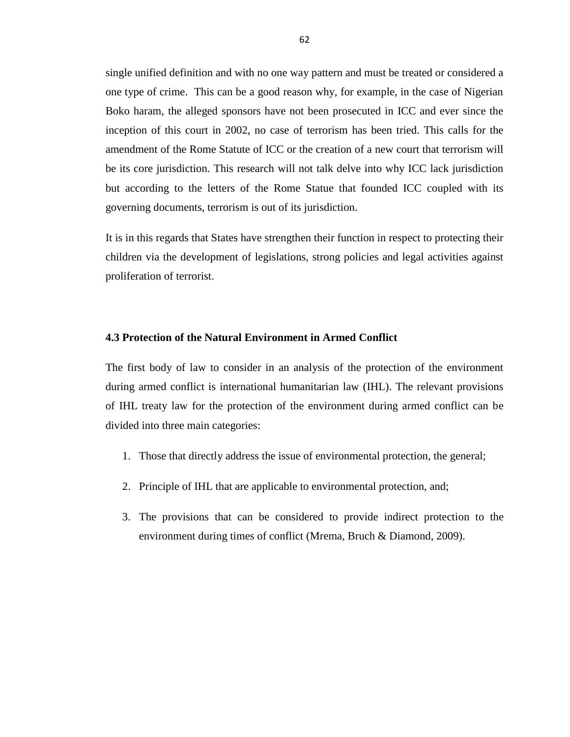single unified definition and with no one way pattern and must be treated or considered a one type of crime. This can be a good reason why, for example, in the case of Nigerian Boko haram, the alleged sponsors have not been prosecuted in ICC and ever since the inception of this court in 2002, no case of terrorism has been tried. This calls for the amendment of the Rome Statute of ICC or the creation of a new court that terrorism will be its core jurisdiction. This research will not talk delve into why ICC lack jurisdiction but according to the letters of the Rome Statue that founded ICC coupled with its governing documents, terrorism is out of its jurisdiction.

It is in this regards that States have strengthen their function in respect to protecting their children via the development of legislations, strong policies and legal activities against proliferation of terrorist.

# **4.3 Protection of the Natural Environment in Armed Conflict**

The first body of law to consider in an analysis of the protection of the environment during armed conflict is international humanitarian law (IHL). The relevant provisions of IHL treaty law for the protection of the environment during armed conflict can be divided into three main categories:

- 1. Those that directly address the issue of environmental protection, the general;
- 2. Principle of IHL that are applicable to environmental protection, and;
- 3. The provisions that can be considered to provide indirect protection to the environment during times of conflict (Mrema, Bruch & Diamond, 2009).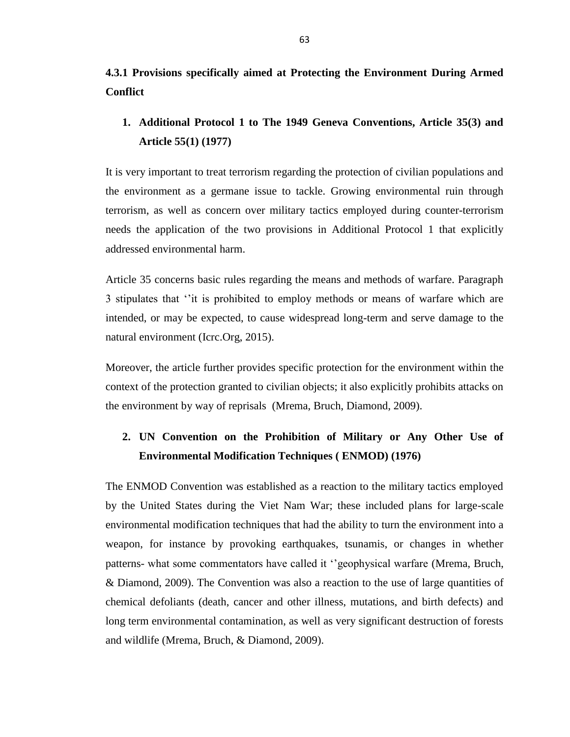**4.3.1 Provisions specifically aimed at Protecting the Environment During Armed Conflict** 

**1. Additional Protocol 1 to The 1949 Geneva Conventions, Article 35(3) and Article 55(1) (1977)**

It is very important to treat terrorism regarding the protection of civilian populations and the environment as a germane issue to tackle. Growing environmental ruin through terrorism, as well as concern over military tactics employed during counter-terrorism needs the application of the two provisions in Additional Protocol 1 that explicitly addressed environmental harm.

Article 35 concerns basic rules regarding the means and methods of warfare. Paragraph 3 stipulates that ‗'it is prohibited to employ methods or means of warfare which are intended, or may be expected, to cause widespread long-term and serve damage to the natural environment (Icrc.Org, 2015).

Moreover, the article further provides specific protection for the environment within the context of the protection granted to civilian objects; it also explicitly prohibits attacks on the environment by way of reprisals (Mrema, Bruch, Diamond, 2009).

# **2. UN Convention on the Prohibition of Military or Any Other Use of Environmental Modification Techniques ( ENMOD) (1976)**

The ENMOD Convention was established as a reaction to the military tactics employed by the United States during the Viet Nam War; these included plans for large-scale environmental modification techniques that had the ability to turn the environment into a weapon, for instance by provoking earthquakes, tsunamis, or changes in whether patterns- what some commentators have called it "geophysical warfare (Mrema, Bruch, & Diamond, 2009). The Convention was also a reaction to the use of large quantities of chemical defoliants (death, cancer and other illness, mutations, and birth defects) and long term environmental contamination, as well as very significant destruction of forests and wildlife (Mrema, Bruch, & Diamond, 2009).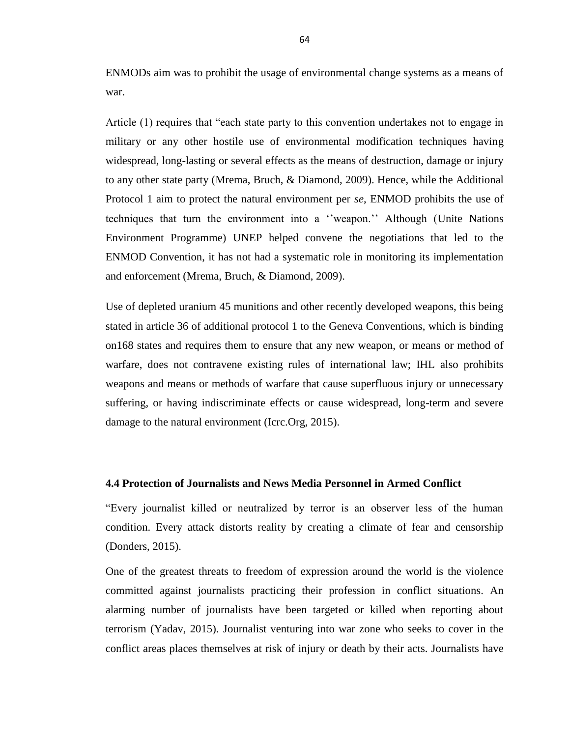ENMODs aim was to prohibit the usage of environmental change systems as a means of war.

Article (1) requires that "each state party to this convention undertakes not to engage in military or any other hostile use of environmental modification techniques having widespread, long-lasting or several effects as the means of destruction, damage or injury to any other state party (Mrema, Bruch, & Diamond, 2009). Hence, while the Additional Protocol 1 aim to protect the natural environment per *se*, ENMOD prohibits the use of techniques that turn the environment into a "weapon." Although (Unite Nations Environment Programme) UNEP helped convene the negotiations that led to the ENMOD Convention, it has not had a systematic role in monitoring its implementation and enforcement (Mrema, Bruch, & Diamond, 2009).

Use of depleted uranium 45 munitions and other recently developed weapons, this being stated in article 36 of additional protocol 1 to the Geneva Conventions, which is binding on168 states and requires them to ensure that any new weapon, or means or method of warfare, does not contravene existing rules of international law; IHL also prohibits weapons and means or methods of warfare that cause superfluous injury or unnecessary suffering, or having indiscriminate effects or cause widespread, long-term and severe damage to the natural environment (Icrc.Org, 2015).

# **4.4 Protection of Journalists and News Media Personnel in Armed Conflict**

―Every journalist killed or neutralized by terror is an observer less of the human condition. Every attack distorts reality by creating a climate of fear and censorship (Donders, 2015).

One of the greatest threats to freedom of expression around the world is the violence committed against journalists practicing their profession in conflict situations. An alarming number of journalists have been targeted or killed when reporting about terrorism (Yadav, 2015). Journalist venturing into war zone who seeks to cover in the conflict areas places themselves at risk of injury or death by their acts. Journalists have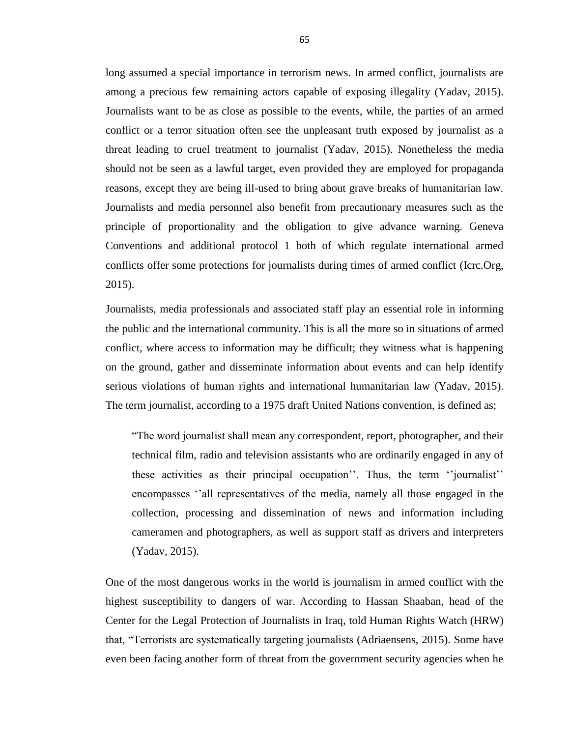long assumed a special importance in terrorism news. In armed conflict, journalists are among a precious few remaining actors capable of exposing illegality (Yadav, 2015). Journalists want to be as close as possible to the events, while, the parties of an armed conflict or a terror situation often see the unpleasant truth exposed by journalist as a threat leading to cruel treatment to journalist (Yadav, 2015). Nonetheless the media should not be seen as a lawful target, even provided they are employed for propaganda reasons, except they are being ill-used to bring about grave breaks of humanitarian law. Journalists and media personnel also benefit from precautionary measures such as the principle of proportionality and the obligation to give advance warning. Geneva Conventions and additional protocol 1 both of which regulate international armed conflicts offer some protections for journalists during times of armed conflict (Icrc.Org, 2015).

Journalists, media professionals and associated staff play an essential role in informing the public and the international community. This is all the more so in situations of armed conflict, where access to information may be difficult; they witness what is happening on the ground, gather and disseminate information about events and can help identify serious violations of human rights and international humanitarian law (Yadav, 2015). The term journalist, according to a 1975 draft United Nations convention, is defined as;

―The word journalist shall mean any correspondent, report, photographer, and their technical film, radio and television assistants who are ordinarily engaged in any of these activities as their principal occupation''. Thus, the term "journalist" encompasses ‗'all representatives of the media, namely all those engaged in the collection, processing and dissemination of news and information including cameramen and photographers, as well as support staff as drivers and interpreters (Yadav, 2015).

One of the most dangerous works in the world is journalism in armed conflict with the highest susceptibility to dangers of war. According to Hassan Shaaban, head of the Center for the Legal Protection of Journalists in Iraq, told [Human Rights Watch](http://www.ifex.org/iraq/2013/11/29/wave_killings/) (HRW) that, ―Terrorists are systematically targeting journalists (Adriaensens, 2015). Some have even been facing another form of threat from the government security agencies when he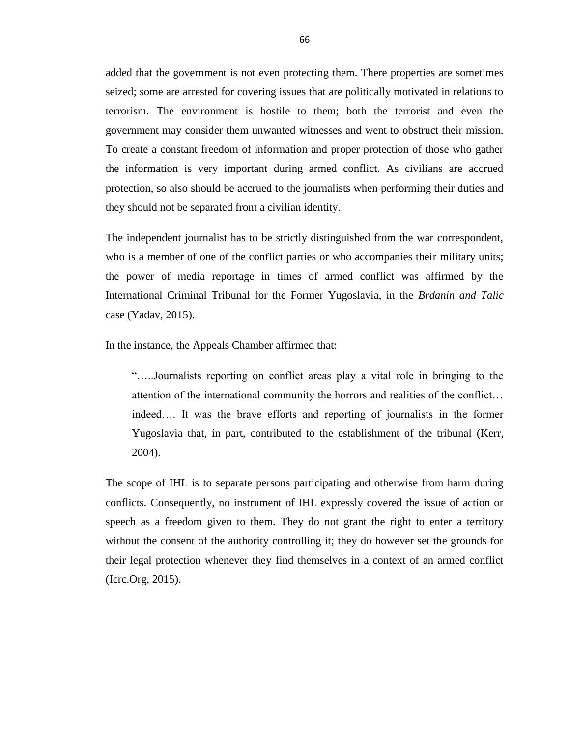added that the government is not even protecting them. There properties are sometimes seized; some are arrested for covering issues that are politically motivated in relations to terrorism. The environment is hostile to them; both the terrorist and even the government may consider them unwanted witnesses and went to obstruct their mission. To create a constant freedom of information and proper protection of those who gather the information is very important during armed conflict. As civilians are accrued protection, so also should be accrued to the journalists when performing their duties and they should not be separated from a civilian identity.

The independent journalist has to be strictly distinguished from the war correspondent, who is a member of one of the conflict parties or who accompanies their military units; the power of media reportage in times of armed conflict was affirmed by the International Criminal Tribunal for the Former Yugoslavia, in the *Brdanin and Talic* case (Yadav, 2015).

In the instance, the Appeals Chamber affirmed that:

―…..Journalists reporting on conflict areas play a vital role in bringing to the attention of the international community the horrors and realities of the conflict… indeed…. It was the brave efforts and reporting of journalists in the former Yugoslavia that, in part, contributed to the establishment of the tribunal (Kerr, 2004).

The scope of IHL is to separate persons participating and otherwise from harm during conflicts. Consequently, no instrument of IHL expressly covered the issue of action or speech as a freedom given to them. They do not grant the right to enter a territory without the consent of the authority controlling it; they do however set the grounds for their legal protection whenever they find themselves in a context of an armed conflict (Icrc.Org, 2015).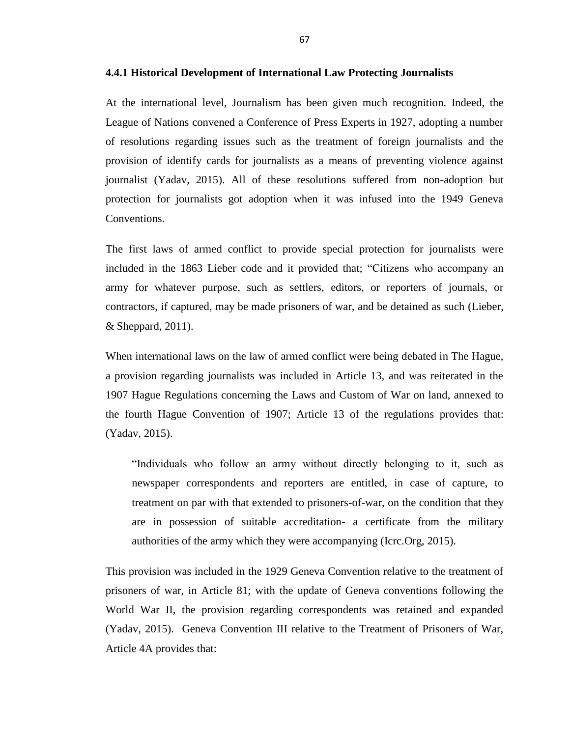#### **4.4.1 Historical Development of International Law Protecting Journalists**

At the international level, Journalism has been given much recognition. Indeed, the League of Nations convened a Conference of Press Experts in 1927, adopting a number of resolutions regarding issues such as the treatment of foreign journalists and the provision of identify cards for journalists as a means of preventing violence against journalist (Yadav, 2015). All of these resolutions suffered from non-adoption but protection for journalists got adoption when it was infused into the 1949 Geneva Conventions.

The first laws of armed conflict to provide special protection for journalists were included in the 1863 Lieber code and it provided that; "Citizens who accompany an army for whatever purpose, such as settlers, editors, or reporters of journals, or contractors, if captured, may be made prisoners of war, and be detained as such (Lieber, & Sheppard, 2011).

When international laws on the law of armed conflict were being debated in The Hague, a provision regarding journalists was included in Article 13, and was reiterated in the 1907 Hague Regulations concerning the Laws and Custom of War on land, annexed to the fourth Hague Convention of 1907; Article 13 of the regulations provides that: (Yadav, 2015).

"Individuals who follow an army without directly belonging to it, such as newspaper correspondents and reporters are entitled, in case of capture, to treatment on par with that extended to prisoners-of-war, on the condition that they are in possession of suitable accreditation- a certificate from the military authorities of the army which they were accompanying (Icrc.Org, 2015).

This provision was included in the 1929 Geneva Convention relative to the treatment of prisoners of war, in Article 81; with the update of Geneva conventions following the World War II, the provision regarding correspondents was retained and expanded (Yadav, 2015). Geneva Convention III relative to the Treatment of Prisoners of War, Article 4A provides that: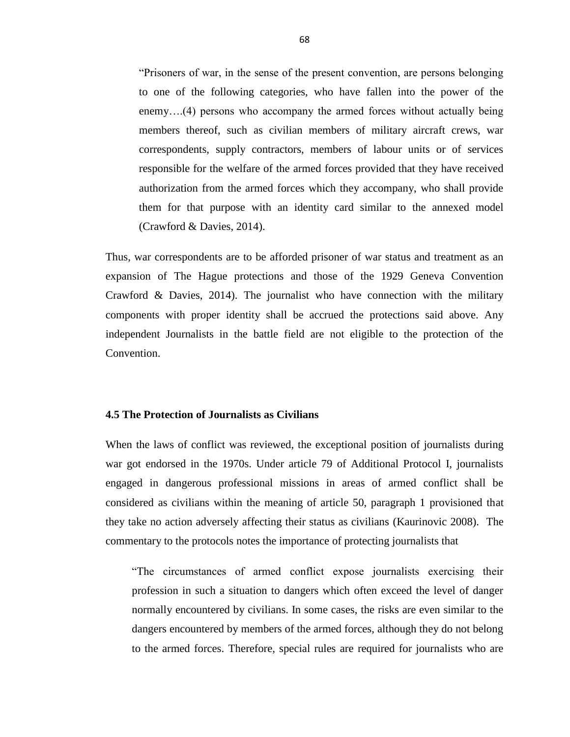―Prisoners of war, in the sense of the present convention, are persons belonging to one of the following categories, who have fallen into the power of the enemy….(4) persons who accompany the armed forces without actually being members thereof, such as civilian members of military aircraft crews, war correspondents, supply contractors, members of labour units or of services responsible for the welfare of the armed forces provided that they have received authorization from the armed forces which they accompany, who shall provide them for that purpose with an identity card similar to the annexed model (Crawford & Davies, 2014).

Thus, war correspondents are to be afforded prisoner of war status and treatment as an expansion of The Hague protections and those of the 1929 Geneva Convention Crawford & Davies, 2014). The journalist who have connection with the military components with proper identity shall be accrued the protections said above. Any independent Journalists in the battle field are not eligible to the protection of the Convention.

# **4.5 The Protection of Journalists as Civilians**

When the laws of conflict was reviewed, the exceptional position of journalists during war got endorsed in the 1970s. Under article 79 of Additional Protocol I, journalists engaged in dangerous professional missions in areas of armed conflict shall be considered as civilians within the meaning of article 50, paragraph 1 provisioned that they take no action adversely affecting their status as civilians (Kaurinovic 2008). The commentary to the protocols notes the importance of protecting journalists that

―The circumstances of armed conflict expose journalists exercising their profession in such a situation to dangers which often exceed the level of danger normally encountered by civilians. In some cases, the risks are even similar to the dangers encountered by members of the armed forces, although they do not belong to the armed forces. Therefore, special rules are required for journalists who are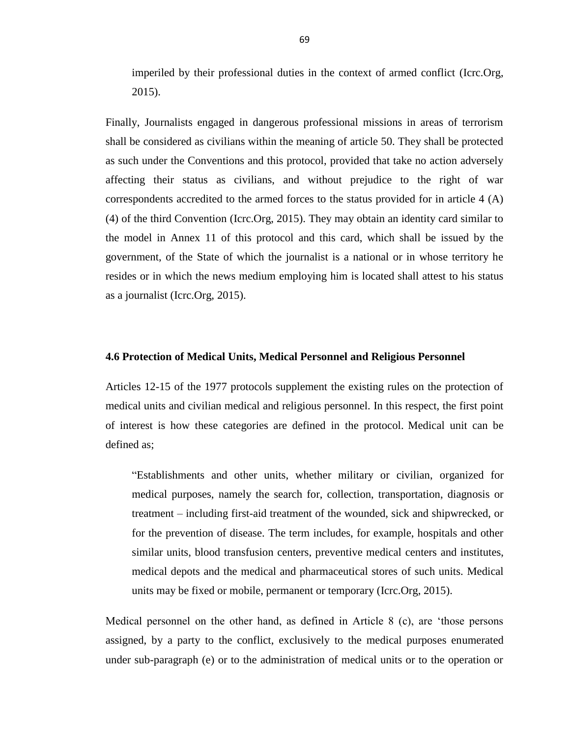imperiled by their professional duties in the context of armed conflict (Icrc.Org, 2015).

Finally, Journalists engaged in dangerous professional missions in areas of terrorism shall be considered as civilians within the meaning of article 50. They shall be protected as such under the Conventions and this protocol, provided that take no action adversely affecting their status as civilians, and without prejudice to the right of war correspondents accredited to the armed forces to the status provided for in article 4 (A) (4) of the third Convention (Icrc.Org, 2015). They may obtain an identity card similar to the model in Annex 11 of this protocol and this card, which shall be issued by the government, of the State of which the journalist is a national or in whose territory he resides or in which the news medium employing him is located shall attest to his status as a journalist (Icrc.Org, 2015).

#### **4.6 Protection of Medical Units, Medical Personnel and Religious Personnel**

Articles 12-15 of the 1977 protocols supplement the existing rules on the protection of medical units and civilian medical and religious personnel. In this respect, the first point of interest is how these categories are defined in the protocol. Medical unit can be defined as;

―Establishments and other units, whether military or civilian, organized for medical purposes, namely the search for, collection, transportation, diagnosis or treatment – including first-aid treatment of the wounded, sick and shipwrecked, or for the prevention of disease. The term includes, for example, hospitals and other similar units, blood transfusion centers, preventive medical centers and institutes, medical depots and the medical and pharmaceutical stores of such units. Medical units may be fixed or mobile, permanent or temporary (Icrc.Org, 2015).

Medical personnel on the other hand, as defined in Article 8 (c), are ‗those persons assigned, by a party to the conflict, exclusively to the medical purposes enumerated under sub-paragraph (e) or to the administration of medical units or to the operation or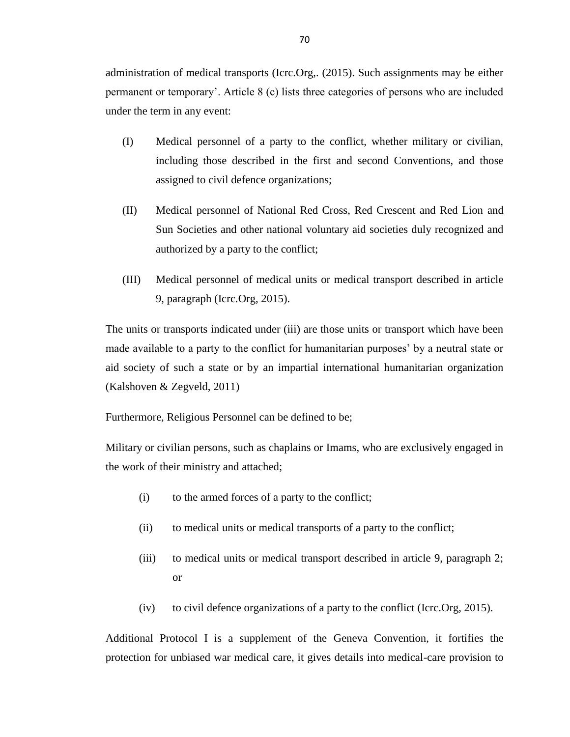administration of medical transports (Icrc.Org,. (2015). Such assignments may be either permanent or temporary'. Article 8 (c) lists three categories of persons who are included under the term in any event:

- (I) Medical personnel of a party to the conflict, whether military or civilian, including those described in the first and second Conventions, and those assigned to civil defence organizations;
- (II) Medical personnel of National Red Cross, Red Crescent and Red Lion and Sun Societies and other national voluntary aid societies duly recognized and authorized by a party to the conflict;
- (III) Medical personnel of medical units or medical transport described in article 9, paragraph (Icrc.Org, 2015).

The units or transports indicated under (iii) are those units or transport which have been made available to a party to the conflict for humanitarian purposes' by a neutral state or aid society of such a state or by an impartial international humanitarian organization (Kalshoven & Zegveld, 2011)

Furthermore, Religious Personnel can be defined to be;

Military or civilian persons, such as chaplains or Imams, who are exclusively engaged in the work of their ministry and attached;

- (i) to the armed forces of a party to the conflict;
- (ii) to medical units or medical transports of a party to the conflict;
- (iii) to medical units or medical transport described in article 9, paragraph 2; or
- (iv) to civil defence organizations of a party to the conflict (Icrc.Org, 2015).

Additional Protocol I is a supplement of the Geneva Convention, it fortifies the protection for unbiased war medical care, it gives details into medical-care provision to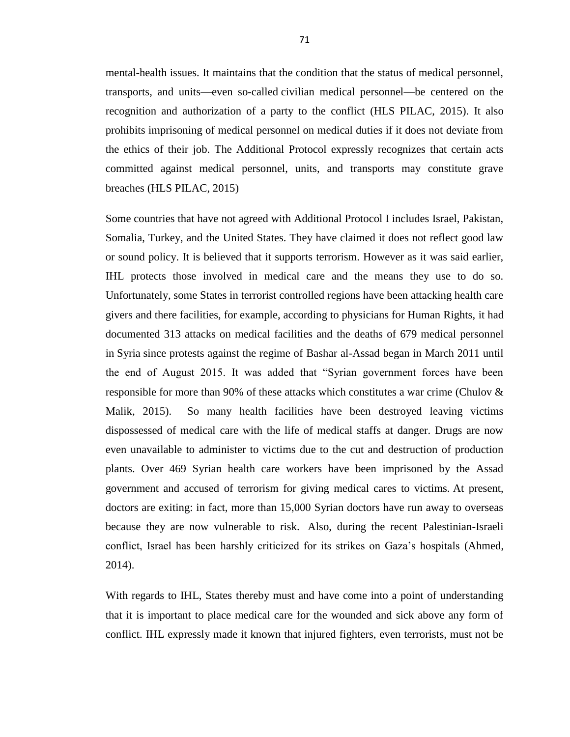mental-health issues. It maintains that the condition that the status of medical personnel, transports, and units—even so-called civilian medical personnel—be centered on the recognition and authorization of a party to the conflict (HLS PILAC, 2015). It also prohibits imprisoning of medical personnel on medical duties if it does not deviate from the ethics of their job. The Additional Protocol expressly recognizes that certain acts committed against medical personnel, units, and transports may constitute grave breaches (HLS PILAC, 2015)

Some countries that have not agreed with Additional Protocol I includes Israel, Pakistan, Somalia, Turkey, and the United States. They have claimed it does not reflect good law or sound policy. It is believed that it supports terrorism. However as it was said earlier, IHL protects those involved in medical care and the means they use to do so. Unfortunately, some States in terrorist controlled regions have been attacking health care givers and there facilities, for example, according to physicians for Human Rights, it had documented 313 attacks on medical facilities and the deaths of 679 medical personnel in [Syria](http://www.theguardian.com/world/syria) since protests against the regime of Bashar al-Assad began in March 2011 until the end of August 2015. It was added that "Syrian government forces have been responsible for more than 90% of these attacks which constitutes a war crime (Chulov & Malik, 2015). So many health facilities have been destroyed leaving victims dispossessed of medical care with the life of medical staffs at danger. Drugs are now even unavailable to administer to victims due to the cut and destruction of production plants. Over 469 Syrian health care workers have been imprisoned by the Assad government and accused of terrorism for giving medical cares to victims. At present, doctors are exiting: in fact, more than 15,000 Syrian doctors have run away to overseas because they are now vulnerable to risk. Also, during the recent Palestinian-Israeli conflict, Israel has been harshly criticized for its strikes on Gaza's hospitals (Ahmed, 2014).

With regards to IHL, States thereby must and have come into a point of understanding that it is important to place medical care for the wounded and sick above any form of conflict. IHL expressly made it known that injured fighters, even terrorists, must not be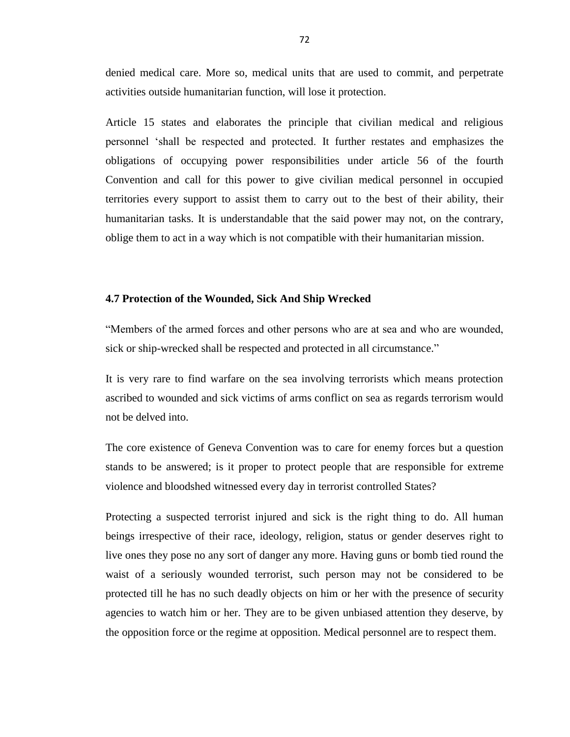denied medical care. More so, medical units that are used to commit, and perpetrate activities outside humanitarian function, will lose it protection.

Article 15 states and elaborates the principle that civilian medical and religious personnel ‗shall be respected and protected. It further restates and emphasizes the obligations of occupying power responsibilities under article 56 of the fourth Convention and call for this power to give civilian medical personnel in occupied territories every support to assist them to carry out to the best of their ability, their humanitarian tasks. It is understandable that the said power may not, on the contrary, oblige them to act in a way which is not compatible with their humanitarian mission.

### **4.7 Protection of the Wounded, Sick And Ship Wrecked**

―Members of the armed forces and other persons who are at sea and who are wounded, sick or ship-wrecked shall be respected and protected in all circumstance."

It is very rare to find warfare on the sea involving terrorists which means protection ascribed to wounded and sick victims of arms conflict on sea as regards terrorism would not be delved into.

The core existence of Geneva Convention was to care for enemy forces but a question stands to be answered; is it proper to protect people that are responsible for extreme violence and bloodshed witnessed every day in terrorist controlled States?

Protecting a suspected terrorist injured and sick is the right thing to do. All human beings irrespective of their race, ideology, religion, status or gender deserves right to live ones they pose no any sort of danger any more. Having guns or bomb tied round the waist of a seriously wounded terrorist, such person may not be considered to be protected till he has no such deadly objects on him or her with the presence of security agencies to watch him or her. They are to be given unbiased attention they deserve, by the opposition force or the regime at opposition. Medical personnel are to respect them.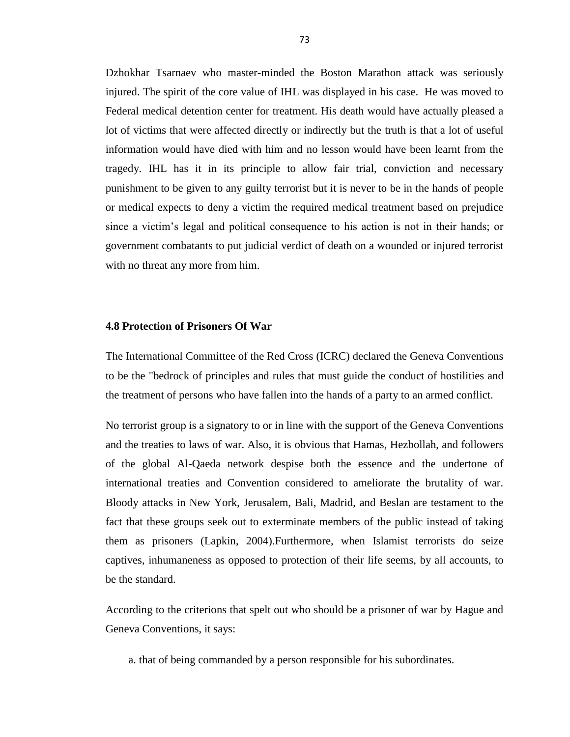Dzhokhar Tsarnaev who master-minded the Boston Marathon attack was seriously injured. The spirit of the core value of IHL was displayed in his case. He was moved to Federal medical detention center for treatment. His death would have actually pleased a lot of victims that were affected directly or indirectly but the truth is that a lot of useful information would have died with him and no lesson would have been learnt from the tragedy. IHL has it in its principle to allow fair trial, conviction and necessary punishment to be given to any guilty terrorist but it is never to be in the hands of people or medical expects to deny a victim the required medical treatment based on prejudice since a victim's legal and political consequence to his action is not in their hands; or government combatants to put judicial verdict of death on a wounded or injured terrorist with no threat any more from him.

#### **4.8 Protection of Prisoners Of War**

The International Committee of the Red Cross (ICRC) declared the Geneva Conventions to be the "bedrock of principles and rules that must guide the conduct of hostilities and the treatment of persons who have fallen into the hands of a party to an armed conflict.

No terrorist group is a signatory to or in line with the support of the Geneva Conventions and the treaties to laws of war. Also, it is obvious that Hamas, Hezbollah, and followers of the global Al-Qaeda network despise both the essence and the undertone of international treaties and Convention considered to ameliorate the brutality of war. Bloody attacks in New York, Jerusalem, Bali, Madrid, and Beslan are testament to the fact that these groups seek out to exterminate members of the public instead of taking them as prisoners (Lapkin, 2004).Furthermore, when Islamist terrorists do seize captives, inhumaneness as opposed to protection of their life seems, by all accounts, to be the standard.

According to the criterions that spelt out who should be a prisoner of war by Hague and Geneva Conventions, it says:

a. that of being commanded by a person responsible for his subordinates.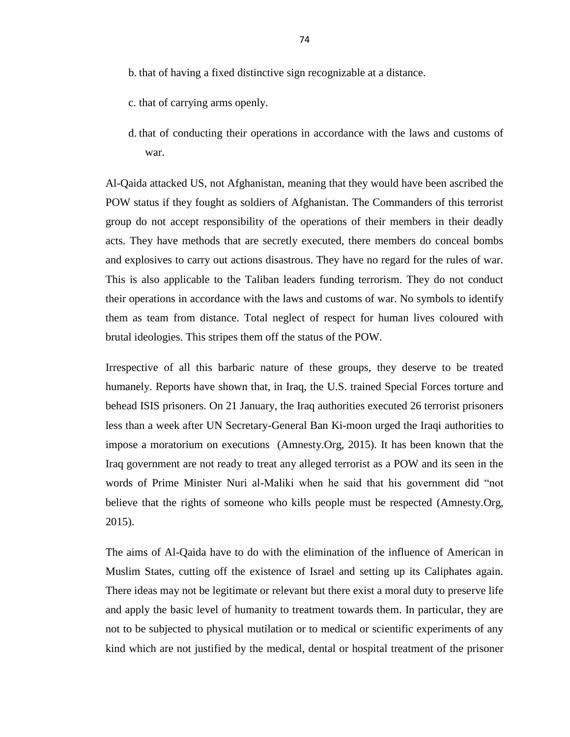- b. that of having a fixed distinctive sign recognizable at a distance.
- c. that of carrying arms openly.
- d. that of conducting their operations in accordance with the laws and customs of war.

Al-Qaida attacked US, not Afghanistan, meaning that they would have been ascribed the POW status if they fought as soldiers of Afghanistan. The Commanders of this terrorist group do not accept responsibility of the operations of their members in their deadly acts. They have methods that are secretly executed, there members do conceal bombs and explosives to carry out actions disastrous. They have no regard for the rules of war. This is also applicable to the Taliban leaders funding terrorism. They do not conduct their operations in accordance with the laws and customs of war. No symbols to identify them as team from distance. Total neglect of respect for human lives coloured with brutal ideologies. This stripes them off the status of the POW.

Irrespective of all this barbaric nature of these groups, they deserve to be treated humanely. Reports have shown that, in Iraq, the U.S. trained Special Forces torture and behead ISIS prisoners. On 21 January, the Iraq authorities executed 26 terrorist prisoners less than a week after UN Secretary-General Ban Ki-moon urged the Iraqi authorities to impose a moratorium on executions (Amnesty.Org, 2015). It has been known that the Iraq government are not ready to treat any alleged terrorist as a POW and its seen in the words of Prime Minister Nuri al-Maliki when he said that his government did "not believe that the rights of someone who kills people must be respected (Amnesty.Org, 2015).

The aims of Al-Qaida have to do with the elimination of the influence of American in Muslim States, cutting off the existence of Israel and setting up its Caliphates again. There ideas may not be legitimate or relevant but there exist a moral duty to preserve life and apply the basic level of humanity to treatment towards them. In particular, they are not to be subjected to physical mutilation or to medical or scientific experiments of any kind which are not justified by the medical, dental or hospital treatment of the prisoner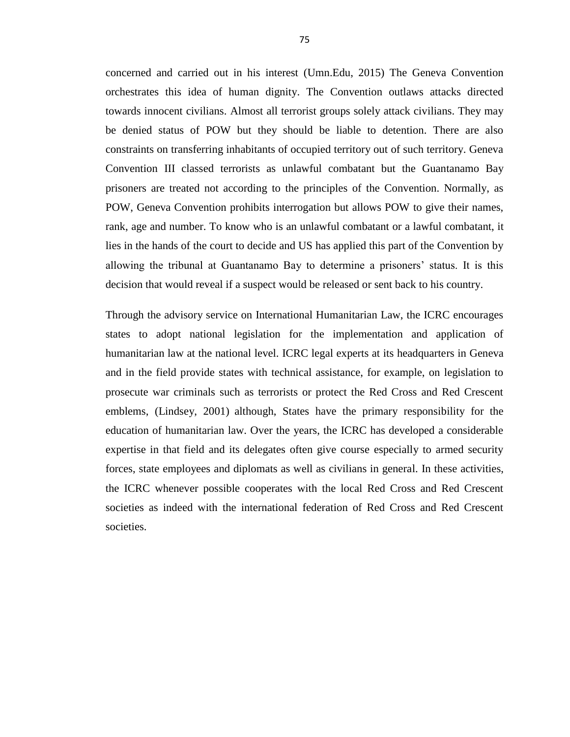concerned and carried out in his interest (Umn.Edu, 2015) The Geneva Convention orchestrates this idea of human dignity. The Convention outlaws attacks directed towards innocent civilians. Almost all terrorist groups solely attack civilians. They may be denied status of POW but they should be liable to detention. There are also constraints on transferring inhabitants of occupied territory out of such territory. Geneva Convention III classed terrorists as unlawful combatant but the Guantanamo Bay prisoners are treated not according to the principles of the Convention. Normally, as POW, Geneva Convention prohibits interrogation but allows POW to give their names, rank, age and number. To know who is an unlawful combatant or a lawful combatant, it lies in the hands of the court to decide and US has applied this part of the Convention by allowing the tribunal at Guantanamo Bay to determine a prisoners' status. It is this decision that would reveal if a suspect would be released or sent back to his country.

Through the advisory service on International Humanitarian Law, the ICRC encourages states to adopt national legislation for the implementation and application of humanitarian law at the national level. ICRC legal experts at its headquarters in Geneva and in the field provide states with technical assistance, for example, on legislation to prosecute war criminals such as terrorists or protect the Red Cross and Red Crescent emblems, (Lindsey, 2001) although, States have the primary responsibility for the education of humanitarian law. Over the years, the ICRC has developed a considerable expertise in that field and its delegates often give course especially to armed security forces, state employees and diplomats as well as civilians in general. In these activities, the ICRC whenever possible cooperates with the local Red Cross and Red Crescent societies as indeed with the international federation of Red Cross and Red Crescent societies.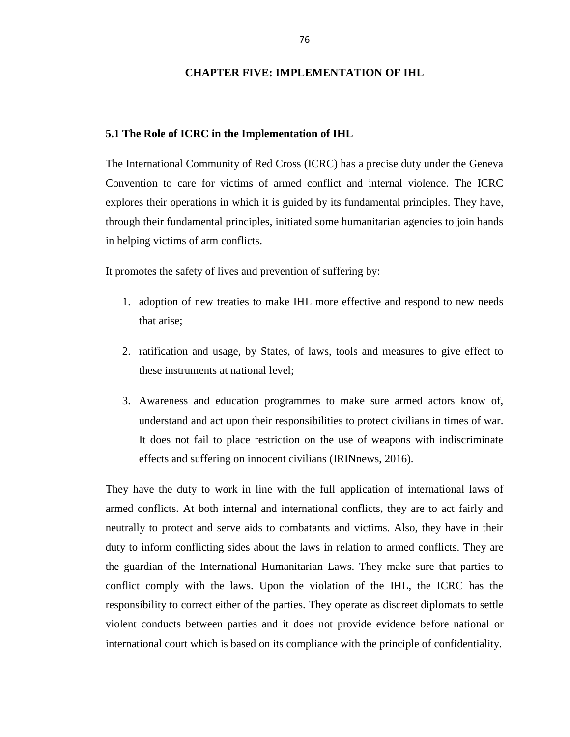# **CHAPTER FIVE: IMPLEMENTATION OF IHL**

#### **5.1 The Role of ICRC in the Implementation of IHL**

The International Community of Red Cross (ICRC) has a precise duty under the Geneva Convention to care for victims of armed conflict and internal violence. The ICRC explores their operations in which it is guided by its fundamental principles. They have, through their fundamental principles, initiated some humanitarian agencies to join hands in helping victims of arm conflicts.

It promotes the safety of lives and prevention of suffering by:

- 1. adoption of new treaties to make IHL more effective and respond to new needs that arise;
- 2. ratification and usage, by States, of laws, tools and measures to give effect to these instruments at national level;
- 3. Awareness and education programmes to make sure armed actors know of, understand and act upon their responsibilities to protect civilians in times of war. It does not fail to place restriction on the use of weapons with indiscriminate effects and suffering on innocent civilians (IRINnews, 2016).

They have the duty to work in line with the full application of international laws of armed conflicts. At both internal and international conflicts, they are to act fairly and neutrally to protect and serve aids to combatants and victims. Also, they have in their duty to inform conflicting sides about the laws in relation to armed conflicts. They are the guardian of the International Humanitarian Laws. They make sure that parties to conflict comply with the laws. Upon the violation of the IHL, the ICRC has the responsibility to correct either of the parties. They operate as discreet diplomats to settle violent conducts between parties and it does not provide evidence before national or international court which is based on its compliance with the principle of confidentiality.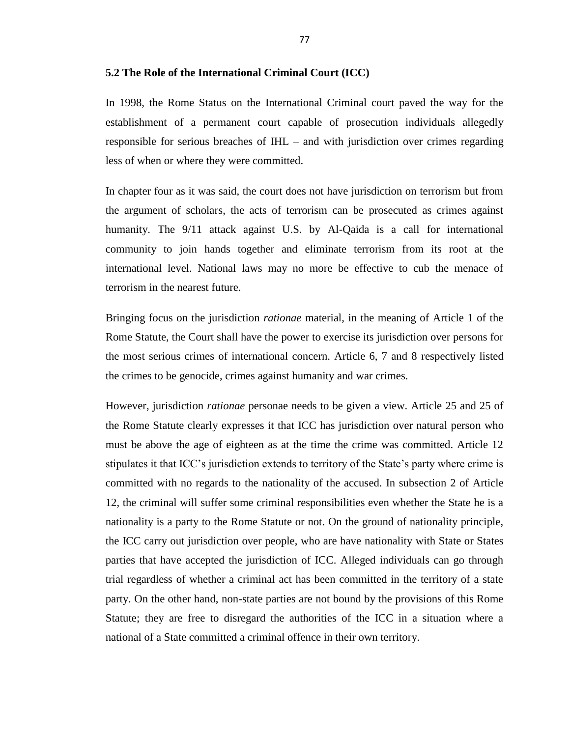In 1998, the Rome Status on the International Criminal court paved the way for the establishment of a permanent court capable of prosecution individuals allegedly responsible for serious breaches of IHL – and with jurisdiction over crimes regarding less of when or where they were committed.

In chapter four as it was said, the court does not have jurisdiction on terrorism but from the argument of scholars, the acts of terrorism can be prosecuted as crimes against humanity. The 9/11 attack against U.S. by Al-Qaida is a call for international community to join hands together and eliminate terrorism from its root at the international level. National laws may no more be effective to cub the menace of terrorism in the nearest future.

Bringing focus on the jurisdiction *rationae* material, in the meaning of Article 1 of the Rome Statute, the Court shall have the power to exercise its jurisdiction over persons for the most serious crimes of international concern. Article 6, 7 and 8 respectively listed the crimes to be genocide, crimes against humanity and war crimes.

However, jurisdiction *rationae* personae needs to be given a view. Article 25 and 25 of the Rome Statute clearly expresses it that ICC has jurisdiction over natural person who must be above the age of eighteen as at the time the crime was committed. Article 12 stipulates it that ICC's jurisdiction extends to territory of the State's party where crime is committed with no regards to the nationality of the accused. In subsection 2 of Article 12, the criminal will suffer some criminal responsibilities even whether the State he is a nationality is a party to the Rome Statute or not. On the ground of nationality principle, the ICC carry out jurisdiction over people, who are have nationality with State or States parties that have accepted the jurisdiction of ICC. Alleged individuals can go through trial regardless of whether a criminal act has been committed in the territory of a state party. On the other hand, non-state parties are not bound by the provisions of this Rome Statute; they are free to disregard the authorities of the ICC in a situation where a national of a State committed a criminal offence in their own territory.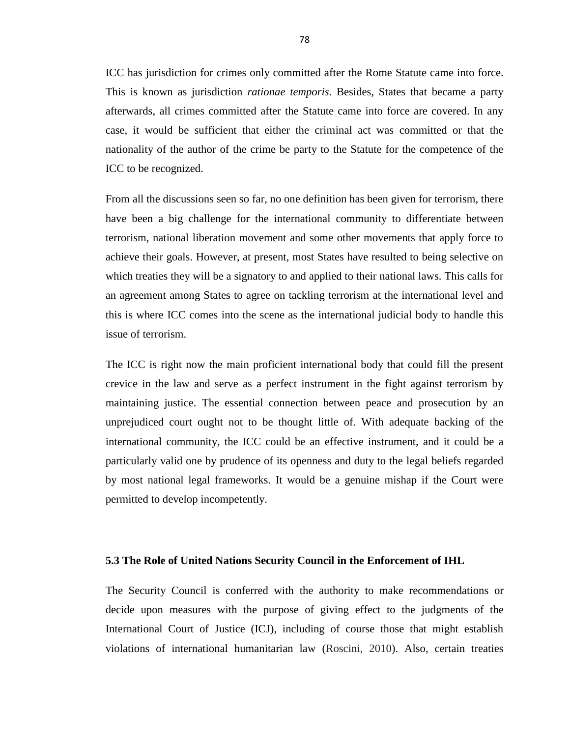ICC has jurisdiction for crimes only committed after the Rome Statute came into force. This is known as jurisdiction *rationae temporis*. Besides, States that became a party afterwards, all crimes committed after the Statute came into force are covered. In any case, it would be sufficient that either the criminal act was committed or that the nationality of the author of the crime be party to the Statute for the competence of the ICC to be recognized.

From all the discussions seen so far, no one definition has been given for terrorism, there have been a big challenge for the international community to differentiate between terrorism, national liberation movement and some other movements that apply force to achieve their goals. However, at present, most States have resulted to being selective on which treaties they will be a signatory to and applied to their national laws. This calls for an agreement among States to agree on tackling terrorism at the international level and this is where ICC comes into the scene as the international judicial body to handle this issue of terrorism.

The ICC is right now the main proficient international body that could fill the present crevice in the law and serve as a perfect instrument in the fight against terrorism by maintaining justice. The essential connection between peace and prosecution by an unprejudiced court ought not to be thought little of. With adequate backing of the international community, the ICC could be an effective instrument, and it could be a particularly valid one by prudence of its openness and duty to the legal beliefs regarded by most national legal frameworks. It would be a genuine mishap if the Court were permitted to develop incompetently.

#### **5.3 The Role of United Nations Security Council in the Enforcement of IHL**

The Security Council is conferred with the authority to make recommendations or decide upon measures with the purpose of giving effect to the judgments of the International Court of Justice (ICJ), including of course those that might establish violations of international humanitarian law (Roscini, 2010). Also, certain treaties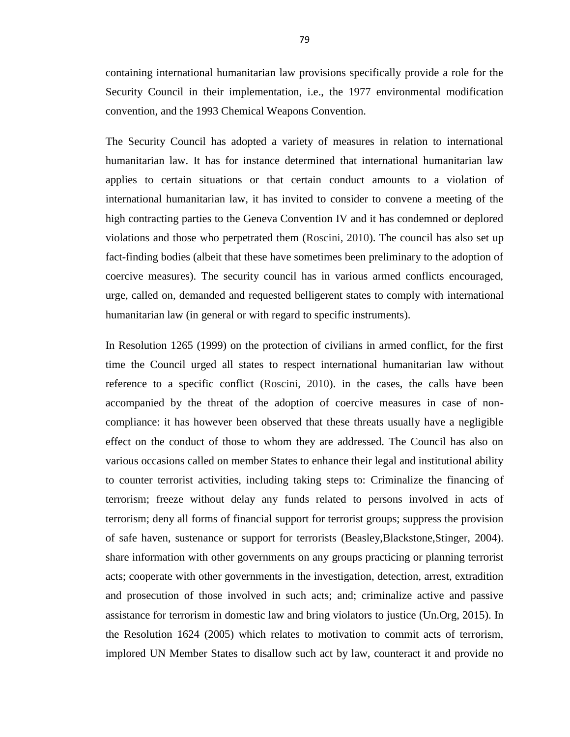containing international humanitarian law provisions specifically provide a role for the Security Council in their implementation, i.e., the 1977 environmental modification convention, and the 1993 Chemical Weapons Convention.

The Security Council has adopted a variety of measures in relation to international humanitarian law. It has for instance determined that international humanitarian law applies to certain situations or that certain conduct amounts to a violation of international humanitarian law, it has invited to consider to convene a meeting of the high contracting parties to the Geneva Convention IV and it has condemned or deplored violations and those who perpetrated them (Roscini, 2010). The council has also set up fact-finding bodies (albeit that these have sometimes been preliminary to the adoption of coercive measures). The security council has in various armed conflicts encouraged, urge, called on, demanded and requested belligerent states to comply with international humanitarian law (in general or with regard to specific instruments).

In Resolution 1265 (1999) on the protection of civilians in armed conflict, for the first time the Council urged all states to respect international humanitarian law without reference to a specific conflict (Roscini, 2010). in the cases, the calls have been accompanied by the threat of the adoption of coercive measures in case of noncompliance: it has however been observed that these threats usually have a negligible effect on the conduct of those to whom they are addressed. The Council has also on various occasions called on member States to enhance their legal and institutional ability to counter terrorist activities, including taking steps to: Criminalize the financing of terrorism; freeze without delay any funds related to persons involved in acts of terrorism; deny all forms of financial support for terrorist groups; suppress the provision of safe haven, sustenance or support for terrorists (Beasley,Blackstone,Stinger, 2004). share information with other governments on any groups practicing or planning terrorist acts; cooperate with other governments in the investigation, detection, arrest, extradition and prosecution of those involved in such acts; and; criminalize active and passive assistance for terrorism in domestic law and bring violators to justice (Un.Org, 2015). In the Resolution 1624 (2005) which relates to motivation to commit acts of terrorism, implored UN Member States to disallow such act by law, counteract it and provide no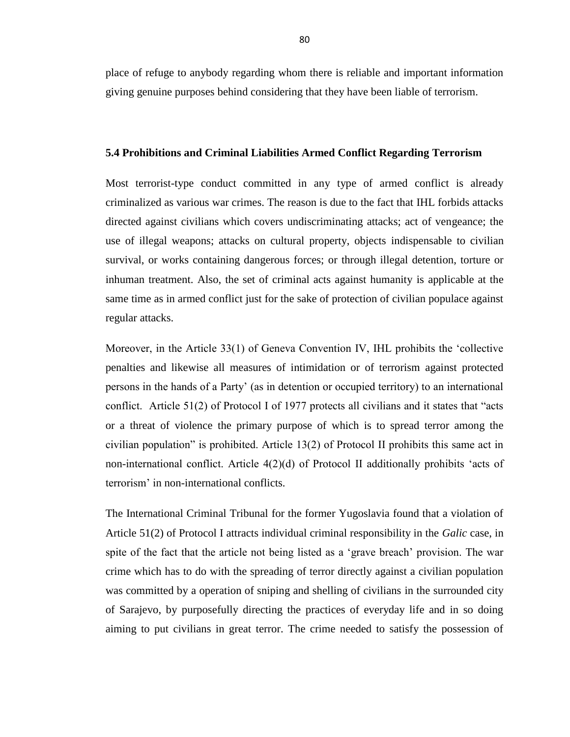place of refuge to anybody regarding whom there is reliable and important information giving genuine purposes behind considering that they have been liable of terrorism.

#### **5.4 Prohibitions and Criminal Liabilities Armed Conflict Regarding Terrorism**

Most terrorist-type conduct committed in any type of armed conflict is already criminalized as various war crimes. The reason is due to the fact that IHL forbids attacks directed against civilians which covers undiscriminating attacks; act of vengeance; the use of illegal weapons; attacks on cultural property, objects indispensable to civilian survival, or works containing dangerous forces; or through illegal detention, torture or inhuman treatment. Also, the set of criminal acts against humanity is applicable at the same time as in armed conflict just for the sake of protection of civilian populace against regular attacks.

Moreover, in the Article 33(1) of Geneva Convention IV, IHL prohibits the 'collective penalties and likewise all measures of intimidation or of terrorism against protected persons in the hands of a Party' (as in detention or occupied territory) to an international conflict. Article  $51(2)$  of Protocol I of 1977 protects all civilians and it states that "acts" or a threat of violence the primary purpose of which is to spread terror among the civilian population" is prohibited. Article  $13(2)$  of Protocol II prohibits this same act in non-international conflict. Article  $4(2)(d)$  of Protocol II additionally prohibits 'acts of terrorism' in non-international conflicts.

The International Criminal Tribunal for the former Yugoslavia found that a violation of Article 51(2) of Protocol I attracts individual criminal responsibility in the *Galic* case, in spite of the fact that the article not being listed as a 'grave breach' provision. The war crime which has to do with the spreading of terror directly against a civilian population was committed by a operation of sniping and shelling of civilians in the surrounded city of Sarajevo, by purposefully directing the practices of everyday life and in so doing aiming to put civilians in great terror. The crime needed to satisfy the possession of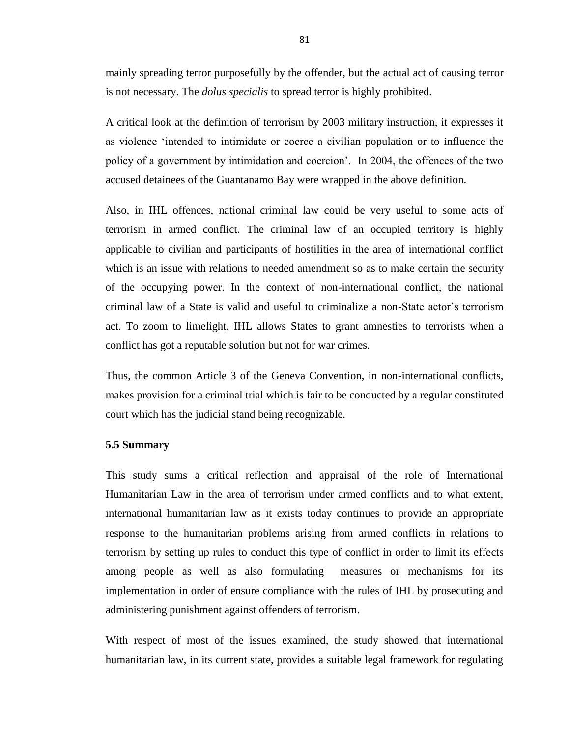mainly spreading terror purposefully by the offender, but the actual act of causing terror is not necessary. The *dolus specialis* to spread terror is highly prohibited.

A critical look at the definition of terrorism by 2003 military instruction, it expresses it as violence ‗intended to intimidate or coerce a civilian population or to influence the policy of a government by intimidation and coercion'. In 2004, the offences of the two accused detainees of the Guantanamo Bay were wrapped in the above definition.

Also, in IHL offences, national criminal law could be very useful to some acts of terrorism in armed conflict. The criminal law of an occupied territory is highly applicable to civilian and participants of hostilities in the area of international conflict which is an issue with relations to needed amendment so as to make certain the security of the occupying power. In the context of non-international conflict, the national criminal law of a State is valid and useful to criminalize a non-State actor's terrorism act. To zoom to limelight, IHL allows States to grant amnesties to terrorists when a conflict has got a reputable solution but not for war crimes.

Thus, the common Article 3 of the Geneva Convention, in non-international conflicts, makes provision for a criminal trial which is fair to be conducted by a regular constituted court which has the judicial stand being recognizable.

#### **5.5 Summary**

This study sums a critical reflection and appraisal of the role of International Humanitarian Law in the area of terrorism under armed conflicts and to what extent, international humanitarian law as it exists today continues to provide an appropriate response to the humanitarian problems arising from armed conflicts in relations to terrorism by setting up rules to conduct this type of conflict in order to limit its effects among people as well as also formulating measures or mechanisms for its implementation in order of ensure compliance with the rules of IHL by prosecuting and administering punishment against offenders of terrorism.

With respect of most of the issues examined, the study showed that international humanitarian law, in its current state, provides a suitable legal framework for regulating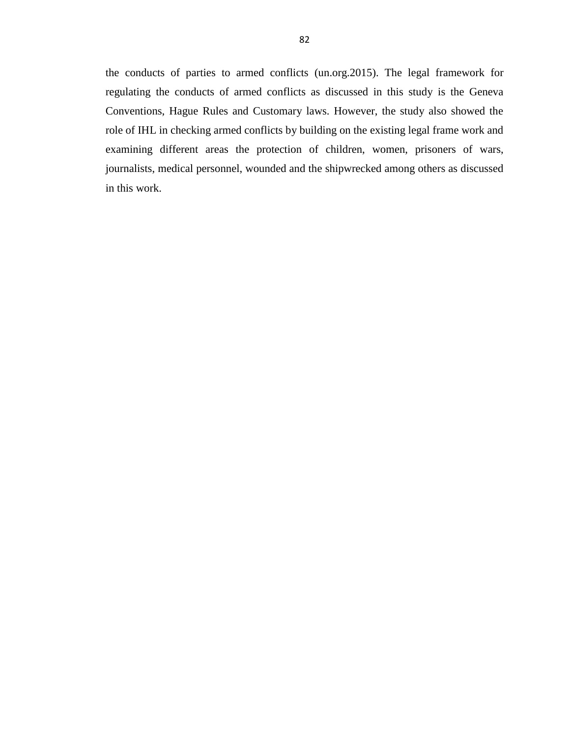the conducts of parties to armed conflicts (un.org.2015). The legal framework for regulating the conducts of armed conflicts as discussed in this study is the Geneva Conventions, Hague Rules and Customary laws. However, the study also showed the role of IHL in checking armed conflicts by building on the existing legal frame work and examining different areas the protection of children, women, prisoners of wars, journalists, medical personnel, wounded and the shipwrecked among others as discussed in this work.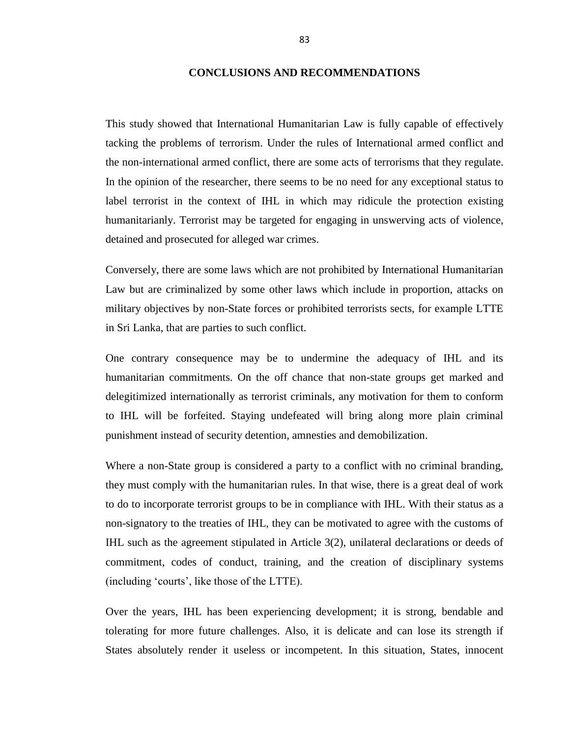#### **CONCLUSIONS AND RECOMMENDATIONS**

This study showed that International Humanitarian Law is fully capable of effectively tacking the problems of terrorism. Under the rules of International armed conflict and the non-international armed conflict, there are some acts of terrorisms that they regulate. In the opinion of the researcher, there seems to be no need for any exceptional status to label terrorist in the context of IHL in which may ridicule the protection existing humanitarianly. Terrorist may be targeted for engaging in unswerving acts of violence, detained and prosecuted for alleged war crimes.

Conversely, there are some laws which are not prohibited by International Humanitarian Law but are criminalized by some other laws which include in proportion, attacks on military objectives by non-State forces or prohibited terrorists sects, for example LTTE in Sri Lanka, that are parties to such conflict.

One contrary consequence may be to undermine the adequacy of IHL and its humanitarian commitments. On the off chance that non-state groups get marked and delegitimized internationally as terrorist criminals, any motivation for them to conform to IHL will be forfeited. Staying undefeated will bring along more plain criminal punishment instead of security detention, amnesties and demobilization.

Where a non-State group is considered a party to a conflict with no criminal branding, they must comply with the humanitarian rules. In that wise, there is a great deal of work to do to incorporate terrorist groups to be in compliance with IHL. With their status as a non-signatory to the treaties of IHL, they can be motivated to agree with the customs of IHL such as the agreement stipulated in Article 3(2), unilateral declarations or deeds of commitment, codes of conduct, training, and the creation of disciplinary systems (including ‗courts', like those of the LTTE).

Over the years, IHL has been experiencing development; it is strong, bendable and tolerating for more future challenges. Also, it is delicate and can lose its strength if States absolutely render it useless or incompetent. In this situation, States, innocent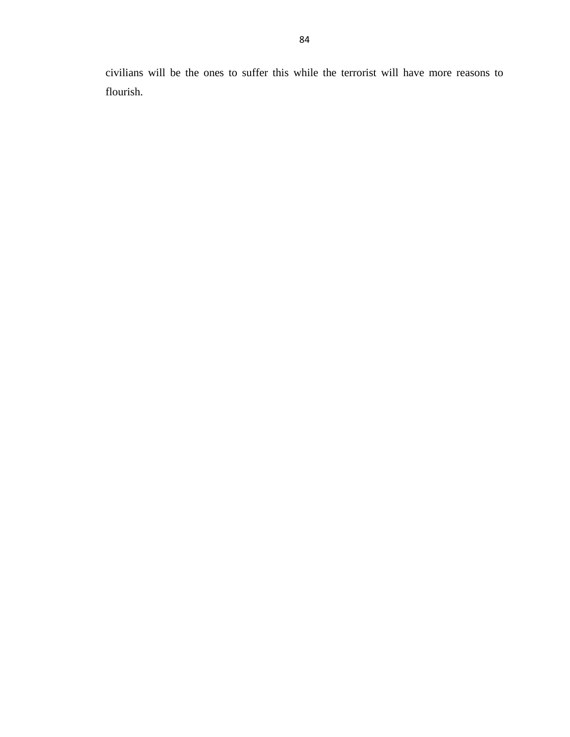civilians will be the ones to suffer this while the terrorist will have more reasons to flourish.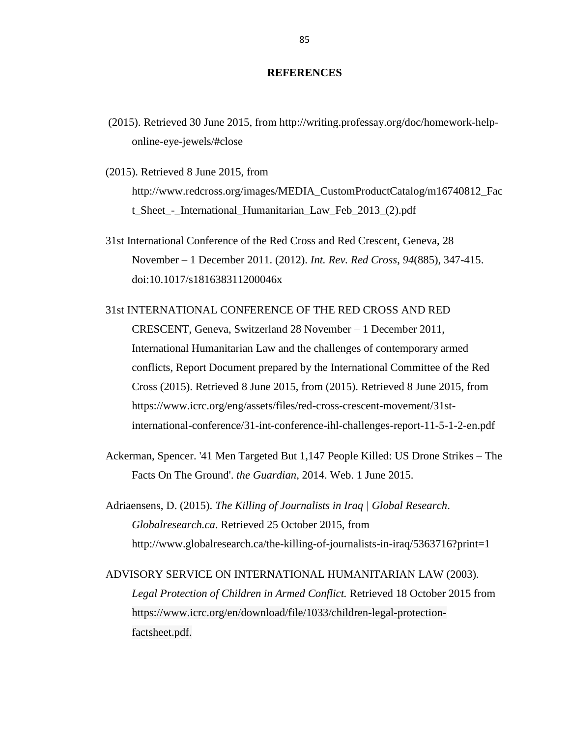## **REFERENCES**

- (2015). Retrieved 30 June 2015, from http://writing.professay.org/doc/homework-helponline-eye-jewels/#close
- (2015). Retrieved 8 June 2015, from http://www.redcross.org/images/MEDIA\_CustomProductCatalog/m16740812\_Fac t Sheet - International Humanitarian Law Feb 2013 (2).pdf
- 31st International Conference of the Red Cross and Red Crescent, Geneva, 28 November – 1 December 2011. (2012). *Int. Rev. Red Cross*, *94*(885), 347-415. doi:10.1017/s181638311200046x

# 31st INTERNATIONAL CONFERENCE OF THE RED CROSS AND RED

CRESCENT, Geneva, Switzerland 28 November – 1 December 2011, International Humanitarian Law and the challenges of contemporary armed conflicts, Report Document prepared by the International Committee of the Red Cross (2015). Retrieved 8 June 2015, from (2015). Retrieved 8 June 2015, from https://www.icrc.org/eng/assets/files/red-cross-crescent-movement/31stinternational-conference/31-int-conference-ihl-challenges-report-11-5-1-2-en.pdf

- Ackerman, Spencer. '41 Men Targeted But 1,147 People Killed: US Drone Strikes The Facts On The Ground'. *the Guardian*, 2014. Web. 1 June 2015.
- Adriaensens, D. (2015). *The Killing of Journalists in Iraq | Global Research*. *Globalresearch.ca*. Retrieved 25 October 2015, from http://www.globalresearch.ca/the-killing-of-journalists-in-iraq/5363716?print=1

ADVISORY SERVICE ON INTERNATIONAL HUMANITARIAN LAW (2003). *Legal Protection of Children in Armed Conflict.* Retrieved 18 October 2015 from [https://www.icrc.org/en/download/file/1033/children-legal-protection](https://www.icrc.org/en/download/file/1033/children-legal-protection-factsheet.pdf)[factsheet.pdf.](https://www.icrc.org/en/download/file/1033/children-legal-protection-factsheet.pdf)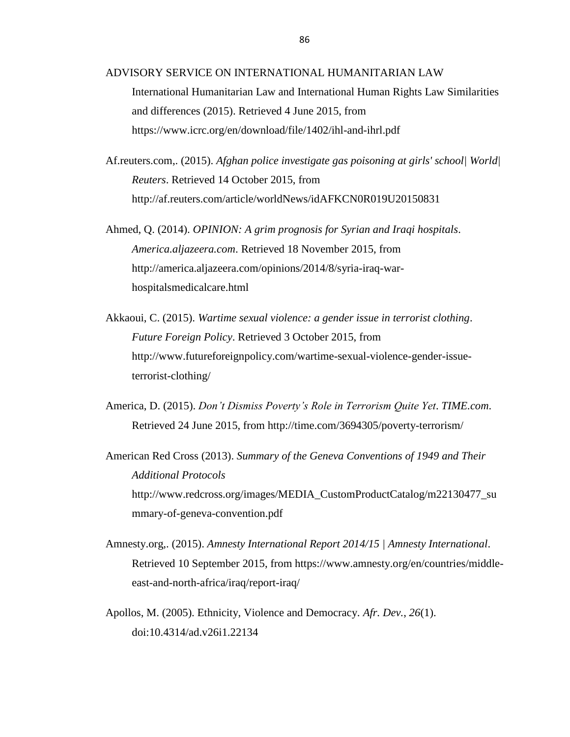ADVISORY SERVICE ON INTERNATIONAL HUMANITARIAN LAW

International Humanitarian Law and International Human Rights Law Similarities and differences (2015). Retrieved 4 June 2015, from https://www.icrc.org/en/download/file/1402/ihl-and-ihrl.pdf

Af.reuters.com,. (2015). *Afghan police investigate gas poisoning at girls' school| World| Reuters*. Retrieved 14 October 2015, from http://af.reuters.com/article/worldNews/idAFKCN0R019U20150831

Ahmed, Q. (2014). *OPINION: A grim prognosis for Syrian and Iraqi hospitals*. *America.aljazeera.com*. Retrieved 18 November 2015, from http://america.aljazeera.com/opinions/2014/8/syria-iraq-warhospitalsmedicalcare.html

- Akkaoui, C. (2015). *Wartime sexual violence: a gender issue in terrorist clothing*. *Future Foreign Policy*. Retrieved 3 October 2015, from http://www.futureforeignpolicy.com/wartime-sexual-violence-gender-issueterrorist-clothing/
- America, D. (2015). *Don't Dismiss Poverty's Role in Terrorism Quite Yet*. *TIME.com*. Retrieved 24 June 2015, from http://time.com/3694305/poverty-terrorism/

American Red Cross (2013). *Summary of the Geneva Conventions of 1949 and Their Additional Protocols* [http://www.redcross.org/images/MEDIA\\_CustomProductCatalog/m22130477\\_su](http://www.redcross.org/images/MEDIA_CustomProductCatalog/m22130477_summary-of-geneva-convention.pdf) [mmary-of-geneva-convention.pdf](http://www.redcross.org/images/MEDIA_CustomProductCatalog/m22130477_summary-of-geneva-convention.pdf)

- Amnesty.org,. (2015). *Amnesty International Report 2014/15 | Amnesty International*. Retrieved 10 September 2015, from https://www.amnesty.org/en/countries/middleeast-and-north-africa/iraq/report-iraq/
- Apollos, M. (2005). Ethnicity, Violence and Democracy. *Afr. Dev.*, *26*(1). doi:10.4314/ad.v26i1.22134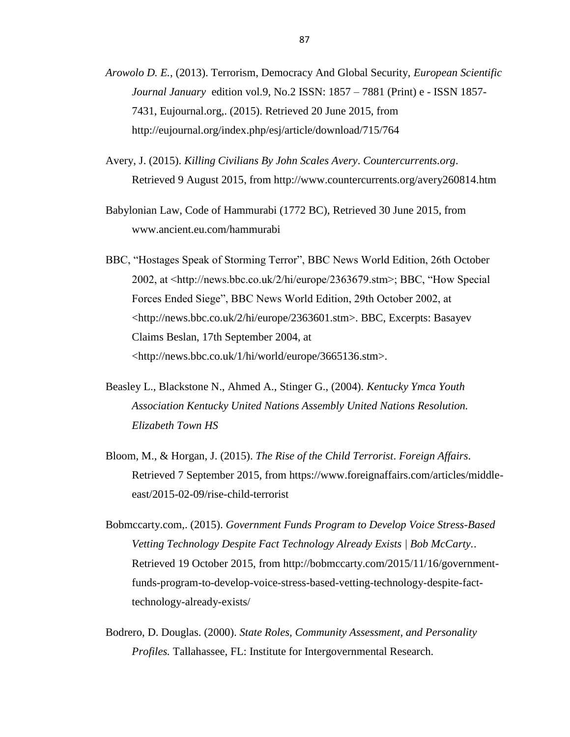- *Arowolo D. E.*, (2013). Terrorism, Democracy And Global Security, *European Scientific Journal January* edition vol.9, No.2 ISSN: 1857 – 7881 (Print) e - ISSN 1857- 7431, Eujournal.org,. (2015). Retrieved 20 June 2015, from http://eujournal.org/index.php/esj/article/download/715/764
- Avery, J. (2015). *Killing Civilians By John Scales Avery*. *Countercurrents.org*. Retrieved 9 August 2015, from http://www.countercurrents.org/avery260814.htm
- Babylonian Law, Code of Hammurabi (1772 BC), Retrieved 30 June 2015, from www.ancient.eu.com/hammurabi
- BBC, "Hostages Speak of Storming Terror", BBC News World Edition, 26th October 2002, at  $\langle$ http://news.bbc.co.uk/2/hi/europe/2363679.stm>; BBC, "How Special Forces Ended Siege", BBC News World Edition, 29th October 2002, at <http://news.bbc.co.uk/2/hi/europe/2363601.stm>. BBC, Excerpts: Basayev Claims Beslan, 17th September 2004, at <http://news.bbc.co.uk/1/hi/world/europe/3665136.stm>.
- Beasley L., Blackstone N., Ahmed A., Stinger G., (2004). *Kentucky Ymca Youth Association Kentucky United Nations Assembly United Nations Resolution. Elizabeth Town HS*
- Bloom, M., & Horgan, J. (2015). *The Rise of the Child Terrorist*. *Foreign Affairs*. Retrieved 7 September 2015, from https://www.foreignaffairs.com/articles/middleeast/2015-02-09/rise-child-terrorist
- Bobmccarty.com,. (2015). *Government Funds Program to Develop Voice Stress-Based Vetting Technology Despite Fact Technology Already Exists | Bob McCarty.*. Retrieved 19 October 2015, from http://bobmccarty.com/2015/11/16/governmentfunds-program-to-develop-voice-stress-based-vetting-technology-despite-facttechnology-already-exists/
- Bodrero, D. Douglas. (2000). *State Roles, Community Assessment, and Personality Profiles.* Tallahassee, FL: Institute for Intergovernmental Research.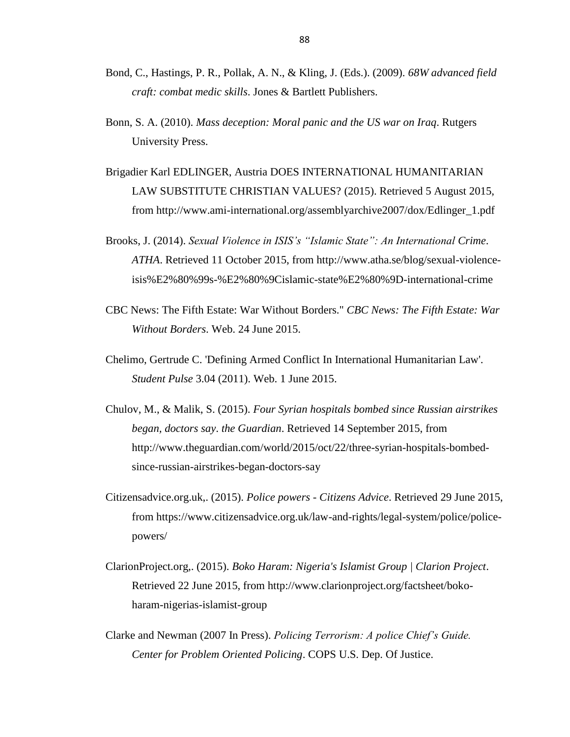- Bond, C., Hastings, P. R., Pollak, A. N., & Kling, J. (Eds.). (2009). *68W advanced field craft: combat medic skills*. Jones & Bartlett Publishers.
- Bonn, S. A. (2010). *Mass deception: Moral panic and the US war on Iraq*. Rutgers University Press.
- Brigadier Karl EDLINGER, Austria DOES INTERNATIONAL HUMANITARIAN LAW SUBSTITUTE CHRISTIAN VALUES? (2015). Retrieved 5 August 2015, from [http://www.ami-international.org/assemblyarchive2007/dox/Edlinger\\_1.pdf](http://www.ami-international.org/assemblyarchive2007/dox/Edlinger_1.pdf)
- Brooks, J. (2014). *Sexual Violence in ISIS's "Islamic State": An International Crime. ATHA*. Retrieved 11 October 2015, from http://www.atha.se/blog/sexual-violenceisis%E2%80%99s-%E2%80%9Cislamic-state%E2%80%9D-international-crime
- CBC News: The Fifth Estate: War Without Borders." *CBC News: The Fifth Estate: War Without Borders*. Web. 24 June 2015.
- Chelimo, Gertrude C. 'Defining Armed Conflict In International Humanitarian Law'. *Student Pulse* 3.04 (2011). Web. 1 June 2015.
- Chulov, M., & Malik, S. (2015). *Four Syrian hospitals bombed since Russian airstrikes began, doctors say*. *the Guardian*. Retrieved 14 September 2015, from http://www.theguardian.com/world/2015/oct/22/three-syrian-hospitals-bombedsince-russian-airstrikes-began-doctors-say
- Citizensadvice.org.uk,. (2015). *Police powers - Citizens Advice*. Retrieved 29 June 2015, from https://www.citizensadvice.org.uk/law-and-rights/legal-system/police/policepowers/
- ClarionProject.org,. (2015). *Boko Haram: Nigeria's Islamist Group | Clarion Project*. Retrieved 22 June 2015, from http://www.clarionproject.org/factsheet/bokoharam-nigerias-islamist-group
- Clarke and Newman (2007 In Press). *Policing Terrorism: A police Chief's Guide. Center for Problem Oriented Policing*. COPS U.S. Dep. Of Justice.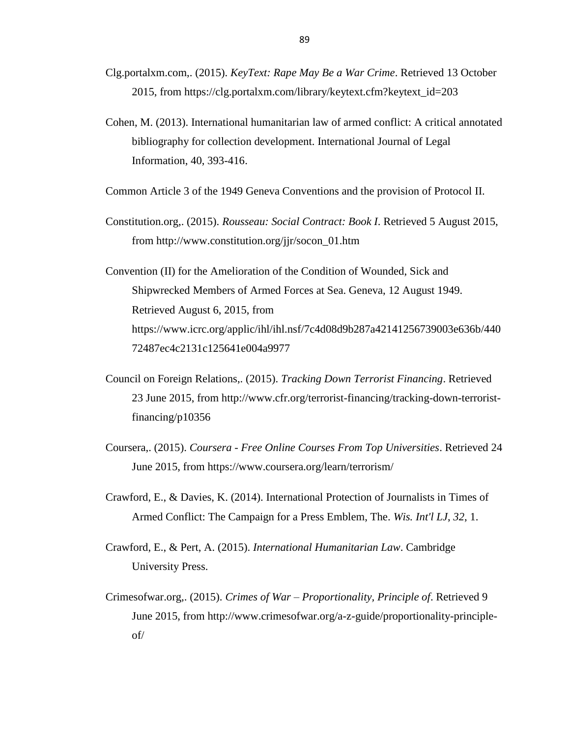- Clg.portalxm.com,. (2015). *KeyText: Rape May Be a War Crime*. Retrieved 13 October 2015, from https://clg.portalxm.com/library/keytext.cfm?keytext\_id=203
- Cohen, M. (2013). International humanitarian law of armed conflict: A critical annotated bibliography for collection development. International Journal of Legal Information, 40, 393-416.

Common Article 3 of the 1949 Geneva Conventions and the provision of Protocol II.

- Constitution.org,. (2015). *Rousseau: Social Contract: Book I*. Retrieved 5 August 2015, from http://www.constitution.org/jjr/socon\_01.htm
- Convention (II) for the Amelioration of the Condition of Wounded, Sick and Shipwrecked Members of Armed Forces at Sea. Geneva, 12 August 1949. Retrieved August 6, 2015, from https://www.icrc.org/applic/ihl/ihl.nsf/7c4d08d9b287a42141256739003e636b/440 72487ec4c2131c125641e004a9977
- Council on Foreign Relations,. (2015). *Tracking Down Terrorist Financing*. Retrieved 23 June 2015, from http://www.cfr.org/terrorist-financing/tracking-down-terroristfinancing/p10356
- Coursera,. (2015). *Coursera - Free Online Courses From Top Universities*. Retrieved 24 June 2015, from https://www.coursera.org/learn/terrorism/
- Crawford, E., & Davies, K. (2014). International Protection of Journalists in Times of Armed Conflict: The Campaign for a Press Emblem, The. *Wis. Int'l LJ*, *32*, 1.
- Crawford, E., & Pert, A. (2015). *International Humanitarian Law*. Cambridge University Press.
- Crimesofwar.org,. (2015). *Crimes of War – Proportionality, Principle of*. Retrieved 9 June 2015, from http://www.crimesofwar.org/a-z-guide/proportionality-principleof/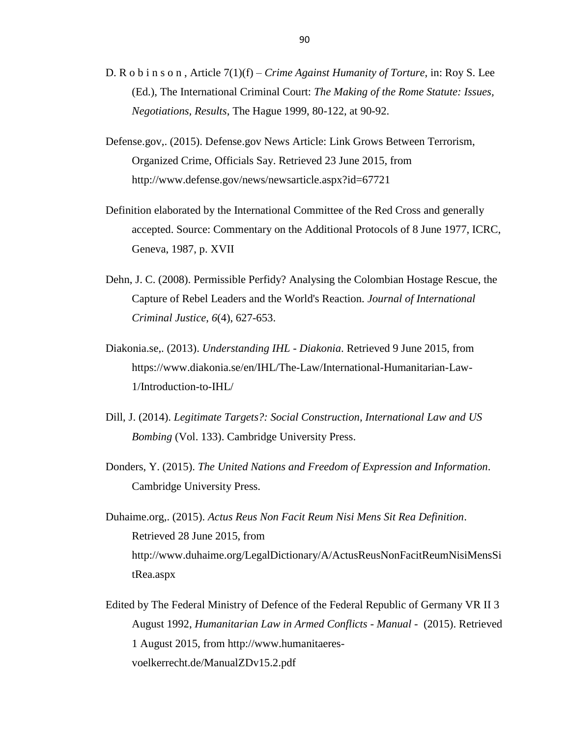- D. R o b i n s o n , Article 7(1)(f) *Crime Against Humanity of Torture*, in: Roy S. Lee (Ed.), The International Criminal Court: *The Making of the Rome Statute: Issues, Negotiations, Results*, The Hague 1999, 80-122, at 90-92.
- Defense.gov,. (2015). Defense.gov News Article: Link Grows Between Terrorism, Organized Crime, Officials Say. Retrieved 23 June 2015, from http://www.defense.gov/news/newsarticle.aspx?id=67721
- Definition elaborated by the International Committee of the Red Cross and generally accepted. Source: Commentary on the Additional Protocols of 8 June 1977, ICRC, Geneva, 1987, p. XVII
- Dehn, J. C. (2008). Permissible Perfidy? Analysing the Colombian Hostage Rescue, the Capture of Rebel Leaders and the World's Reaction. *Journal of International Criminal Justice*, *6*(4), 627-653.
- Diakonia.se,. (2013). *Understanding IHL - Diakonia*. Retrieved 9 June 2015, from [https://www.diakonia.se/en/IHL/The-Law/International-Humanitarian-Law-](https://www.diakonia.se/en/IHL/The-Law/International-Humanitarian-Law-1/Introduction-to-IHL/)[1/Introduction-to-IHL/](https://www.diakonia.se/en/IHL/The-Law/International-Humanitarian-Law-1/Introduction-to-IHL/)
- Dill, J. (2014). *Legitimate Targets?: Social Construction, International Law and US Bombing* (Vol. 133). Cambridge University Press.
- Donders, Y. (2015). *The United Nations and Freedom of Expression and Information*. Cambridge University Press.
- Duhaime.org,. (2015). *Actus Reus Non Facit Reum Nisi Mens Sit Rea Definition*. Retrieved 28 June 2015, from http://www.duhaime.org/LegalDictionary/A/ActusReusNonFacitReumNisiMensSi tRea.aspx
- Edited by The Federal Ministry of Defence of the Federal Republic of Germany VR II 3 August 1992, *Humanitarian Law in Armed Conflicts - Manual* - (2015). Retrieved 1 August 2015, from http://www.humanitaeresvoelkerrecht.de/ManualZDv15.2.pdf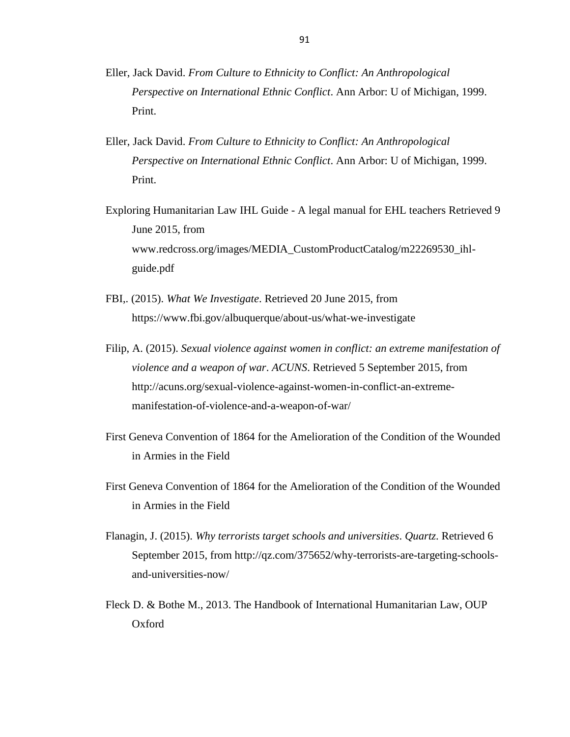- Eller, Jack David. *From Culture to Ethnicity to Conflict: An Anthropological Perspective on International Ethnic Conflict*. Ann Arbor: U of Michigan, 1999. Print.
- Eller, Jack David. *From Culture to Ethnicity to Conflict: An Anthropological Perspective on International Ethnic Conflict*. Ann Arbor: U of Michigan, 1999. Print.
- Exploring Humanitarian Law IHL Guide A legal manual for EHL teachers Retrieved 9 June 2015, from www.redcross.org/images/MEDIA\_CustomProductCatalog/m22269530\_ihlguide.pdf
- FBI,. (2015). *What We Investigate*. Retrieved 20 June 2015, from https://www.fbi.gov/albuquerque/about-us/what-we-investigate
- Filip, A. (2015). *Sexual violence against women in conflict: an extreme manifestation of violence and a weapon of war*. *ACUNS*. Retrieved 5 September 2015, from http://acuns.org/sexual-violence-against-women-in-conflict-an-extrememanifestation-of-violence-and-a-weapon-of-war/
- First Geneva Convention of 1864 for the Amelioration of the Condition of the Wounded in Armies in the Field
- First Geneva Convention of 1864 for the Amelioration of the Condition of the Wounded in Armies in the Field
- Flanagin, J. (2015). *Why terrorists target schools and universities*. *Quartz*. Retrieved 6 September 2015, from http://qz.com/375652/why-terrorists-are-targeting-schoolsand-universities-now/
- Fleck D. & Bothe M., 2013. The Handbook of International Humanitarian Law, OUP Oxford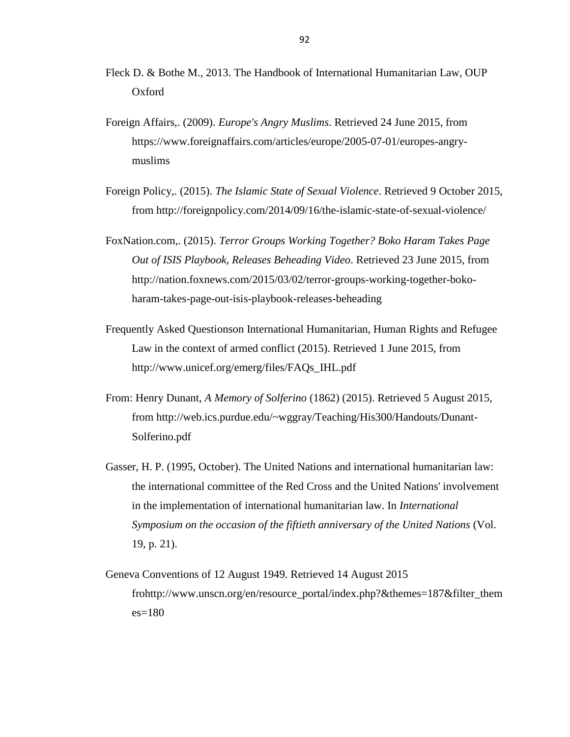- Fleck D. & Bothe M., 2013. The Handbook of International Humanitarian Law, OUP Oxford
- Foreign Affairs,. (2009). *Europe's Angry Muslims*. Retrieved 24 June 2015, from [https://www.foreignaffairs.com/articles/europe/2005-07-01/europes-angry](https://www.foreignaffairs.com/articles/europe/2005-07-01/europes-angry-muslims)[muslims](https://www.foreignaffairs.com/articles/europe/2005-07-01/europes-angry-muslims)
- Foreign Policy,. (2015). *The Islamic State of Sexual Violence*. Retrieved 9 October 2015, from http://foreignpolicy.com/2014/09/16/the-islamic-state-of-sexual-violence/
- FoxNation.com,. (2015). *Terror Groups Working Together? Boko Haram Takes Page Out of ISIS Playbook, Releases Beheading Video*. Retrieved 23 June 2015, from http://nation.foxnews.com/2015/03/02/terror-groups-working-together-bokoharam-takes-page-out-isis-playbook-releases-beheading
- Frequently Asked Questionson International Humanitarian, Human Rights and Refugee Law in the context of armed conflict (2015). Retrieved 1 June 2015, from http://www.unicef.org/emerg/files/FAQs\_IHL.pdf
- From: Henry Dunant, *A Memory of Solferino* (1862) (2015). Retrieved 5 August 2015, from http://web.ics.purdue.edu/~wggray/Teaching/His300/Handouts/Dunant-Solferino.pdf
- Gasser, H. P. (1995, October). The United Nations and international humanitarian law: the international committee of the Red Cross and the United Nations' involvement in the implementation of international humanitarian law. In *International Symposium on the occasion of the fiftieth anniversary of the United Nations* (Vol. 19, p. 21).
- Geneva Conventions of 12 August 1949. Retrieved 14 August 2015 frohttp://www.unscn.org/en/resource\_portal/index.php?&themes=187&filter\_them  $es = 180$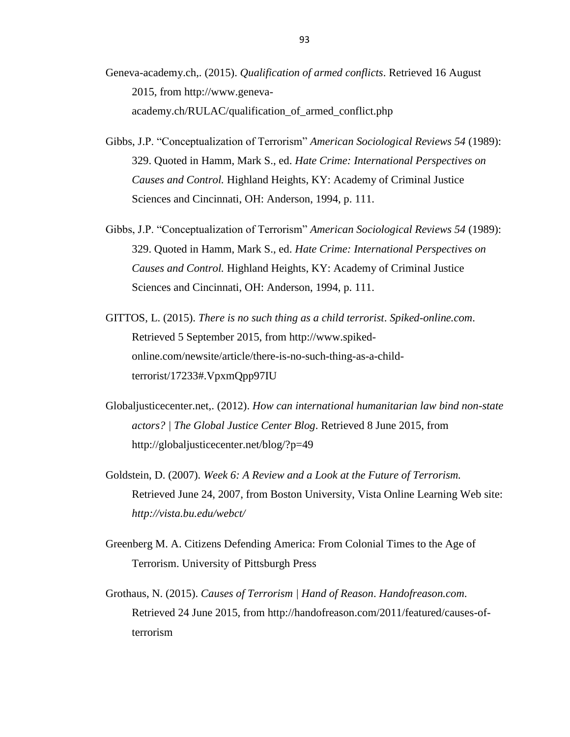- Geneva-academy.ch,. (2015). *Qualification of armed conflicts*. Retrieved 16 August 2015, from http://www.genevaacademy.ch/RULAC/qualification\_of\_armed\_conflict.php
- Gibbs, J.P. "Conceptualization of Terrorism" *American Sociological Reviews 54* (1989): 329. Quoted in Hamm, Mark S., ed. *Hate Crime: International Perspectives on Causes and Control.* Highland Heights, KY: Academy of Criminal Justice Sciences and Cincinnati, OH: Anderson, 1994, p. 111.
- Gibbs, J.P. "Conceptualization of Terrorism" *American Sociological Reviews 54* (1989): 329. Quoted in Hamm, Mark S., ed. *Hate Crime: International Perspectives on Causes and Control.* Highland Heights, KY: Academy of Criminal Justice Sciences and Cincinnati, OH: Anderson, 1994, p. 111.
- GITTOS, L. (2015). *There is no such thing as a child terrorist*. *Spiked-online.com*. Retrieved 5 September 2015, from http://www.spikedonline.com/newsite/article/there-is-no-such-thing-as-a-childterrorist/17233#.VpxmQpp97IU
- Globaljusticecenter.net,. (2012). *How can international humanitarian law bind non-state actors? | The Global Justice Center Blog*. Retrieved 8 June 2015, from http://globaljusticecenter.net/blog/?p=49
- Goldstein, D. (2007). *Week 6: A Review and a Look at the Future of Terrorism.* Retrieved June 24, 2007, from Boston University, Vista Online Learning Web site: *http://vista.bu.edu/webct/*
- Greenberg M. A. Citizens Defending America: From Colonial Times to the Age of Terrorism. University of Pittsburgh Press
- Grothaus, N. (2015). *Causes of Terrorism | Hand of Reason*. *Handofreason.com*. Retrieved 24 June 2015, from http://handofreason.com/2011/featured/causes-ofterrorism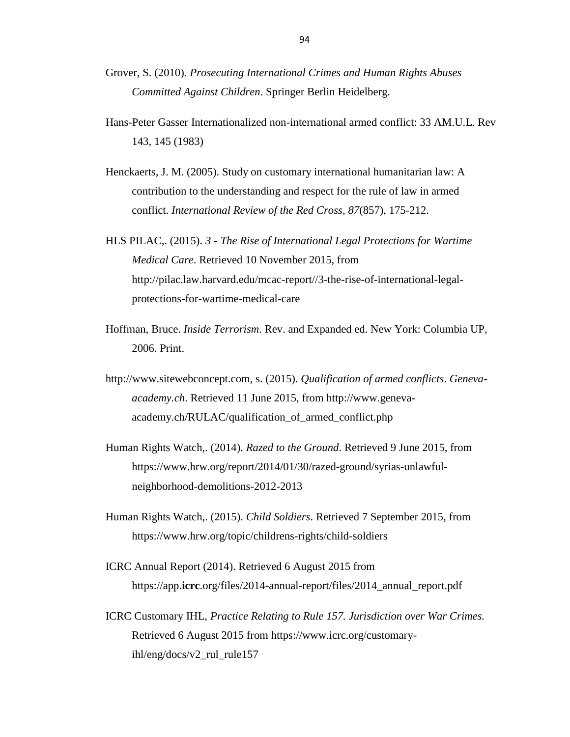- Grover, S. (2010). *Prosecuting International Crimes and Human Rights Abuses Committed Against Children*. Springer Berlin Heidelberg.
- Hans-Peter Gasser Internationalized non-international armed conflict: 33 AM.U.L. Rev 143, 145 (1983)
- Henckaerts, J. M. (2005). Study on customary international humanitarian law: A contribution to the understanding and respect for the rule of law in armed conflict. *International Review of the Red Cross*, *87*(857), 175-212.
- HLS PILAC,. (2015). *3 - The Rise of International Legal Protections for Wartime Medical Care*. Retrieved 10 November 2015, from http://pilac.law.harvard.edu/mcac-report//3-the-rise-of-international-legalprotections-for-wartime-medical-care
- Hoffman, Bruce. *Inside Terrorism*. Rev. and Expanded ed. New York: Columbia UP, 2006. Print.
- http://www.sitewebconcept.com, s. (2015). *Qualification of armed conflicts*. *Genevaacademy.ch*. Retrieved 11 June 2015, from http://www.genevaacademy.ch/RULAC/qualification\_of\_armed\_conflict.php
- Human Rights Watch,. (2014). *Razed to the Ground*. Retrieved 9 June 2015, from https://www.hrw.org/report/2014/01/30/razed-ground/syrias-unlawfulneighborhood-demolitions-2012-2013
- Human Rights Watch,. (2015). *Child Soldiers*. Retrieved 7 September 2015, from https://www.hrw.org/topic/childrens-rights/child-soldiers
- ICRC Annual Report (2014). Retrieved 6 August 2015 from https://app.**icrc**.org/files/2014-annual-report/files/2014\_annual\_report.pdf
- ICRC Customary IHL, *Practice Relating to Rule 157. Jurisdiction over War Crimes.* Retrieved 6 August 2015 from https://www.icrc.org/customaryihl/eng/docs/v2\_rul\_rule157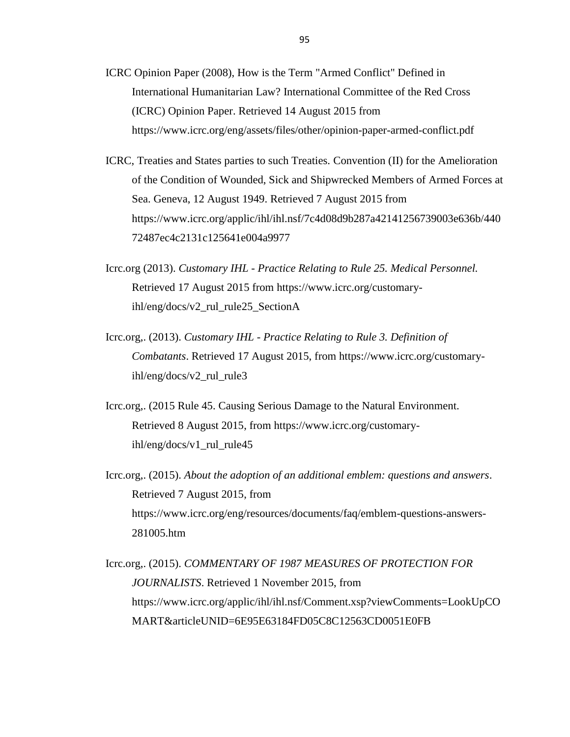- ICRC Opinion Paper (2008), How is the Term "Armed Conflict" Defined in International Humanitarian Law? International Committee of the Red Cross (ICRC) Opinion Paper. Retrieved 14 August 2015 from https://www.icrc.org/eng/assets/files/other/opinion-paper-armed-conflict.pdf
- ICRC, Treaties and States parties to such Treaties. [Convention \(II\) for the Amelioration](https://www.icrc.org/applic/ihl/ihl.nsf/Treaty.xsp?action=openDocument&documentId=2F5AA9B07AB61934C12563CD002D6B25)  [of the Condition of Wounded, Sick and Shipwrecked Members of Armed Forces at](https://www.icrc.org/applic/ihl/ihl.nsf/Treaty.xsp?action=openDocument&documentId=2F5AA9B07AB61934C12563CD002D6B25)  [Sea. Geneva, 12 August 1949.](https://www.icrc.org/applic/ihl/ihl.nsf/Treaty.xsp?action=openDocument&documentId=2F5AA9B07AB61934C12563CD002D6B25) Retrieved 7 August 2015 from https://www.icrc.org/applic/ihl/ihl.nsf/7c4d08d9b287a42141256739003e636b/440 72487ec4c2131c125641e004a9977
- Icrc.org (2013). *Customary IHL Practice Relating to Rule 25. Medical Personnel.* Retrieved 17 August 2015 from [https://www.icrc.org/customary](https://www.icrc.org/customary-ihl/eng/docs/v2_rul_rule25_SectionA)[ihl/eng/docs/v2\\_rul\\_rule25\\_SectionA](https://www.icrc.org/customary-ihl/eng/docs/v2_rul_rule25_SectionA)
- Icrc.org,. (2013). *Customary IHL - Practice Relating to Rule 3. Definition of Combatants*. Retrieved 17 August 2015, from https://www.icrc.org/customaryihl/eng/docs/v2\_rul\_rule3
- Icrc.org,. (2015 Rule 45. Causing Serious Damage to the Natural Environment. Retrieved 8 August 2015, from https://www.icrc.org/customaryihl/eng/docs/v1\_rul\_rule45
- Icrc.org,. (2015). *About the adoption of an additional emblem: questions and answers*. Retrieved 7 August 2015, from https://www.icrc.org/eng/resources/documents/faq/emblem-questions-answers-281005.htm

Icrc.org,. (2015). *COMMENTARY OF 1987 MEASURES OF PROTECTION FOR JOURNALISTS*. Retrieved 1 November 2015, from https://www.icrc.org/applic/ihl/ihl.nsf/Comment.xsp?viewComments=LookUpCO MART&articleUNID=6E95E63184FD05C8C12563CD0051E0FB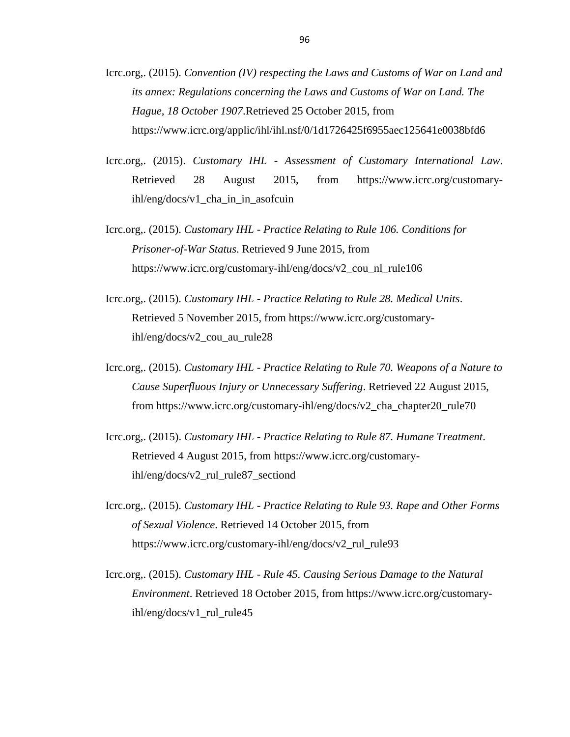- Icrc.org,. (2015). *[Convention \(IV\) respecting the Laws and Customs of War on Land and](https://www.icrc.org/applic/ihl/ihl.nsf/Treaty.xsp?action=openDocument&documentId=4D47F92DF3966A7EC12563CD002D6788)  [its annex: Regulations concerning the Laws and Customs of War on Land. The](https://www.icrc.org/applic/ihl/ihl.nsf/Treaty.xsp?action=openDocument&documentId=4D47F92DF3966A7EC12563CD002D6788)  [Hague, 18 October 1907](https://www.icrc.org/applic/ihl/ihl.nsf/Treaty.xsp?action=openDocument&documentId=4D47F92DF3966A7EC12563CD002D6788)*.Retrieved 25 October 2015, from https://www.icrc.org/applic/ihl/ihl.nsf/0/1d1726425f6955aec125641e0038bfd6
- Icrc.org,. (2015). *Customary IHL - Assessment of Customary International Law*. Retrieved 28 August 2015, from [https://www.icrc.org/customary](https://www.icrc.org/customary-ihl/eng/docs/v1_cha_in_in_asofcuin)[ihl/eng/docs/v1\\_cha\\_in\\_in\\_asofcuin](https://www.icrc.org/customary-ihl/eng/docs/v1_cha_in_in_asofcuin)
- Icrc.org,. (2015). *Customary IHL - Practice Relating to Rule 106. Conditions for Prisoner-of-War Status*. Retrieved 9 June 2015, from https://www.icrc.org/customary-ihl/eng/docs/v2\_cou\_nl\_rule106
- Icrc.org,. (2015). *Customary IHL - Practice Relating to Rule 28. Medical Units*. Retrieved 5 November 2015, from https://www.icrc.org/customaryihl/eng/docs/v2\_cou\_au\_rule28
- Icrc.org,. (2015). *Customary IHL - Practice Relating to Rule 70. Weapons of a Nature to Cause Superfluous Injury or Unnecessary Suffering*. Retrieved 22 August 2015, from https://www.icrc.org/customary-ihl/eng/docs/v2\_cha\_chapter20\_rule70
- Icrc.org,. (2015). *Customary IHL - Practice Relating to Rule 87. Humane Treatment*. Retrieved 4 August 2015, from https://www.icrc.org/customaryihl/eng/docs/v2\_rul\_rule87\_sectiond
- Icrc.org,. (2015). *Customary IHL - Practice Relating to Rule 93. Rape and Other Forms of Sexual Violence*. Retrieved 14 October 2015, from https://www.icrc.org/customary-ihl/eng/docs/v2\_rul\_rule93
- Icrc.org,. (2015). *Customary IHL - Rule 45. Causing Serious Damage to the Natural Environment*. Retrieved 18 October 2015, from https://www.icrc.org/customaryihl/eng/docs/v1\_rul\_rule45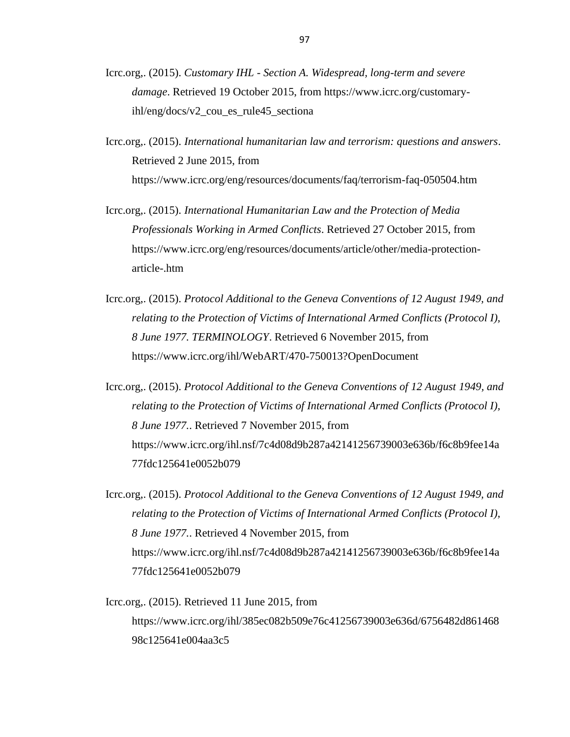- Icrc.org,. (2015). *Customary IHL - Section A. Widespread, long-term and severe damage*. Retrieved 19 October 2015, from https://www.icrc.org/customaryihl/eng/docs/v2\_cou\_es\_rule45\_sectiona
- Icrc.org,. (2015). *International humanitarian law and terrorism: questions and answers*. Retrieved 2 June 2015, from https://www.icrc.org/eng/resources/documents/faq/terrorism-faq-050504.htm
- Icrc.org,. (2015). *International Humanitarian Law and the Protection of Media Professionals Working in Armed Conflicts*. Retrieved 27 October 2015, from https://www.icrc.org/eng/resources/documents/article/other/media-protectionarticle-.htm
- Icrc.org,. (2015). *Protocol Additional to the Geneva Conventions of 12 August 1949, and relating to the Protection of Victims of International Armed Conflicts (Protocol I), 8 June 1977. TERMINOLOGY*. Retrieved 6 November 2015, from https://www.icrc.org/ihl/WebART/470-750013?OpenDocument
- Icrc.org,. (2015). *Protocol Additional to the Geneva Conventions of 12 August 1949, and relating to the Protection of Victims of International Armed Conflicts (Protocol I), 8 June 1977.*. Retrieved 7 November 2015, from https://www.icrc.org/ihl.nsf/7c4d08d9b287a42141256739003e636b/f6c8b9fee14a 77fdc125641e0052b079
- Icrc.org,. (2015). *Protocol Additional to the Geneva Conventions of 12 August 1949, and relating to the Protection of Victims of International Armed Conflicts (Protocol I), 8 June 1977.*. Retrieved 4 November 2015, from https://www.icrc.org/ihl.nsf/7c4d08d9b287a42141256739003e636b/f6c8b9fee14a 77fdc125641e0052b079
- Icrc.org,. (2015). Retrieved 11 June 2015, from https://www.icrc.org/ihl/385ec082b509e76c41256739003e636d/6756482d861468 98c125641e004aa3c5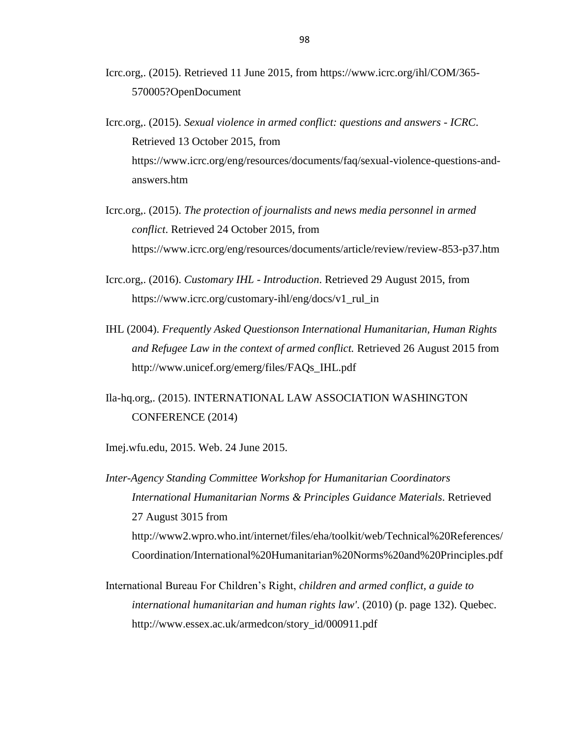- Icrc.org,. (2015). Retrieved 11 June 2015, from https://www.icrc.org/ihl/COM/365- 570005?OpenDocument
- Icrc.org,. (2015). *Sexual violence in armed conflict: questions and answers - ICRC*. Retrieved 13 October 2015, from https://www.icrc.org/eng/resources/documents/faq/sexual-violence-questions-andanswers.htm
- Icrc.org,. (2015). *The protection of journalists and news media personnel in armed conflict*. Retrieved 24 October 2015, from https://www.icrc.org/eng/resources/documents/article/review/review-853-p37.htm
- Icrc.org,. (2016). *Customary IHL - Introduction*. Retrieved 29 August 2015, from https://www.icrc.org/customary-ihl/eng/docs/v1 rul in
- IHL (2004). *Frequently Asked Questionson International Humanitarian, Human Rights and Refugee Law in the context of armed conflict.* Retrieved 26 August 2015 from http://www.unicef.org/emerg/files/FAQs\_IHL.pdf
- Ila-hq.org,. (2015). INTERNATIONAL LAW ASSOCIATION WASHINGTON CONFERENCE (2014)
- Imej.wfu.edu, 2015. Web. 24 June 2015.

*Inter-Agency Standing Committee Workshop for Humanitarian Coordinators International Humanitarian Norms & Principles Guidance Materials*. Retrieved 27 August 3015 from http://www2.wpro.who.int/internet/files/eha/toolkit/web/Technical%20References/ Coordination/International%20Humanitarian%20Norms%20and%20Principles.pdf

International Bureau For Children's Right, *children and armed conflict, a guide to international humanitarian and human rights law'*. (2010) (p. page 132). Quebec. http://www.essex.ac.uk/armedcon/story\_id/000911.pdf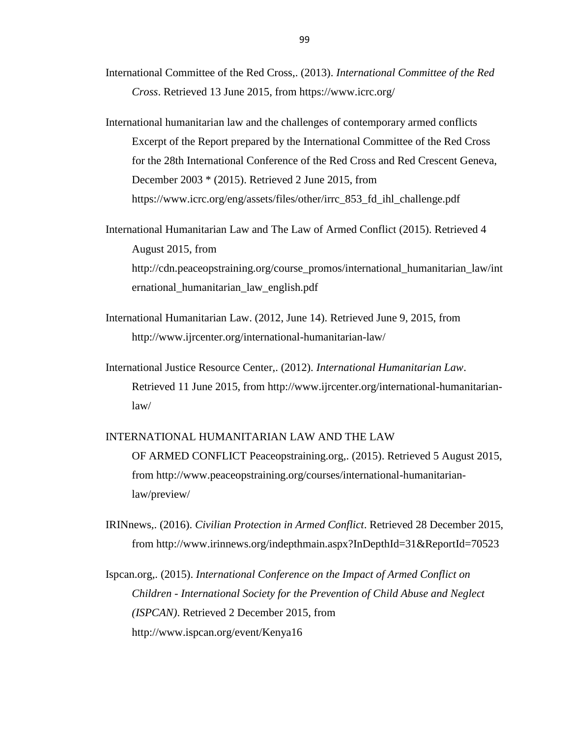- International Committee of the Red Cross,. (2013). *International Committee of the Red Cross*. Retrieved 13 June 2015, from https://www.icrc.org/
- International humanitarian law and the challenges of contemporary armed conflicts Excerpt of the Report prepared by the International Committee of the Red Cross for the 28th International Conference of the Red Cross and Red Crescent Geneva, December 2003 \* (2015). Retrieved 2 June 2015, from https://www.icrc.org/eng/assets/files/other/irrc\_853\_fd\_ihl\_challenge.pdf

International Humanitarian Law and The Law of Armed Conflict (2015). Retrieved 4 August 2015, from http://cdn.peaceopstraining.org/course\_promos/international\_humanitarian\_law/int ernational\_humanitarian\_law\_english.pdf

- International Humanitarian Law. (2012, June 14). Retrieved June 9, 2015, from http://www.ijrcenter.org/international-humanitarian-law/
- International Justice Resource Center,. (2012). *International Humanitarian Law*. Retrieved 11 June 2015, from http://www.ijrcenter.org/international-humanitarianlaw/

## INTERNATIONAL HUMANITARIAN LAW AND THE LAW OF ARMED CONFLICT Peaceopstraining.org,. (2015). Retrieved 5 August 2015, from http://www.peaceopstraining.org/courses/international-humanitarianlaw/preview/

IRINnews,. (2016). *Civilian Protection in Armed Conflict*. Retrieved 28 December 2015, from http://www.irinnews.org/indepthmain.aspx?InDepthId=31&ReportId=70523

Ispcan.org,. (2015). *International Conference on the Impact of Armed Conflict on Children - International Society for the Prevention of Child Abuse and Neglect (ISPCAN)*. Retrieved 2 December 2015, from http://www.ispcan.org/event/Kenya16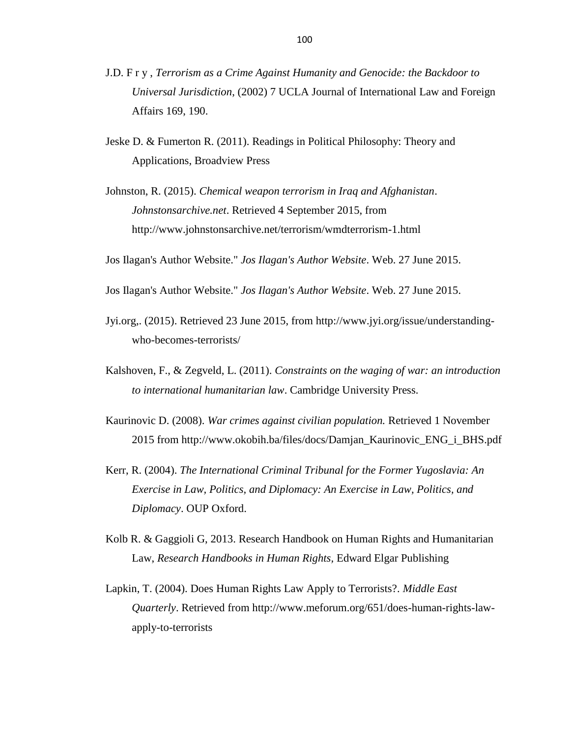- J.D. F r y , *Terrorism as a Crime Against Humanity and Genocide: the Backdoor to Universal Jurisdiction*, (2002) 7 UCLA Journal of International Law and Foreign Affairs 169, 190.
- Jeske D. & Fumerton R. (2011). Readings in Political Philosophy: Theory and Applications, Broadview Press
- Johnston, R. (2015). *Chemical weapon terrorism in Iraq and Afghanistan*. *Johnstonsarchive.net*. Retrieved 4 September 2015, from http://www.johnstonsarchive.net/terrorism/wmdterrorism-1.html

Jos Ilagan's Author Website." *Jos Ilagan's Author Website*. Web. 27 June 2015.

- Jos Ilagan's Author Website." *Jos Ilagan's Author Website*. Web. 27 June 2015.
- Jyi.org,. (2015). Retrieved 23 June 2015, from [http://www.jyi.org/issue/understanding](http://www.jyi.org/issue/understanding-who-becomes-terrorists/)[who-becomes-terrorists/](http://www.jyi.org/issue/understanding-who-becomes-terrorists/)
- Kalshoven, F., & Zegveld, L. (2011). *Constraints on the waging of war: an introduction to international humanitarian law*. Cambridge University Press.
- Kaurinovic D. (2008). *War crimes against civilian population.* Retrieved 1 November 2015 from http://www.okobih.ba/files/docs/Damjan\_Kaurinovic\_ENG\_i\_BHS.pdf
- Kerr, R. (2004). *The International Criminal Tribunal for the Former Yugoslavia: An Exercise in Law, Politics, and Diplomacy: An Exercise in Law, Politics, and Diplomacy*. OUP Oxford.
- Kolb R. & Gaggioli G, 2013. Research Handbook on Human Rights and Humanitarian Law, *Research Handbooks in Human Rights,* Edward Elgar Publishing
- Lapkin, T. (2004). Does Human Rights Law Apply to Terrorists?. *Middle East Quarterly*. Retrieved from http://www.meforum.org/651/does-human-rights-lawapply-to-terrorists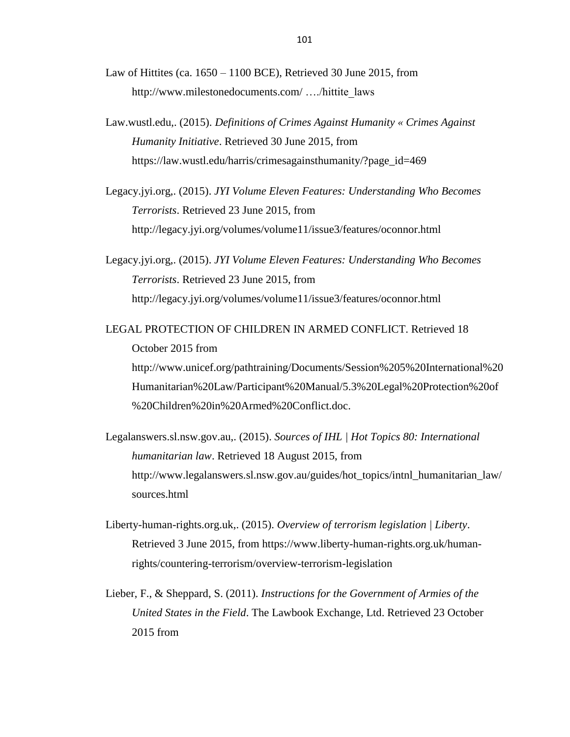Law of Hittites (ca.  $1650 - 1100$  BCE), Retrieved 30 June 2015, from http:/[/www.milestonedocuments.com/](http://www.milestonedocuments.com/) …./hittite\_laws

- Law.wustl.edu,. (2015). *Definitions of Crimes Against Humanity « Crimes Against Humanity Initiative*. Retrieved 30 June 2015, from https://law.wustl.edu/harris/crimesagainsthumanity/?page\_id=469
- Legacy.jyi.org,. (2015). *JYI Volume Eleven Features: Understanding Who Becomes Terrorists*. Retrieved 23 June 2015, from http://legacy.jyi.org/volumes/volume11/issue3/features/oconnor.html

Legacy.jyi.org,. (2015). *JYI Volume Eleven Features: Understanding Who Becomes Terrorists*. Retrieved 23 June 2015, from http://legacy.jyi.org/volumes/volume11/issue3/features/oconnor.html

LEGAL PROTECTION OF CHILDREN IN ARMED CONFLICT. Retrieved 18 October 2015 from [http://www.unicef.org/pathtraining/Documents/Session%205%20International%20](http://www.unicef.org/pathtraining/Documents/Session%205%20International%20Humanitarian%20Law/Participant%20Manual/5.3%20Legal%20Protection%20of%20Children%20in%20Armed%20Conflict.doc) [Humanitarian%20Law/Participant%20Manual/5.3%20Legal%20Protection%20of](http://www.unicef.org/pathtraining/Documents/Session%205%20International%20Humanitarian%20Law/Participant%20Manual/5.3%20Legal%20Protection%20of%20Children%20in%20Armed%20Conflict.doc) [%20Children%20in%20Armed%20Conflict.doc.](http://www.unicef.org/pathtraining/Documents/Session%205%20International%20Humanitarian%20Law/Participant%20Manual/5.3%20Legal%20Protection%20of%20Children%20in%20Armed%20Conflict.doc)

Legalanswers.sl.nsw.gov.au,. (2015). *Sources of IHL | Hot Topics 80: International humanitarian law*. Retrieved 18 August 2015, from http://www.legalanswers.sl.nsw.gov.au/guides/hot\_topics/intnl\_humanitarian\_law/ sources.html

- Liberty-human-rights.org.uk,. (2015). *Overview of terrorism legislation | Liberty*. Retrieved 3 June 2015, from https://www.liberty-human-rights.org.uk/humanrights/countering-terrorism/overview-terrorism-legislation
- Lieber, F., & Sheppard, S. (2011). *Instructions for the Government of Armies of the United States in the Field*. The Lawbook Exchange, Ltd. Retrieved 23 October 2015 from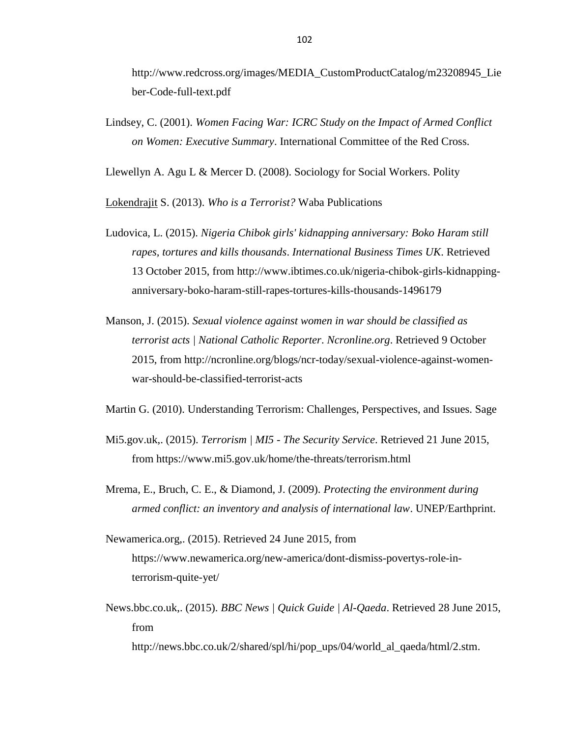http://www.redcross.org/images/MEDIA\_CustomProductCatalog/m23208945\_Lie ber-Code-full-text.pdf

Lindsey, C. (2001). *Women Facing War: ICRC Study on the Impact of Armed Conflict on Women: Executive Summary*. International Committee of the Red Cross.

Llewellyn A. Agu L & Mercer D. (2008). Sociology for Social Workers. Polity

[Lokendrajit](https://www.google.com.cy/search?tbo=p&tbm=bks&q=inauthor:%22Soyam+Lokendrajit%22) S. (2013). *Who is a Terrorist?* Waba Publications

- Ludovica, L. (2015). *Nigeria Chibok girls' kidnapping anniversary: Boko Haram still rapes, tortures and kills thousands*. *International Business Times UK*. Retrieved 13 October 2015, from http://www.ibtimes.co.uk/nigeria-chibok-girls-kidnappinganniversary-boko-haram-still-rapes-tortures-kills-thousands-1496179
- Manson, J. (2015). *Sexual violence against women in war should be classified as terrorist acts | National Catholic Reporter*. *Ncronline.org*. Retrieved 9 October 2015, from http://ncronline.org/blogs/ncr-today/sexual-violence-against-womenwar-should-be-classified-terrorist-acts

Martin G. (2010). Understanding Terrorism: Challenges, Perspectives, and Issues. Sage

- Mi5.gov.uk,. (2015). *Terrorism | MI5 - The Security Service*. Retrieved 21 June 2015, from https://www.mi5.gov.uk/home/the-threats/terrorism.html
- Mrema, E., Bruch, C. E., & Diamond, J. (2009). *Protecting the environment during armed conflict: an inventory and analysis of international law*. UNEP/Earthprint.
- Newamerica.org,. (2015). Retrieved 24 June 2015, from https://www.newamerica.org/new-america/dont-dismiss-povertys-role-interrorism-quite-yet/
- News.bbc.co.uk,. (2015). *BBC News | Quick Guide | Al-Qaeda*. Retrieved 28 June 2015, from

http://news.bbc.co.uk/2/shared/spl/hi/pop\_ups/04/world\_al\_qaeda/html/2.stm.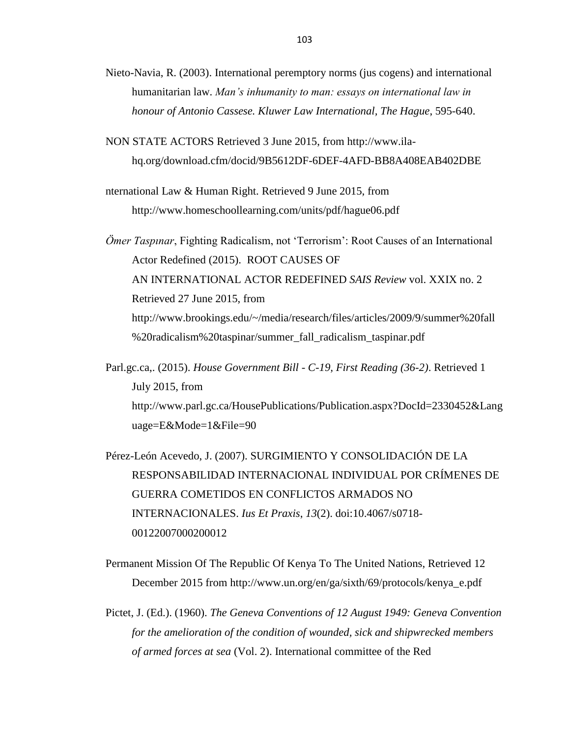- Nieto-Navia, R. (2003). International peremptory norms (jus cogens) and international humanitarian law. *Man's inhumanity to man: essays on international law in honour of Antonio Cassese. Kluwer Law International, The Hague*, 595-640.
- NON STATE ACTORS Retrieved 3 June 2015, from http://www.ilahq.org/download.cfm/docid/9B5612DF-6DEF-4AFD-BB8A408EAB402DBE
- nternational Law & Human Right. Retrieved 9 June 2015, from http://www.homeschoollearning.com/units/pdf/hague06.pdf

*Ömer Taspınar*, Fighting Radicalism, not ‗Terrorism': Root Causes of an International Actor Redefined (2015). ROOT CAUSES OF AN INTERNATIONAL ACTOR REDEFINED *SAIS Review* vol. XXIX no. 2 Retrieved 27 June 2015, from http://www.brookings.edu/~/media/research/files/articles/2009/9/summer%20fall %20radicalism%20taspinar/summer\_fall\_radicalism\_taspinar.pdf

Parl.gc.ca,. (2015). *House Government Bill - C-19, First Reading (36-2)*. Retrieved 1 July 2015, from http://www.parl.gc.ca/HousePublications/Publication.aspx?DocId=2330452&Lang uage=E&Mode=1&File=90

Pérez-León Acevedo, J. (2007). SURGIMIENTO Y CONSOLIDACIÓN DE LA RESPONSABILIDAD INTERNACIONAL INDIVIDUAL POR CRÍMENES DE GUERRA COMETIDOS EN CONFLICTOS ARMADOS NO INTERNACIONALES. *Ius Et Praxis*, *13*(2). doi:10.4067/s0718- 00122007000200012

Permanent Mission Of The Republic Of Kenya To The United Nations, Retrieved 12 December 2015 from http://www.un.org/en/ga/sixth/69/protocols/kenya\_e.pdf

Pictet, J. (Ed.). (1960). *The Geneva Conventions of 12 August 1949: Geneva Convention for the amelioration of the condition of wounded, sick and shipwrecked members of armed forces at sea* (Vol. 2). International committee of the Red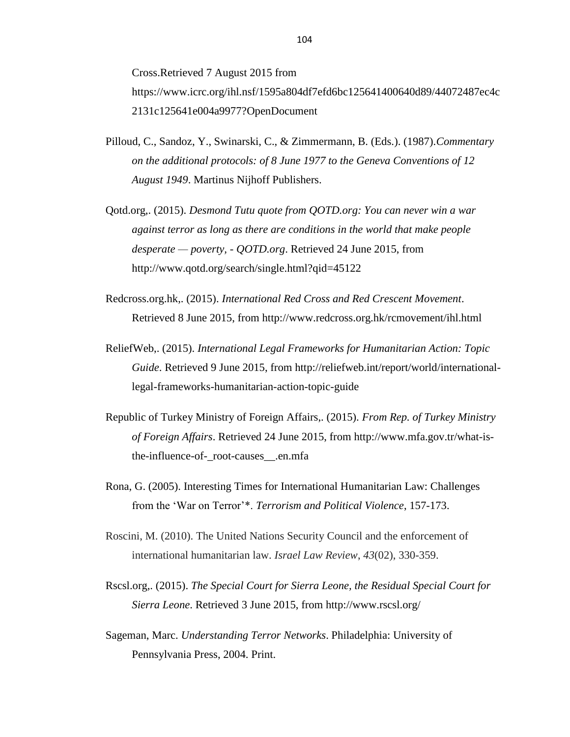Cross.Retrieved 7 August 2015 from [https://www.icrc.org/ihl.nsf/1595a804df7efd6bc125641400640d89/44072487ec4c](https://www.icrc.org/ihl.nsf/1595a804df7efd6bc125641400640d89/44072487ec4c2131c125641e004a9977?OpenDocument) [2131c125641e004a9977?OpenDocument](https://www.icrc.org/ihl.nsf/1595a804df7efd6bc125641400640d89/44072487ec4c2131c125641e004a9977?OpenDocument)

- Pilloud, C., Sandoz, Y., Swinarski, C., & Zimmermann, B. (Eds.). (1987).*Commentary on the additional protocols: of 8 June 1977 to the Geneva Conventions of 12 August 1949*. Martinus Nijhoff Publishers.
- Qotd.org,. (2015). *Desmond Tutu quote from QOTD.org: You can never win a war against terror as long as there are conditions in the world that make people desperate — poverty, - QOTD.org*. Retrieved 24 June 2015, from http://www.qotd.org/search/single.html?qid=45122
- Redcross.org.hk,. (2015). *International Red Cross and Red Crescent Movement*. Retrieved 8 June 2015, from http://www.redcross.org.hk/rcmovement/ihl.html
- ReliefWeb,. (2015). *International Legal Frameworks for Humanitarian Action: Topic Guide*. Retrieved 9 June 2015, from http://reliefweb.int/report/world/internationallegal-frameworks-humanitarian-action-topic-guide
- Republic of Turkey Ministry of Foreign Affairs,. (2015). *From Rep. of Turkey Ministry of Foreign Affairs*. Retrieved 24 June 2015, from http://www.mfa.gov.tr/what-isthe-influence-of-\_root-causes\_\_.en.mfa
- Rona, G. (2005). Interesting Times for International Humanitarian Law: Challenges from the ‗War on Terror'\*. *Terrorism and Political Violence*, 157-173.
- Roscini, M. (2010). The United Nations Security Council and the enforcement of international humanitarian law. *Israel Law Review*, *43*(02), 330-359.
- Rscsl.org,. (2015). *The Special Court for Sierra Leone, the Residual Special Court for Sierra Leone*. Retrieved 3 June 2015, from http://www.rscsl.org/
- Sageman, Marc. *Understanding Terror Networks*. Philadelphia: University of Pennsylvania Press, 2004. Print.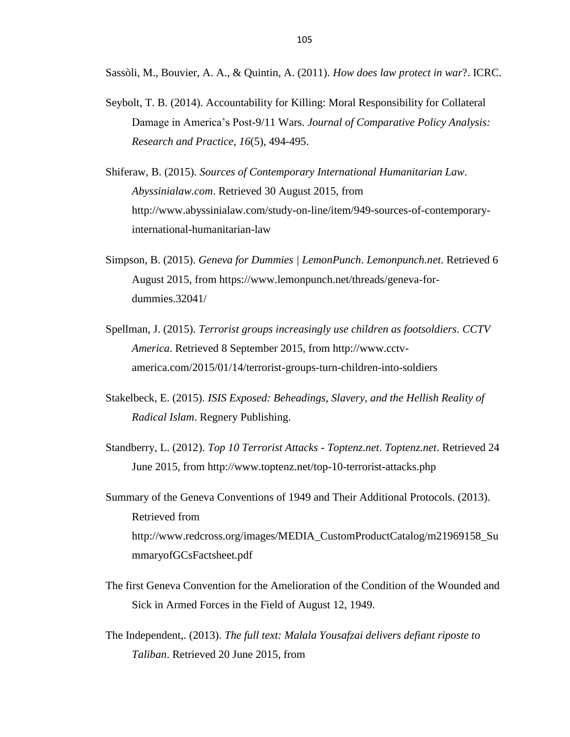Sassòli, M., Bouvier, A. A., & Quintin, A. (2011). *How does law protect in war*?. ICRC.

- Seybolt, T. B. (2014). Accountability for Killing: Moral Responsibility for Collateral Damage in America's Post-9/11 Wars. *Journal of Comparative Policy Analysis: Research and Practice*, *16*(5), 494-495.
- Shiferaw, B. (2015). *Sources of Contemporary International Humanitarian Law*. *Abyssinialaw.com*. Retrieved 30 August 2015, from http://www.abyssinialaw.com/study-on-line/item/949-sources-of-contemporaryinternational-humanitarian-law
- Simpson, B. (2015). *Geneva for Dummies | LemonPunch*. *Lemonpunch.net*. Retrieved 6 August 2015, from https://www.lemonpunch.net/threads/geneva-fordummies.32041/
- Spellman, J. (2015). *Terrorist groups increasingly use children as footsoldiers*. *CCTV America*. Retrieved 8 September 2015, from http://www.cctvamerica.com/2015/01/14/terrorist-groups-turn-children-into-soldiers
- Stakelbeck, E. (2015). *ISIS Exposed: Beheadings, Slavery, and the Hellish Reality of Radical Islam*. Regnery Publishing.
- Standberry, L. (2012). *Top 10 Terrorist Attacks - Toptenz.net*. *Toptenz.net*. Retrieved 24 June 2015, from http://www.toptenz.net/top-10-terrorist-attacks.php
- Summary of the Geneva Conventions of 1949 and Their Additional Protocols. (2013). Retrieved from http://www.redcross.org/images/MEDIA\_CustomProductCatalog/m21969158\_Su mmaryofGCsFactsheet.pdf
- The first Geneva Convention for the Amelioration of the Condition of the Wounded and Sick in Armed Forces in the Field of August 12, 1949.
- The Independent,. (2013). *The full text: Malala Yousafzai delivers defiant riposte to Taliban*. Retrieved 20 June 2015, from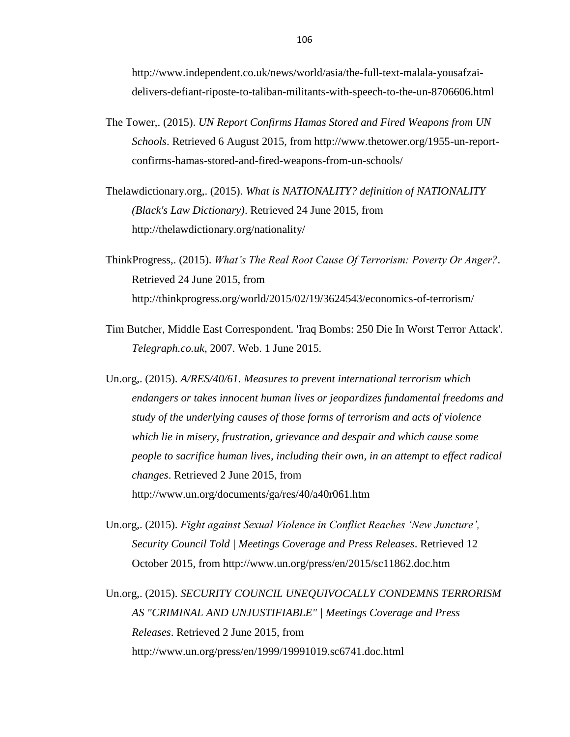http://www.independent.co.uk/news/world/asia/the-full-text-malala-yousafzaidelivers-defiant-riposte-to-taliban-militants-with-speech-to-the-un-8706606.html

- The Tower,. (2015). *UN Report Confirms Hamas Stored and Fired Weapons from UN Schools*. Retrieved 6 August 2015, from http://www.thetower.org/1955-un-reportconfirms-hamas-stored-and-fired-weapons-from-un-schools/
- Thelawdictionary.org,. (2015). *What is NATIONALITY? definition of NATIONALITY (Black's Law Dictionary)*. Retrieved 24 June 2015, from http://thelawdictionary.org/nationality/
- ThinkProgress,. (2015). *What's The Real Root Cause Of Terrorism: Poverty Or Anger?*. Retrieved 24 June 2015, from http://thinkprogress.org/world/2015/02/19/3624543/economics-of-terrorism/
- Tim Butcher, Middle East Correspondent. 'Iraq Bombs: 250 Die In Worst Terror Attack'. *Telegraph.co.uk*, 2007. Web. 1 June 2015.
- Un.org,. (2015). *A/RES/40/61. Measures to prevent international terrorism which endangers or takes innocent human lives or jeopardizes fundamental freedoms and study of the underlying causes of those forms of terrorism and acts of violence which lie in misery, frustration, grievance and despair and which cause some people to sacrifice human lives, including their own, in an attempt to effect radical changes*. Retrieved 2 June 2015, from http://www.un.org/documents/ga/res/40/a40r061.htm
- Un.org,. (2015). *Fight against Sexual Violence in Conflict Reaches ‗New Juncture', Security Council Told | Meetings Coverage and Press Releases*. Retrieved 12 October 2015, from http://www.un.org/press/en/2015/sc11862.doc.htm

Un.org,. (2015). *SECURITY COUNCIL UNEQUIVOCALLY CONDEMNS TERRORISM AS "CRIMINAL AND UNJUSTIFIABLE" | Meetings Coverage and Press Releases*. Retrieved 2 June 2015, from http://www.un.org/press/en/1999/19991019.sc6741.doc.html